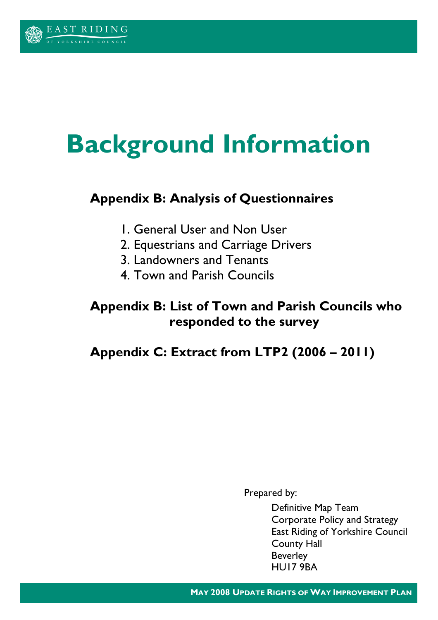

# **Background Information**

## **Appendix B: Analysis of Questionnaires**

- L. General User and Non User
- 2. Equestrians and Carriage Drivers
- 3. Landowners and Tenants
- 4. Town and Parish Councils

## Appendix B: List of Town and Parish Councils who responded to the survey

## Appendix C: Extract from LTP2 (2006 - 2011)

Prepared by:

Definitive Map Team **Corporate Policy and Strategy** East Riding of Yorkshire Council **County Hall Beverley** HUI79BA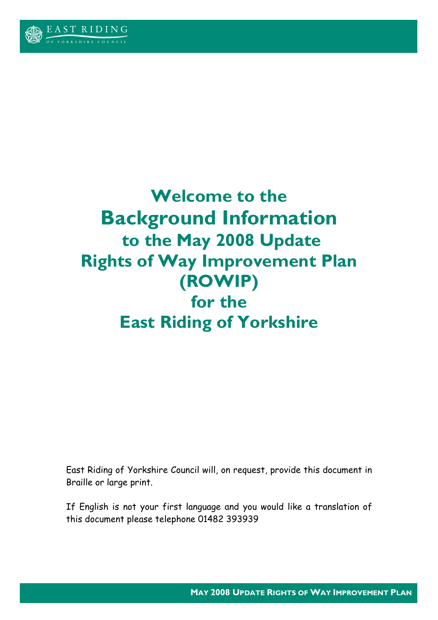

## **Welcome to the Background Information** to the May 2008 Update **Rights of Way Improvement Plan** (ROWIP) for the **East Riding of Yorkshire**

East Riding of Yorkshire Council will, on request, provide this document in Braille or large print.

If English is not your first language and you would like a translation of this document please telephone 01482 393939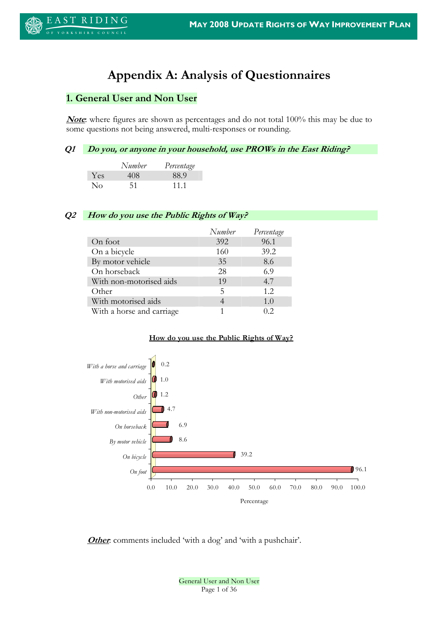

## **Appendix A: Analysis of Questionnaires**

#### 1. General User and Non User

**Note**: where figures are shown as percentages and do not total 100% this may be due to some questions not being answered, multi-responses or rounding.

#### $Q1$ Do you, or anyone in your household, use PROWs in the East Riding?

|                | Number | Percentage |
|----------------|--------|------------|
| Yes.           | 408.   | 88.9       |
| $\overline{N}$ | 51     | 11.1       |

#### $Q2$ How do you use the Public Rights of Way?

|                           | Number | Percentage |
|---------------------------|--------|------------|
| On foot                   | 392    | 96.1       |
| On a bicycle              | 160    | 39.2       |
| By motor vehicle          | 35     | 8.6        |
| On horseback              | 28     | 6.9        |
| With non-motorised aids   | 19     | 4.7        |
| Other                     | 5      | 1.2        |
| With motorised aids       | 4      | 1.0        |
| With a horse and carriage |        | 02         |

#### How do you use the Public Rights of Way?



Other comments included 'with a dog' and 'with a pushchair'.

General User and Non User Page 1 of 36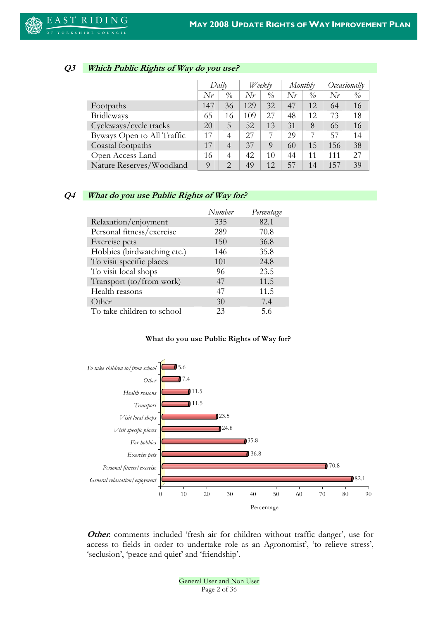

#### $Q3$ Which Public Rights of Way do you use?

|                            | Daily |                | Weekly |                                    | Monthly |               | Occasionally |               |
|----------------------------|-------|----------------|--------|------------------------------------|---------|---------------|--------------|---------------|
|                            | Nr    | $\frac{0}{0}$  | Nr     | $\frac{\partial}{\partial \theta}$ | Nr      | $\frac{0}{0}$ | Nr           | $\frac{o}{o}$ |
| Footpaths                  | 147   | 36             | 129    | 32                                 | 47      | 12            | 64           | 16            |
| <b>Bridleways</b>          | 65    | 16             | 109    | 27                                 | 48      | 12            | 73           | 18            |
| Cycleways/cycle tracks     | 20    | 5              | 52     | 13                                 | 31      | 8             | 65           | 16            |
| Byways Open to All Traffic | 17    | 4              | 27     |                                    | 29      | 7             | 57           | 14            |
| Coastal footpaths          | 17    | $\overline{4}$ | 37     | 9                                  | 60      | 15            | 156          | 38            |
| Open Access Land           | 16    | 4              | 42     | 10                                 | 44      | 11            | 111          | 27            |
| Nature Reserves/Woodland   | 9     | $\overline{2}$ | 49     | 12                                 | 57      | 14            | 157          | 39            |

#### $Q4$ What do you use Public Rights of Way for?

|                             | Number | Percentage |
|-----------------------------|--------|------------|
| Relaxation/enjoyment        | 335    | 82.1       |
| Personal fitness/exercise   | 289    | 70.8       |
| Exercise pets               | 150    | 36.8       |
| Hobbies (birdwatching etc.) | 146    | 35.8       |
| To visit specific places    | 101    | 24.8       |
| To visit local shops        | 96     | 23.5       |
| Transport (to/from work)    | 47     | 11.5       |
| Health reasons              | 47     | 11.5       |
| Other                       | 30     | 7.4        |
| To take children to school  | 23     | 5.6        |

#### What do you use Public Rights of Way for?



Other comments included 'fresh air for children without traffic danger', use for access to fields in order to undertake role as an Agronomist', 'to relieve stress', 'seclusion', 'peace and quiet' and 'friendship'.

> General User and Non User Page 2 of 36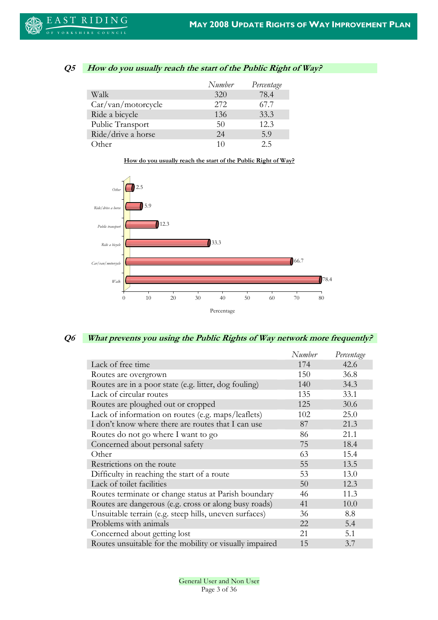

|                     | Number | Percentage |
|---------------------|--------|------------|
| Walk                | 320    | 78.4       |
| Car/van/motor cycle | 272    | 67.7       |
| Ride a bicycle      | 136    | 33.3       |
| Public Transport    | 50     | 12.3       |
| Ride/drive a horse  | 24     | 5.9        |
| Other               | 10     | 2.5        |

#### How do you usually reach the start of the Public Right of Way?



#### $Q6$ What prevents you using the Public Rights of Way network more frequently?

|                                                         | Number | Percentage |
|---------------------------------------------------------|--------|------------|
| Lack of free time                                       | 174    | 42.6       |
| Routes are overgrown                                    | 150    | 36.8       |
| Routes are in a poor state (e.g. litter, dog fouling)   | 140    | 34.3       |
| Lack of circular routes                                 | 135    | 33.1       |
| Routes are ploughed out or cropped                      | 125    | 30.6       |
| Lack of information on routes (e.g. maps/leaflets)      | 102    | 25.0       |
| I don't know where there are routes that I can use      | 87     | 21.3       |
| Routes do not go where I want to go                     | 86     | 21.1       |
| Concerned about personal safety                         | 75     | 18.4       |
| Other                                                   | 63     | 15.4       |
| Restrictions on the route                               | 55     | 13.5       |
| Difficulty in reaching the start of a route             | 53     | 13.0       |
| Lack of toilet facilities                               | 50     | 12.3       |
| Routes terminate or change status at Parish boundary    | 46     | 11.3       |
| Routes are dangerous (e.g. cross or along busy roads)   | 41     | 10.0       |
| Unsuitable terrain (e.g. steep hills, uneven surfaces)  | 36     | 8.8        |
| Problems with animals                                   | 22     | 5.4        |
| Concerned about getting lost                            | 21     | 5.1        |
| Routes unsuitable for the mobility or visually impaired | 15     | 3.7        |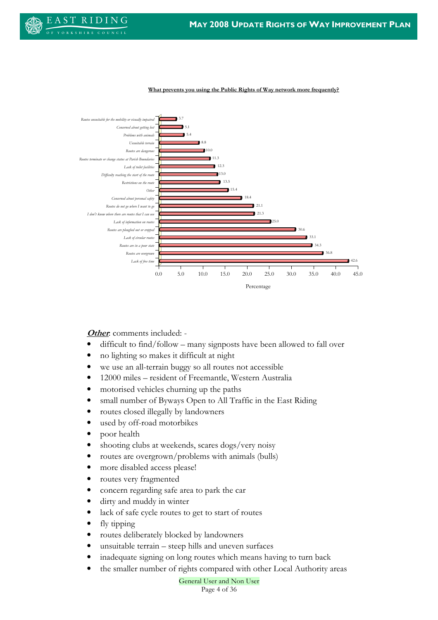



#### What prevents you using the Public Rights of Way network more frequently?

Other comments included: -

- difficult to find/follow many signposts have been allowed to fall over
- $\bullet$ no lighting so makes it difficult at night
- we use an all-terrain buggy so all routes not accessible  $\bullet$
- 12000 miles resident of Freemantle, Western Australia  $\bullet$
- motorised vehicles churning up the paths  $\bullet$
- small number of Byways Open to All Traffic in the East Riding  $\bullet$
- routes closed illegally by landowners  $\bullet$
- used by off-road motorbikes  $\bullet$
- poor health  $\bullet$
- shooting clubs at weekends, scares dogs/very noisy  $\bullet$
- routes are overgrown/problems with animals (bulls)  $\bullet$
- more disabled access please!  $\bullet$
- routes very fragmented  $\bullet$
- concern regarding safe area to park the car  $\bullet$
- dirty and muddy in winter  $\bullet$
- lack of safe cycle routes to get to start of routes  $\bullet$
- $\bullet$ fly tipping
- routes deliberately blocked by landowners  $\bullet$
- unsuitable terrain steep hills and uneven surfaces  $\bullet$
- inadequate signing on long routes which means having to turn back
- the smaller number of rights compared with other Local Authority areas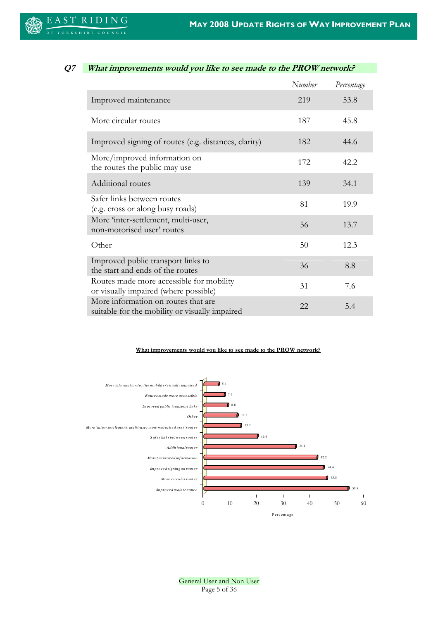| what improvements would you like to see made to the I KOW hetwork:                    |        |            |
|---------------------------------------------------------------------------------------|--------|------------|
|                                                                                       | Number | Percentage |
| Improved maintenance                                                                  | 219    | 53.8       |
| More circular routes                                                                  | 187    | 45.8       |
| Improved signing of routes (e.g. distances, clarity)                                  | 182    | 44.6       |
| More/improved information on<br>the routes the public may use                         | 172    | 42.2       |
| Additional routes                                                                     | 139    | 34.1       |
| Safer links between routes<br>(e.g. cross or along busy roads)                        | 81     | 19.9       |
| More 'inter-settlement, multi-user,<br>non-motorised user' routes                     | 56     | 13.7       |
| Other                                                                                 | 50     | 12.3       |
| Improved public transport links to<br>the start and ends of the routes                | 36     | 8.8        |
| Routes made more accessible for mobility<br>or visually impaired (where possible)     | 31     | 7.6        |
| More information on routes that are<br>suitable for the mobility or visually impaired | 22     | 5.4        |

#### What improvements would you like to see made to the  $PROW$  network?  $Q7$

#### What improvements would you like to see made to the PROW network?



General User and Non User Page 5 of 36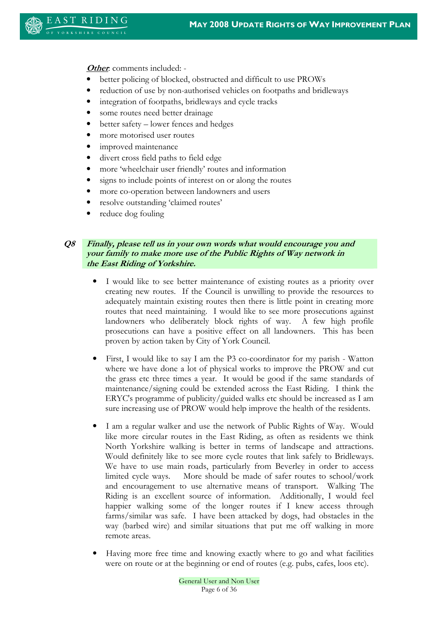Other: comments included: -

- better policing of blocked, obstructed and difficult to use PROWs
- reduction of use by non-authorised vehicles on footpaths and bridleways
- integration of footpaths, bridleways and cycle tracks
- some routes need better drainage
- better safety lower fences and hedges
- more motorised user routes
- improved maintenance  $\bullet$
- divert cross field paths to field edge
- more 'wheelchair user friendly' routes and information
- signs to include points of interest on or along the routes
- more co-operation between landowners and users
- resolve outstanding 'claimed routes'
- reduce dog fouling

#### 08 Finally, please tell us in your own words what would encourage you and your family to make more use of the Public Rights of Way network in the East Riding of Yorkshire.

- I would like to see better maintenance of existing routes as a priority over creating new routes. If the Council is unwilling to provide the resources to adequately maintain existing routes then there is little point in creating more routes that need maintaining. I would like to see more prosecutions against landowners who deliberately block rights of way. A few high profile prosecutions can have a positive effect on all landowners. This has been proven by action taken by City of York Council.
- First, I would like to say I am the P3 co-coordinator for my parish Watton where we have done a lot of physical works to improve the PROW and cut the grass etc three times a year. It would be good if the same standards of maintenance/signing could be extended across the East Riding. I think the ERYC's programme of publicity/guided walks etc should be increased as I am sure increasing use of PROW would help improve the health of the residents.
- I am a regular walker and use the network of Public Rights of Way. Would like more circular routes in the East Riding, as often as residents we think North Yorkshire walking is better in terms of landscape and attractions. Would definitely like to see more cycle routes that link safely to Bridleways. We have to use main roads, particularly from Beverley in order to access More should be made of safer routes to school/work limited cycle ways. and encouragement to use alternative means of transport. Walking The Riding is an excellent source of information. Additionally, I would feel happier walking some of the longer routes if I knew access through farms/similar was safe. I have been attacked by dogs, had obstacles in the way (barbed wire) and similar situations that put me off walking in more remote areas.
- Having more free time and knowing exactly where to go and what facilities were on route or at the beginning or end of routes (e.g. pubs, cafes, loos etc).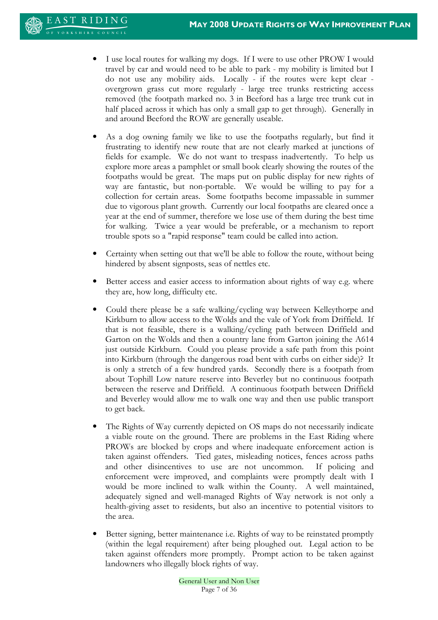- I use local routes for walking my dogs. If I were to use other PROW I would travel by car and would need to be able to park - my mobility is limited but I do not use any mobility aids. Locally - if the routes were kept clear overgrown grass cut more regularly - large tree trunks restricting access removed (the footpath marked no. 3 in Beeford has a large tree trunk cut in half placed across it which has only a small gap to get through). Generally in and around Beeford the ROW are generally useable.
- As a dog owning family we like to use the footpaths regularly, but find it frustrating to identify new route that are not clearly marked at junctions of fields for example. We do not want to trespass inadvertently. To help us explore more areas a pamphlet or small book clearly showing the routes of the footpaths would be great. The maps put on public display for new rights of way are fantastic, but non-portable. We would be willing to pay for a collection for certain areas. Some footpaths become impassable in summer due to vigorous plant growth. Currently our local footpaths are cleared once a year at the end of summer, therefore we lose use of them during the best time for walking. Twice a year would be preferable, or a mechanism to report trouble spots so a "rapid response" team could be called into action.
- Certainty when setting out that we'll be able to follow the route, without being hindered by absent signposts, seas of nettles etc.
- Better access and easier access to information about rights of way e.g. where they are, how long, difficulty etc.
- Could there please be a safe walking/cycling way between Kelleythorpe and Kirkburn to allow access to the Wolds and the vale of York from Driffield. If that is not feasible, there is a walking/cycling path between Driffield and Garton on the Wolds and then a country lane from Garton joining the A614 just outside Kirkburn. Could you please provide a safe path from this point into Kirkburn (through the dangerous road bent with curbs on either side)? It is only a stretch of a few hundred vards. Secondly there is a footpath from about Tophill Low nature reserve into Beverley but no continuous footpath between the reserve and Driffield. A continuous footpath between Driffield and Beverley would allow me to walk one way and then use public transport to get back.
- The Rights of Way currently depicted on OS maps do not necessarily indicate a viable route on the ground. There are problems in the East Riding where PROWs are blocked by crops and where inadequate enforcement action is taken against offenders. Tied gates, misleading notices, fences across paths and other disincentives to use are not uncommon. If policing and enforcement were improved, and complaints were promptly dealt with I would be more inclined to walk within the County. A well maintained, adequately signed and well-managed Rights of Way network is not only a health-giving asset to residents, but also an incentive to potential visitors to the area.
- Better signing, better maintenance i.e. Rights of way to be reinstated promptly (within the legal requirement) after being ploughed out. Legal action to be taken against offenders more promptly. Prompt action to be taken against landowners who illegally block rights of way.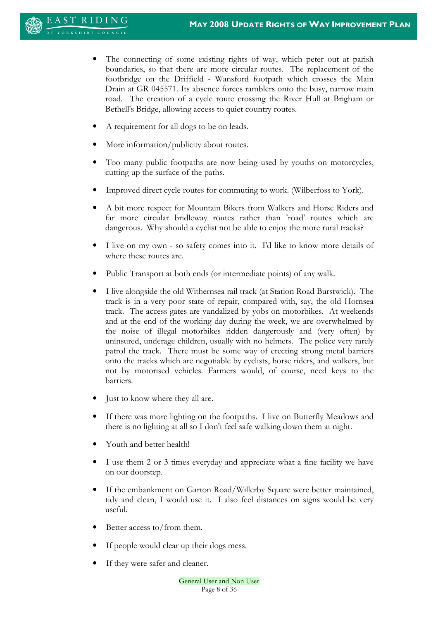

- The connecting of some existing rights of way, which peter out at parish boundaries, so that there are more circular routes. The replacement of the footbridge on the Driffield - Wansford footpath which crosses the Main Drain at GR 045571. Its absence forces ramblers onto the busy, narrow main road. The creation of a cycle route crossing the River Hull at Brigham or Bethell's Bridge, allowing access to quiet country routes.
- A requirement for all dogs to be on leads.
- More information/publicity about routes.
- Too many public footpaths are now being used by youths on motorcycles, cutting up the surface of the paths.
- Improved direct cycle routes for commuting to work. (Wilberfoss to York).
- A bit more respect for Mountain Bikers from Walkers and Horse Riders and far more circular bridleway routes rather than 'road' routes which are dangerous. Why should a cyclist not be able to enjoy the more rural tracks?
- I live on my own so safety comes into it. I'd like to know more details of where these routes are.
- Public Transport at both ends (or intermediate points) of any walk.
- I live alongside the old Withernsea rail track (at Station Road Burstwick). The track is in a very poor state of repair, compared with, say, the old Hornsea track. The access gates are vandalized by yobs on motorbikes. At weekends and at the end of the working day during the week, we are overwhelmed by the noise of illegal motorbikes ridden dangerously and (very often) by uninsured, underage children, usually with no helmets. The police very rarely patrol the track. There must be some way of erecting strong metal barriers onto the tracks which are negotiable by cyclists, horse riders, and walkers, but not by motorised vehicles. Farmers would, of course, need keys to the barriers.
- Just to know where they all are.
- If there was more lighting on the footpaths. I live on Butterfly Meadows and there is no lighting at all so I don't feel safe walking down them at night.
- Youth and better health!
- I use them 2 or 3 times everyday and appreciate what a fine facility we have on our doorstep.
- If the embankment on Garton Road/Willerby Square were better maintained, tidy and clean, I would use it. I also feel distances on signs would be very useful.
- Better access to/from them.
- If people would clear up their dogs mess.
- If they were safer and cleaner.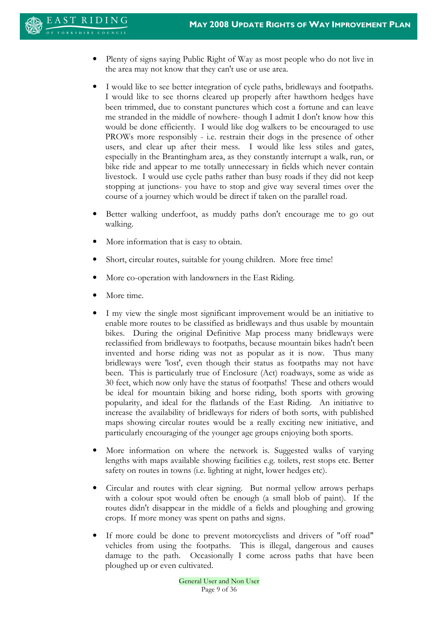

- Plenty of signs saying Public Right of Way as most people who do not live in the area may not know that they can't use or use area.
- I would like to see better integration of cycle paths, bridleways and footpaths. I would like to see thorns cleared up properly after hawthorn hedges have been trimmed, due to constant punctures which cost a fortune and can leave me stranded in the middle of nowhere- though I admit I don't know how this would be done efficiently. I would like dog walkers to be encouraged to use PROWs more responsibly - i.e. restrain their dogs in the presence of other users, and clear up after their mess. I would like less stiles and gates, especially in the Brantingham area, as they constantly interrupt a walk, run, or bike ride and appear to me totally unnecessary in fields which never contain livestock. I would use cycle paths rather than busy roads if they did not keep stopping at junctions- you have to stop and give way several times over the course of a journey which would be direct if taken on the parallel road.
- Better walking underfoot, as muddy paths don't encourage me to go out walking.
- More information that is easy to obtain.
- Short, circular routes, suitable for young children. More free time!
- More co-operation with landowners in the East Riding.
- More time.
- I my view the single most significant improvement would be an initiative to enable more routes to be classified as bridleways and thus usable by mountain bikes. During the original Definitive Map process many bridleways were reclassified from bridleways to footpaths, because mountain bikes hadn't been invented and horse riding was not as popular as it is now. Thus many bridleways were 'lost', even though their status as footpaths may not have been. This is particularly true of Enclosure (Act) roadways, some as wide as 30 feet, which now only have the status of footpaths! These and others would be ideal for mountain biking and horse riding, both sports with growing popularity, and ideal for the flatlands of the East Riding. An initiative to increase the availability of bridleways for riders of both sorts, with published maps showing circular routes would be a really exciting new initiative, and particularly encouraging of the younger age groups enjoying both sports.
- More information on where the network is. Suggested walks of varying lengths with maps available showing facilities e.g. toilets, rest stops etc. Better safety on routes in towns (i.e. lighting at night, lower hedges etc).
- Circular and routes with clear signing. But normal yellow arrows perhaps with a colour spot would often be enough (a small blob of paint). If the routes didn't disappear in the middle of a fields and ploughing and growing crops. If more money was spent on paths and signs.
- If more could be done to prevent motorcyclists and drivers of "off road" vehicles from using the footpaths. This is illegal, dangerous and causes damage to the path. Occasionally I come across paths that have been ploughed up or even cultivated.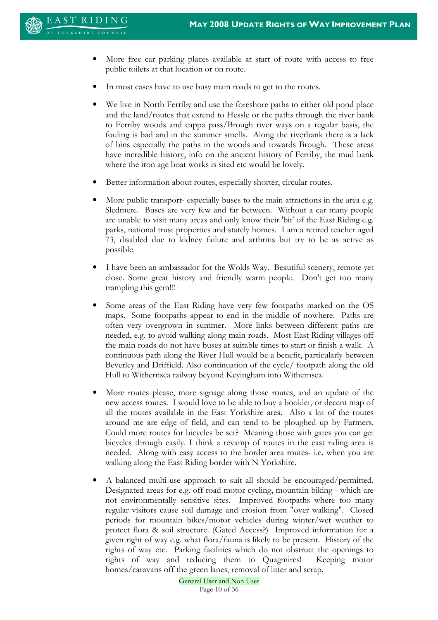

- More free car parking places available at start of route with access to free public toilets at that location or on route.
- In most cases have to use busy main roads to get to the routes.
- We live in North Ferriby and use the foreshore paths to either old pond place and the land/routes that extend to Hessle or the paths through the river bank to Ferriby woods and cappa pass/Brough river ways on a regular basis, the fouling is bad and in the summer smells. Along the riverbank there is a lack of bins especially the paths in the woods and towards Brough. These areas have incredible history, info on the ancient history of Ferriby, the mud bank where the iron age boat works is sited etc would be lovely.
- Better information about routes, especially shorter, circular routes.
- More public transport- especially buses to the main attractions in the area e.g. Sledmere. Buses are very few and far between. Without a car many people are unable to visit many areas and only know their 'bit' of the East Riding e.g. parks, national trust properties and stately homes. I am a retired teacher aged 73, disabled due to kidney failure and arthritis but try to be as active as possible.
- I have been an ambassador for the Wolds Way. Beautiful scenery, remote yet close. Some great history and friendly warm people. Don't get too many trampling this gem!!!
- Some areas of the East Riding have very few footpaths marked on the OS maps. Some footpaths appear to end in the middle of nowhere. Paths are often very overgrown in summer. More links between different paths are needed, e.g. to avoid walking along main roads. Most East Riding villages off the main roads do not have buses at suitable times to start or finish a walk. A continuous path along the River Hull would be a benefit, particularly between Beverley and Driffield. Also continuation of the cycle/ footpath along the old Hull to Withernsea railway beyond Keyingham into Withernsea.
- More routes please, more signage along those routes, and an update of the new access routes. I would love to be able to buy a booklet, or decent map of all the routes available in the East Yorkshire area. Also a lot of the routes around me are edge of field, and can tend to be ploughed up by Farmers. Could more routes for bicycles be set? Meaning those with gates you can get bicycles through easily. I think a revamp of routes in the east riding area is needed. Along with easy access to the border area routes- i.e. when you are walking along the East Riding border with N Yorkshire.
- A balanced multi-use approach to suit all should be encouraged/permitted. Designated areas for e.g. off road motor cycling, mountain biking - which are not environmentally sensitive sites. Improved footpaths where too many regular visitors cause soil damage and erosion from "over walking". Closed periods for mountain bikes/motor vehicles during winter/wet weather to protect flora & soil structure. (Gated Access?) Improved information for a given right of way e.g. what flora/fauna is likely to be present. History of the rights of way etc. Parking facilities which do not obstruct the openings to rights of way and reducing them to Quagmires! Keeping motor homes/caravans off the green lanes, removal of litter and scrap.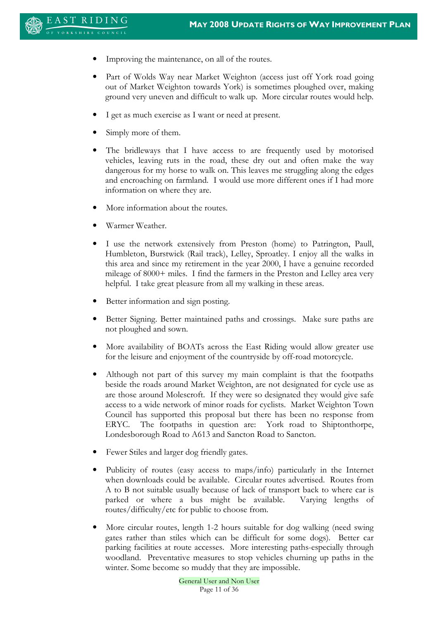

- Improving the maintenance, on all of the routes.
- Part of Wolds Way near Market Weighton (access just off York road going out of Market Weighton towards York) is sometimes ploughed over, making ground very uneven and difficult to walk up. More circular routes would help.
- I get as much exercise as I want or need at present.
- Simply more of them.
- The bridleways that I have access to are frequently used by motorised vehicles, leaving ruts in the road, these dry out and often make the way dangerous for my horse to walk on. This leaves me struggling along the edges and encroaching on farmland. I would use more different ones if I had more information on where they are.
- More information about the routes.
- Warmer Weather.
- I use the network extensively from Preston (home) to Patrington, Paull, Humbleton, Burstwick (Rail track), Lelley, Sproatley. I enjoy all the walks in this area and since my retirement in the year 2000, I have a genuine recorded mileage of 8000+ miles. I find the farmers in the Preston and Lelley area very helpful. I take great pleasure from all my walking in these areas.
- Better information and sign posting.
- Better Signing. Better maintained paths and crossings. Make sure paths are not ploughed and sown.
- More availability of BOATs across the East Riding would allow greater use for the leisure and enjoyment of the countryside by off-road motorcycle.
- Although not part of this survey my main complaint is that the footpaths beside the roads around Market Weighton, are not designated for cycle use as are those around Molescroft. If they were so designated they would give safe access to a wide network of minor roads for cyclists. Market Weighton Town Council has supported this proposal but there has been no response from The footpaths in question are: York road to Shiptonthorpe, ERYC. Londesborough Road to A613 and Sancton Road to Sancton.
- Fewer Stiles and larger dog friendly gates.
- Publicity of routes (easy access to maps/info) particularly in the Internet when downloads could be available. Circular routes advertised. Routes from A to B not suitable usually because of lack of transport back to where car is parked or where a bus might be available. Varying lengths of routes/difficulty/etc for public to choose from.
- More circular routes, length 1-2 hours suitable for dog walking (need swing) gates rather than stiles which can be difficult for some dogs). Better car parking facilities at route accesses. More interesting paths-especially through woodland. Preventative measures to stop vehicles churning up paths in the winter. Some become so muddy that they are impossible.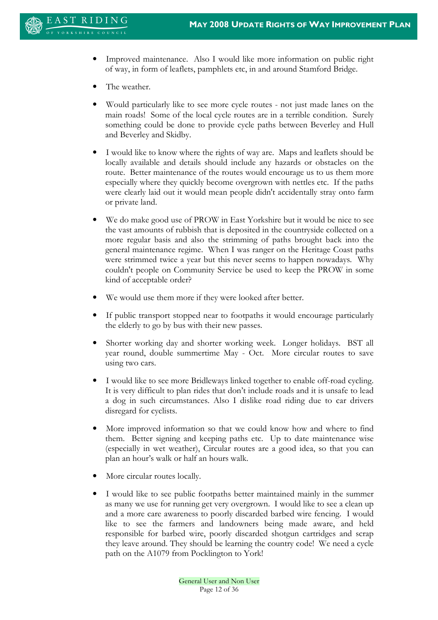

- Improved maintenance. Also I would like more information on public right of way, in form of leaflets, pamphlets etc, in and around Stamford Bridge.
- The weather.
- Would particularly like to see more cycle routes not just made lanes on the main roads! Some of the local cycle routes are in a terrible condition. Surely something could be done to provide cycle paths between Beverley and Hull and Beverley and Skidby.
- I would like to know where the rights of way are. Maps and leaflets should be locally available and details should include any hazards or obstacles on the route. Better maintenance of the routes would encourage us to us them more especially where they quickly become overgrown with nettles etc. If the paths were clearly laid out it would mean people didn't accidentally stray onto farm or private land.
- We do make good use of PROW in East Yorkshire but it would be nice to see the vast amounts of rubbish that is deposited in the countryside collected on a more regular basis and also the strimming of paths brought back into the general maintenance regime. When I was ranger on the Heritage Coast paths were strimmed twice a year but this never seems to happen nowadays. Why couldn't people on Community Service be used to keep the PROW in some kind of acceptable order?
- We would use them more if they were looked after better.
- If public transport stopped near to footpaths it would encourage particularly the elderly to go by bus with their new passes.
- Shorter working day and shorter working week. Longer holidays. BST all year round, double summertime May - Oct. More circular routes to save using two cars.
- I would like to see more Bridleways linked together to enable off-road cycling. It is very difficult to plan rides that don't include roads and it is unsafe to lead a dog in such circumstances. Also I dislike road riding due to car drivers disregard for cyclists.
- More improved information so that we could know how and where to find them. Better signing and keeping paths etc. Up to date maintenance wise (especially in wet weather), Circular routes are a good idea, so that you can plan an hour's walk or half an hours walk.
- More circular routes locally.
- I would like to see public footpaths better maintained mainly in the summer as many we use for running get very overgrown. I would like to see a clean up and a more care awareness to poorly discarded barbed wire fencing. I would like to see the farmers and landowners being made aware, and held responsible for barbed wire, poorly discarded shotgun cartridges and scrap they leave around. They should be learning the country code! We need a cycle path on the A1079 from Pocklington to York!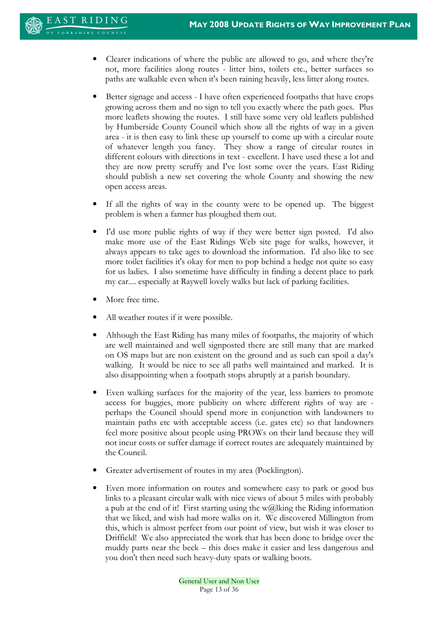

- Clearer indications of where the public are allowed to go, and where they're not, more facilities along routes - litter bins, toilets etc., better surfaces so paths are walkable even when it's been raining heavily, less litter along routes.
- Better signage and access I have often experienced footpaths that have crops growing across them and no sign to tell you exactly where the path goes. Plus more leaflets showing the routes. I still have some very old leaflets published by Humberside County Council which show all the rights of way in a given area - it is then easy to link these up yourself to come up with a circular route of whatever length you fancy. They show a range of circular routes in different colours with directions in text - excellent. I have used these a lot and they are now pretty scruffy and I've lost some over the years. East Riding should publish a new set covering the whole County and showing the new open access areas.
- If all the rights of way in the county were to be opened up. The biggest problem is when a farmer has ploughed them out.
- I'd use more public rights of way if they were better sign posted. I'd also make more use of the East Ridings Web site page for walks, however, it always appears to take ages to download the information. I'd also like to see more toilet facilities it's okay for men to pop behind a hedge not quite so easy for us ladies. I also sometime have difficulty in finding a decent place to park my car.... especially at Raywell lovely walks but lack of parking facilities.
- More free time.
- All weather routes if it were possible.
- Although the East Riding has many miles of footpaths, the majority of which are well maintained and well signposted there are still many that are marked on OS maps but are non existent on the ground and as such can spoil a day's walking. It would be nice to see all paths well maintained and marked. It is also disappointing when a footpath stops abruptly at a parish boundary.
- Even walking surfaces for the majority of the year, less barriers to promote access for buggies, more publicity on where different rights of way are perhaps the Council should spend more in conjunction with landowners to maintain paths etc with acceptable access (i.e. gates etc) so that landowners feel more positive about people using PROWs on their land because they will not incur costs or suffer damage if correct routes are adequately maintained by the Council.
- Greater advertisement of routes in my area (Pocklington).
- Even more information on routes and somewhere easy to park or good bus links to a pleasant circular walk with nice views of about 5 miles with probably a pub at the end of it! First starting using the  $w@$ lking the Riding information that we liked, and wish had more walks on it. We discovered Millington from this, which is almost perfect from our point of view, but wish it was closer to Driffield! We also appreciated the work that has been done to bridge over the muddy parts near the beck – this does make it easier and less dangerous and you don't then need such heavy-duty spats or walking boots.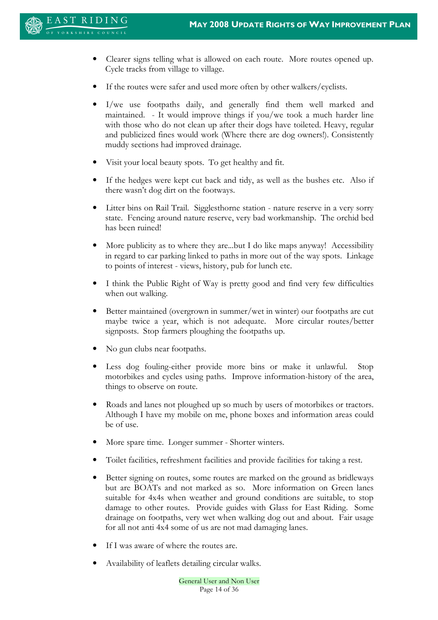

- Clearer signs telling what is allowed on each route. More routes opened up. Cycle tracks from village to village.
- If the routes were safer and used more often by other walkers/cyclists.
- I/we use footpaths daily, and generally find them well marked and maintained. - It would improve things if you/we took a much harder line with those who do not clean up after their dogs have toileted. Heavy, regular and publicized fines would work (Where there are dog owners!). Consistently muddy sections had improved drainage.
- Visit your local beauty spots. To get healthy and fit.
- If the hedges were kept cut back and tidy, as well as the bushes etc. Also if there wasn't dog dirt on the footways.
- Litter bins on Rail Trail. Sigglesthorne station nature reserve in a very sorry state. Fencing around nature reserve, very bad workmanship. The orchid bed has been ruined!
- More publicity as to where they are...but I do like maps anyway! Accessibility in regard to car parking linked to paths in more out of the way spots. Linkage to points of interest - views, history, pub for lunch etc.
- I think the Public Right of Way is pretty good and find very few difficulties when out walking.
- Better maintained (overgrown in summer/wet in winter) our footpaths are cut maybe twice a year, which is not adequate. More circular routes/better signposts. Stop farmers ploughing the footpaths up.
- No gun clubs near footpaths.
- Less dog fouling-either provide more bins or make it unlawful. Stop motorbikes and cycles using paths. Improve information-history of the area, things to observe on route.
- Roads and lanes not ploughed up so much by users of motorbikes or tractors. Although I have my mobile on me, phone boxes and information areas could be of use.
- More spare time. Longer summer Shorter winters.
- Toilet facilities, refreshment facilities and provide facilities for taking a rest.
- Better signing on routes, some routes are marked on the ground as bridleways but are BOATs and not marked as so. More information on Green lanes suitable for 4x4s when weather and ground conditions are suitable, to stop damage to other routes. Provide guides with Glass for East Riding. Some drainage on footpaths, very wet when walking dog out and about. Fair usage for all not anti 4x4 some of us are not mad damaging lanes.
- If I was aware of where the routes are.
- Availability of leaflets detailing circular walks.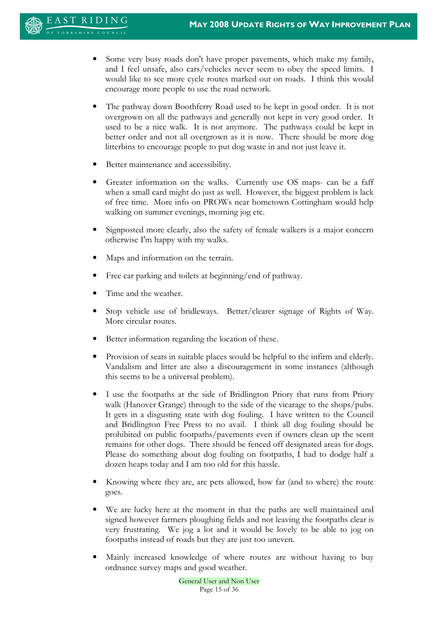

- Some very busy roads don't have proper pavements, which make my family, and I feel unsafe, also cars/vehicles never seem to obey the speed limits. I would like to see more cycle routes marked out on roads. I think this would encourage more people to use the road network.
- The pathway down Boothferry Road used to be kept in good order. It is not overgrown on all the pathways and generally not kept in very good order. It used to be a nice walk. It is not anymore. The pathways could be kept in better order and not all overgrown as it is now. There should be more dog litterbins to encourage people to put dog waste in and not just leave it.
- Better maintenance and accessibility.
- Greater information on the walks. Currently use OS maps- can be a faff when a small card might do just as well. However, the biggest problem is lack of free time. More info on PROWs near hometown Cottingham would help walking on summer evenings, morning jog etc.
- Signposted more clearly, also the safety of female walkers is a major concern otherwise I'm happy with my walks.
- Maps and information on the terrain.
- Free car parking and toilets at beginning/end of pathway.
- Time and the weather.
- Stop vehicle use of bridleways. Better/clearer signage of Rights of Way. More circular routes.
- Better information regarding the location of these.
- Provision of seats in suitable places would be helpful to the infirm and elderly. Vandalism and litter are also a discouragement in some instances (although this seems to be a universal problem).
- I use the footpaths at the side of Bridlington Priory that runs from Priory walk (Hanover Grange) through to the side of the vicarage to the shops/pubs. It gets in a disgusting state with dog fouling. I have written to the Council and Bridlington Free Press to no avail. I think all dog fouling should be prohibited on public footpaths/pavements even if owners clean up the scent remains for other dogs. There should be fenced off designated areas for dogs. Please do something about dog fouling on footpaths, I had to dodge half a dozen heaps today and I am too old for this hassle.
- Knowing where they are, are pets allowed, how far (and to where) the route goes.
- We are lucky here at the moment in that the paths are well maintained and signed however farmers ploughing fields and not leaving the footpaths clear is very frustrating. We jog a lot and it would be lovely to be able to jog on footpaths instead of roads but they are just too uneven.
- Mainly increased knowledge of where routes are without having to buy ordnance survey maps and good weather.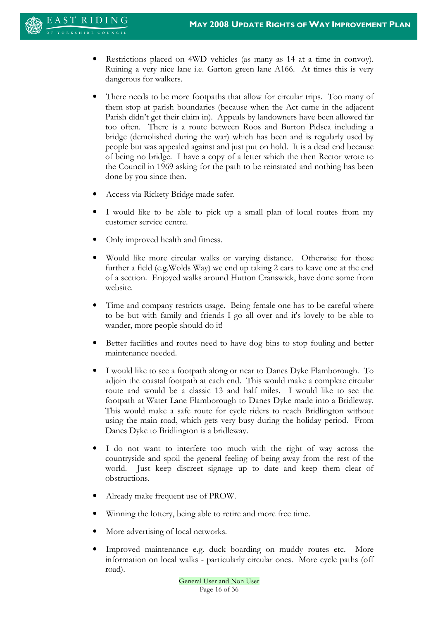

- Restrictions placed on 4WD vehicles (as many as 14 at a time in convoy). Ruining a very nice lane i.e. Garton green lane A166. At times this is very dangerous for walkers.
- There needs to be more footpaths that allow for circular trips. Too many of them stop at parish boundaries (because when the Act came in the adjacent Parish didn't get their claim in). Appeals by landowners have been allowed far too often. There is a route between Roos and Burton Pidsea including a bridge (demolished during the war) which has been and is regularly used by people but was appealed against and just put on hold. It is a dead end because of being no bridge. I have a copy of a letter which the then Rector wrote to the Council in 1969 asking for the path to be reinstated and nothing has been done by you since then.
- Access via Rickety Bridge made safer.
- I would like to be able to pick up a small plan of local routes from my customer service centre.
- Only improved health and fitness.
- Would like more circular walks or varying distance. Otherwise for those further a field (e.g. Wolds Way) we end up taking 2 cars to leave one at the end of a section. Enjoyed walks around Hutton Cranswick, have done some from website.
- Time and company restricts usage. Being female one has to be careful where to be but with family and friends I go all over and it's lovely to be able to wander, more people should do it!
- Better facilities and routes need to have dog bins to stop fouling and better maintenance needed.
- I would like to see a footpath along or near to Danes Dyke Flamborough. To adjoin the coastal footpath at each end. This would make a complete circular route and would be a classic 13 and half miles. I would like to see the footpath at Water Lane Flamborough to Danes Dyke made into a Bridleway. This would make a safe route for cycle riders to reach Bridlington without using the main road, which gets very busy during the holiday period. From Danes Dyke to Bridlington is a bridleway.
- I do not want to interfere too much with the right of way across the countryside and spoil the general feeling of being away from the rest of the world. Just keep discreet signage up to date and keep them clear of obstructions.
- Already make frequent use of PROW.
- Winning the lottery, being able to retire and more free time.
- More advertising of local networks.
- Improved maintenance e.g. duck boarding on muddy routes etc. More information on local walks - particularly circular ones. More cycle paths (off road).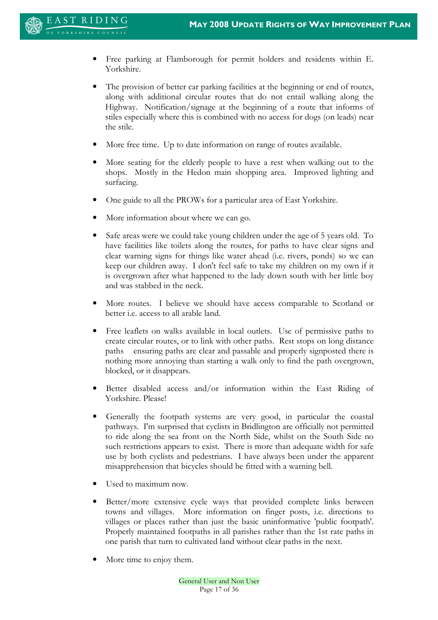

- Free parking at Flamborough for permit holders and residents within E. Yorkshire.
- The provision of better car parking facilities at the beginning or end of routes, along with additional circular routes that do not entail walking along the Highway. Notification/signage at the beginning of a route that informs of stiles especially where this is combined with no access for dogs (on leads) near the stile.
- More free time. Up to date information on range of routes available.
- More seating for the elderly people to have a rest when walking out to the shops. Mostly in the Hedon main shopping area. Improved lighting and surfacing.
- One guide to all the PROWs for a particular area of East Yorkshire.
- More information about where we can go.
- Safe areas were we could take young children under the age of 5 years old. To have facilities like toilets along the routes, for paths to have clear signs and clear warning signs for things like water ahead (i.e. rivers, ponds) so we can keep our children away. I don't feel safe to take my children on my own if it is overgrown after what happened to the lady down south with her little boy and was stabbed in the neck.
- More routes. I believe we should have access comparable to Scotland or better *i.e.* access to all arable land.
- Free leaflets on walks available in local outlets. Use of permissive paths to create circular routes, or to link with other paths. Rest stops on long distance ensuring paths are clear and passable and properly signposted there is paths nothing more annoying than starting a walk only to find the path overgrown, blocked, or it disappears.
- Better disabled access and/or information within the East Riding of Yorkshire. Please!
- Generally the footpath systems are very good, in particular the coastal pathways. I'm surprised that cyclists in Bridlington are officially not permitted to ride along the sea front on the North Side, whilst on the South Side no such restrictions appears to exist. There is more than adequate width for safe use by both cyclists and pedestrians. I have always been under the apparent misapprehension that bicycles should be fitted with a warning bell.
- Used to maximum now.
- Better/more extensive cycle ways that provided complete links between towns and villages. More information on finger posts, i.e. directions to villages or places rather than just the basic uninformative 'public footpath'. Properly maintained footpaths in all parishes rather than the 1st rate paths in one parish that turn to cultivated land without clear paths in the next.
- More time to enjoy them.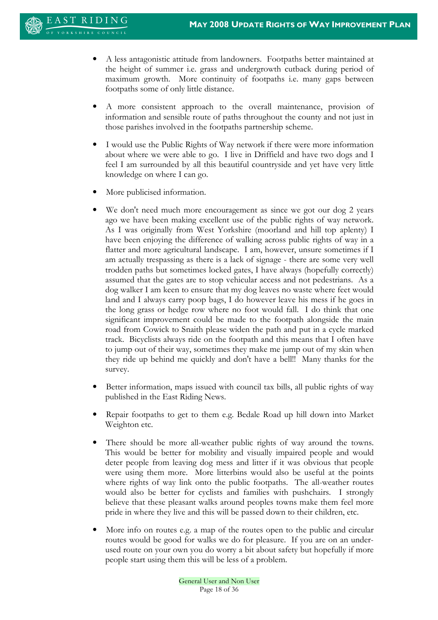

- A less antagonistic attitude from landowners. Footpaths better maintained at the height of summer i.e. grass and undergrowth cutback during period of maximum growth. More continuity of footpaths *i.e.* many gaps between footpaths some of only little distance.
- A more consistent approach to the overall maintenance, provision of information and sensible route of paths throughout the county and not just in those parishes involved in the footpaths partnership scheme.
- I would use the Public Rights of Way network if there were more information about where we were able to go. I live in Driffield and have two dogs and I feel I am surrounded by all this beautiful countryside and yet have very little knowledge on where I can go.
- More publicised information.
- We don't need much more encouragement as since we got our dog 2 years ago we have been making excellent use of the public rights of way network. As I was originally from West Yorkshire (moorland and hill top aplenty) I have been enjoying the difference of walking across public rights of way in a flatter and more agricultural landscape. I am, however, unsure sometimes if I am actually trespassing as there is a lack of signage - there are some very well trodden paths but sometimes locked gates, I have always (hopefully correctly) assumed that the gates are to stop vehicular access and not pedestrians. As a dog walker I am keen to ensure that my dog leaves no waste where feet would land and I always carry poop bags, I do however leave his mess if he goes in the long grass or hedge row where no foot would fall. I do think that one significant improvement could be made to the footpath alongside the main road from Cowick to Snaith please widen the path and put in a cycle marked track. Bicyclists always ride on the footpath and this means that I often have to jump out of their way, sometimes they make me jump out of my skin when they ride up behind me quickly and don't have a bell!! Many thanks for the survey.
- Better information, maps issued with council tax bills, all public rights of way published in the East Riding News.
- Repair footpaths to get to them e.g. Bedale Road up hill down into Market Weighton etc.
- There should be more all-weather public rights of way around the towns. This would be better for mobility and visually impaired people and would deter people from leaving dog mess and litter if it was obvious that people were using them more. More litterbins would also be useful at the points where rights of way link onto the public footpaths. The all-weather routes would also be better for cyclists and families with pushchairs. I strongly believe that these pleasant walks around peoples towns make them feel more pride in where they live and this will be passed down to their children, etc.
- More info on routes e.g. a map of the routes open to the public and circular routes would be good for walks we do for pleasure. If you are on an underused route on your own you do worry a bit about safety but hopefully if more people start using them this will be less of a problem.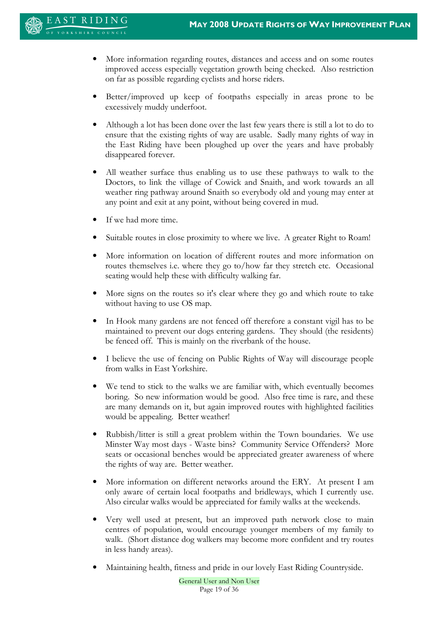

- More information regarding routes, distances and access and on some routes improved access especially vegetation growth being checked. Also restriction on far as possible regarding cyclists and horse riders.
- Better/improved up keep of footpaths especially in areas prone to be excessively muddy underfoot.
- Although a lot has been done over the last few years there is still a lot to do to ensure that the existing rights of way are usable. Sadly many rights of way in the East Riding have been ploughed up over the years and have probably disappeared forever.
- All weather surface thus enabling us to use these pathways to walk to the Doctors, to link the village of Cowick and Snaith, and work towards an all weather ring pathway around Snaith so everybody old and young may enter at any point and exit at any point, without being covered in mud.
- If we had more time.
- Suitable routes in close proximity to where we live. A greater Right to Roam!
- More information on location of different routes and more information on routes themselves i.e. where they go to/how far they stretch etc. Occasional seating would help these with difficulty walking far.
- More signs on the routes so it's clear where they go and which route to take without having to use OS map.
- In Hook many gardens are not fenced off therefore a constant vigil has to be maintained to prevent our dogs entering gardens. They should (the residents) be fenced off. This is mainly on the riverbank of the house.
- I believe the use of fencing on Public Rights of Way will discourage people from walks in East Yorkshire.
- We tend to stick to the walks we are familiar with, which eventually becomes boring. So new information would be good. Also free time is rare, and these are many demands on it, but again improved routes with highlighted facilities would be appealing. Better weather!
- Rubbish/litter is still a great problem within the Town boundaries. We use Minster Way most days - Waste bins? Community Service Offenders? More seats or occasional benches would be appreciated greater awareness of where the rights of way are. Better weather.
- More information on different networks around the ERY. At present I am only aware of certain local footpaths and bridleways, which I currently use. Also circular walks would be appreciated for family walks at the weekends.
- Very well used at present, but an improved path network close to main centres of population, would encourage younger members of my family to walk. (Short distance dog walkers may become more confident and try routes in less handy areas).
- Maintaining health, fitness and pride in our lovely East Riding Countryside.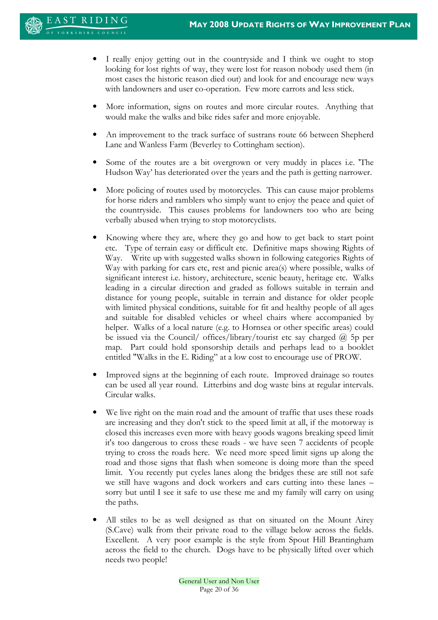

- I really enjoy getting out in the countryside and I think we ought to stop looking for lost rights of way, they were lost for reason nobody used them (in most cases the historic reason died out) and look for and encourage new ways with landowners and user co-operation. Few more carrots and less stick.
- More information, signs on routes and more circular routes. Anything that would make the walks and bike rides safer and more enjoyable.
- An improvement to the track surface of sustrans route 66 between Shepherd Lane and Wanless Farm (Beverley to Cottingham section).
- Some of the routes are a bit overgrown or very muddy in places *i.e.* The Hudson Way' has deteriorated over the years and the path is getting narrower.
- More policing of routes used by motorcycles. This can cause major problems for horse riders and ramblers who simply want to enjoy the peace and quiet of the countryside. This causes problems for landowners too who are being verbally abused when trying to stop motorcyclists.
- Knowing where they are, where they go and how to get back to start point etc. Type of terrain easy or difficult etc. Definitive maps showing Rights of Way. Write up with suggested walks shown in following categories Rights of Way with parking for cars etc, rest and picnic area(s) where possible, walks of significant interest i.e. history, architecture, scenic beauty, heritage etc. Walks leading in a circular direction and graded as follows suitable in terrain and distance for young people, suitable in terrain and distance for older people with limited physical conditions, suitable for fit and healthy people of all ages and suitable for disabled vehicles or wheel chairs where accompanied by helper. Walks of a local nature (e.g. to Hornsea or other specific areas) could be issued via the Council/ offices/library/tourist etc say charged  $(a)$  5p per map. Part could hold sponsorship details and perhaps lead to a booklet entitled "Walks in the E. Riding" at a low cost to encourage use of PROW.
- Improved signs at the beginning of each route. Improved drainage so routes can be used all year round. Litterbins and dog waste bins at regular intervals. Circular walks.
- We live right on the main road and the amount of traffic that uses these roads are increasing and they don't stick to the speed limit at all, if the motorway is closed this increases even more with heavy goods wagons breaking speed limit it's too dangerous to cross these roads - we have seen 7 accidents of people trying to cross the roads here. We need more speed limit signs up along the road and those signs that flash when someone is doing more than the speed limit. You recently put cycles lanes along the bridges these are still not safe we still have wagons and dock workers and cars cutting into these lanes sorry but until I see it safe to use these me and my family will carry on using the paths.
- All stiles to be as well designed as that on situated on the Mount Airey (S.Cave) walk from their private road to the village below across the fields. Excellent. A very poor example is the style from Spout Hill Brantingham across the field to the church. Dogs have to be physically lifted over which needs two people!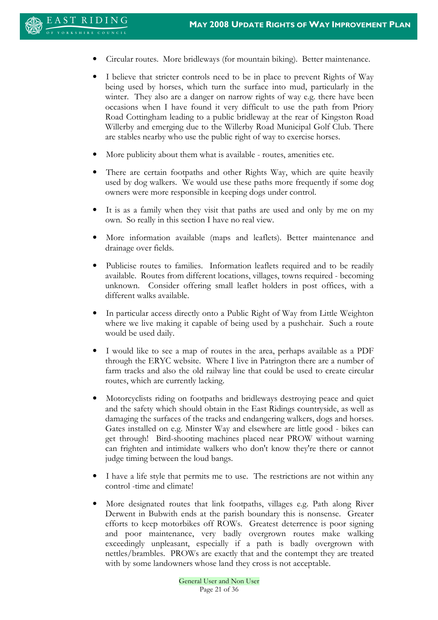

- Circular routes. More bridleways (for mountain biking). Better maintenance.
- I believe that stricter controls need to be in place to prevent Rights of Way being used by horses, which turn the surface into mud, particularly in the winter. They also are a danger on narrow rights of way e.g. there have been occasions when I have found it very difficult to use the path from Priory Road Cottingham leading to a public bridleway at the rear of Kingston Road Willerby and emerging due to the Willerby Road Municipal Golf Club. There are stables nearby who use the public right of way to exercise horses.
- More publicity about them what is available routes, amenities etc.
- There are certain footpaths and other Rights Way, which are quite heavily used by dog walkers. We would use these paths more frequently if some dog owners were more responsible in keeping dogs under control.
- It is as a family when they visit that paths are used and only by me on my own. So really in this section I have no real view.
- More information available (maps and leaflets). Better maintenance and drainage over fields.
- Publicise routes to families. Information leaflets required and to be readily available. Routes from different locations, villages, towns required - becoming unknown. Consider offering small leaflet holders in post offices, with a different walks available.
- In particular access directly onto a Public Right of Way from Little Weighton where we live making it capable of being used by a pushchair. Such a route would be used daily.
- I would like to see a map of routes in the area, perhaps available as a PDF through the ERYC website. Where I live in Patrington there are a number of farm tracks and also the old railway line that could be used to create circular routes, which are currently lacking.
- Motorcyclists riding on footpaths and bridleways destroying peace and quiet and the safety which should obtain in the East Ridings countryside, as well as damaging the surfaces of the tracks and endangering walkers, dogs and horses. Gates installed on e.g. Minster Way and elsewhere are little good - bikes can get through! Bird-shooting machines placed near PROW without warning can frighten and intimidate walkers who don't know they're there or cannot judge timing between the loud bangs.
- I have a life style that permits me to use. The restrictions are not within any control -time and climate!
- More designated routes that link footpaths, villages e.g. Path along River Derwent in Bubwith ends at the parish boundary this is nonsense. Greater efforts to keep motorbikes off ROWs. Greatest deterrence is poor signing and poor maintenance, very badly overgrown routes make walking exceedingly unpleasant, especially if a path is badly overgrown with nettles/brambles. PROWs are exactly that and the contempt they are treated with by some landowners whose land they cross is not acceptable.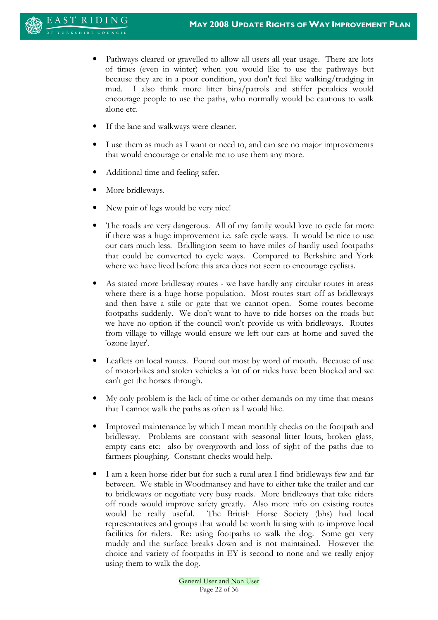- Pathways cleared or gravelled to allow all users all year usage. There are lots of times (even in winter) when you would like to use the pathways but because they are in a poor condition, you don't feel like walking/trudging in I also think more litter bins/patrols and stiffer penalties would mud. encourage people to use the paths, who normally would be cautious to walk alone etc.
- If the lane and walkways were cleaner.
- I use them as much as I want or need to, and can see no major improvements that would encourage or enable me to use them any more.
- Additional time and feeling safer.
- More bridleways.
- New pair of legs would be very nice!
- The roads are very dangerous. All of my family would love to cycle far more if there was a huge improvement i.e. safe cycle ways. It would be nice to use our cars much less. Bridlington seem to have miles of hardly used footpaths that could be converted to cycle ways. Compared to Berkshire and York where we have lived before this area does not seem to encourage cyclists.
- As stated more bridleway routes we have hardly any circular routes in areas where there is a huge horse population. Most routes start off as bridleways and then have a stile or gate that we cannot open. Some routes become footpaths suddenly. We don't want to have to ride horses on the roads but we have no option if the council won't provide us with bridleways. Routes from village to village would ensure we left our cars at home and saved the 'ozone layer'.
- Leaflets on local routes. Found out most by word of mouth. Because of use of motorbikes and stolen vehicles a lot of or rides have been blocked and we can't get the horses through.
- My only problem is the lack of time or other demands on my time that means that I cannot walk the paths as often as I would like.
- Improved maintenance by which I mean monthly checks on the footpath and bridleway. Problems are constant with seasonal litter louts, broken glass, empty cans etc: also by overgrowth and loss of sight of the paths due to farmers ploughing. Constant checks would help.
- I am a keen horse rider but for such a rural area I find bridleways few and far between. We stable in Woodmansey and have to either take the trailer and car to bridleways or negotiate very busy roads. More bridleways that take riders off roads would improve safety greatly. Also more info on existing routes would be really useful. The British Horse Society (bhs) had local representatives and groups that would be worth liaising with to improve local facilities for riders. Re: using footpaths to walk the dog. Some get very muddy and the surface breaks down and is not maintained. However the choice and variety of footpaths in EY is second to none and we really enjoy using them to walk the dog.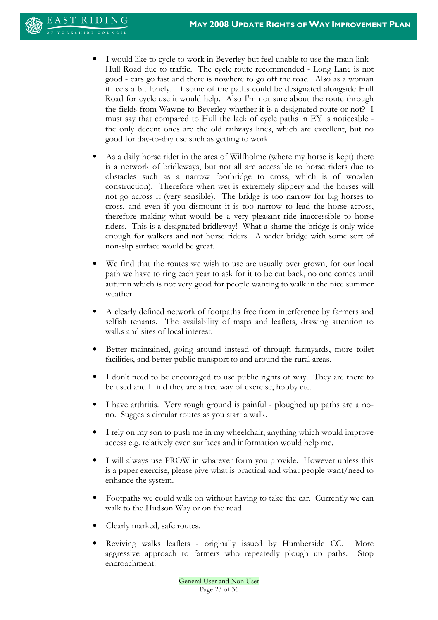

- I would like to cycle to work in Beverley but feel unable to use the main link -Hull Road due to traffic. The cycle route recommended - Long Lane is not good - cars go fast and there is nowhere to go off the road. Also as a woman it feels a bit lonely. If some of the paths could be designated alongside Hull Road for cycle use it would help. Also I'm not sure about the route through the fields from Wawne to Beverley whether it is a designated route or not? I must say that compared to Hull the lack of cycle paths in EY is noticeable the only decent ones are the old railways lines, which are excellent, but no good for day-to-day use such as getting to work.
- As a daily horse rider in the area of Wilfholme (where my horse is kept) there is a network of bridleways, but not all are accessible to horse riders due to obstacles such as a narrow footbridge to cross, which is of wooden construction). Therefore when wet is extremely slippery and the horses will not go across it (very sensible). The bridge is too narrow for big horses to cross, and even if you dismount it is too narrow to lead the horse across, therefore making what would be a very pleasant ride inaccessible to horse riders. This is a designated bridleway! What a shame the bridge is only wide enough for walkers and not horse riders. A wider bridge with some sort of non-slip surface would be great.
- We find that the routes we wish to use are usually over grown, for our local path we have to ring each year to ask for it to be cut back, no one comes until autumn which is not very good for people wanting to walk in the nice summer weather.
- A clearly defined network of footpaths free from interference by farmers and selfish tenants. The availability of maps and leaflets, drawing attention to walks and sites of local interest.
- Better maintained, going around instead of through farmyards, more toilet facilities, and better public transport to and around the rural areas.
- I don't need to be encouraged to use public rights of way. They are there to be used and I find they are a free way of exercise, hobby etc.
- I have arthritis. Very rough ground is painful ploughed up paths are a nono. Suggests circular routes as you start a walk.
- I rely on my son to push me in my wheelchair, anything which would improve access e.g. relatively even surfaces and information would help me.
- I will always use PROW in whatever form you provide. However unless this is a paper exercise, please give what is practical and what people want/need to enhance the system.
- Footpaths we could walk on without having to take the car. Currently we can walk to the Hudson Way or on the road.
- Clearly marked, safe routes.
- Reviving walks leaflets originally issued by Humberside CC. More aggressive approach to farmers who repeatedly plough up paths. Stop encroachment!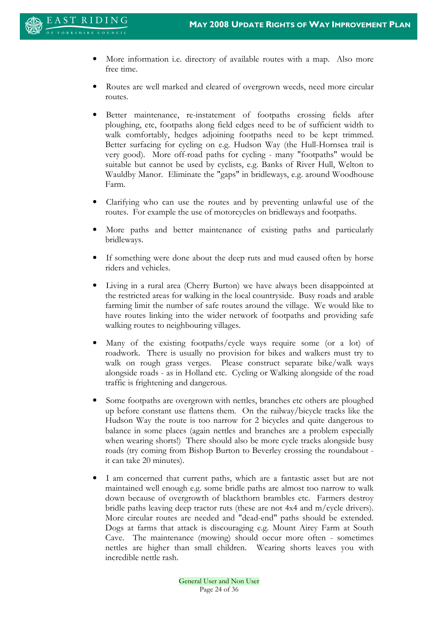- More information i.e. directory of available routes with a map. Also more free time.
- Routes are well marked and cleared of overgrown weeds, need more circular routes.
- Better maintenance, re-instatement of footpaths crossing fields after ploughing, etc, footpaths along field edges need to be of sufficient width to walk comfortably, hedges adjoining footpaths need to be kept trimmed. Better surfacing for cycling on e.g. Hudson Way (the Hull-Hornsea trail is very good). More off-road paths for cycling - many "footpaths" would be suitable but cannot be used by cyclists, e.g. Banks of River Hull, Welton to Wauldby Manor. Eliminate the "gaps" in bridleways, e.g. around Woodhouse Farm.
- Clarifying who can use the routes and by preventing unlawful use of the routes. For example the use of motorcycles on bridleways and footpaths.
- More paths and better maintenance of existing paths and particularly bridleways.
- If something were done about the deep ruts and mud caused often by horse riders and vehicles.
- Living in a rural area (Cherry Burton) we have always been disappointed at the restricted areas for walking in the local countryside. Busy roads and arable farming limit the number of safe routes around the village. We would like to have routes linking into the wider network of footpaths and providing safe walking routes to neighbouring villages.
- Many of the existing footpaths/cycle ways require some (or a lot) of roadwork. There is usually no provision for bikes and walkers must try to walk on rough grass verges. Please construct separate bike/walk ways alongside roads - as in Holland etc. Cycling or Walking alongside of the road traffic is frightening and dangerous.
- Some footpaths are overgrown with nettles, branches etc others are ploughed up before constant use flattens them. On the railway/bicycle tracks like the Hudson Way the route is too narrow for 2 bicycles and quite dangerous to balance in some places (again nettles and branches are a problem especially when wearing shorts!) There should also be more cycle tracks alongside busy roads (try coming from Bishop Burton to Beverley crossing the roundabout it can take 20 minutes).
- I am concerned that current paths, which are a fantastic asset but are not maintained well enough e.g. some bridle paths are almost too narrow to walk down because of overgrowth of blackthorn brambles etc. Farmers destroy bridle paths leaving deep tractor ruts (these are not 4x4 and m/cycle drivers). More circular routes are needed and "dead-end" paths should be extended. Dogs at farms that attack is discouraging e.g. Mount Airey Farm at South Cave. The maintenance (mowing) should occur more often - sometimes nettles are higher than small children. Wearing shorts leaves you with incredible nettle rash.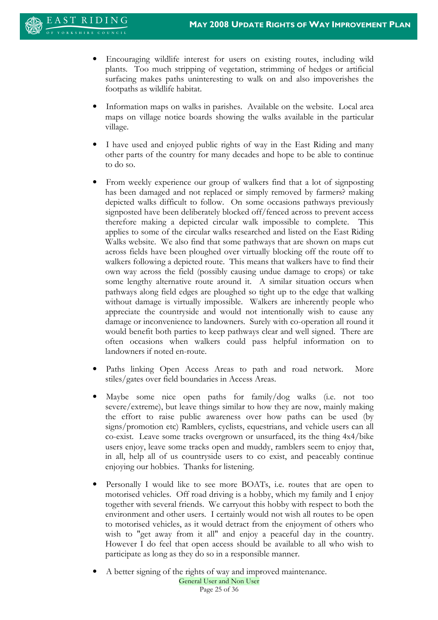- Encouraging wildlife interest for users on existing routes, including wild plants. Too much stripping of vegetation, strimming of hedges or artificial surfacing makes paths uninteresting to walk on and also impoverishes the footpaths as wildlife habitat.
- Information maps on walks in parishes. Available on the website. Local area maps on village notice boards showing the walks available in the particular village.
- I have used and enjoyed public rights of way in the East Riding and many other parts of the country for many decades and hope to be able to continue to do so.
- From weekly experience our group of walkers find that a lot of signposting has been damaged and not replaced or simply removed by farmers? making depicted walks difficult to follow. On some occasions pathways previously signposted have been deliberately blocked off/fenced across to prevent access therefore making a depicted circular walk impossible to complete. This applies to some of the circular walks researched and listed on the East Riding Walks website. We also find that some pathways that are shown on maps cut across fields have been ploughed over virtually blocking off the route off to walkers following a depicted route. This means that walkers have to find their own way across the field (possibly causing undue damage to crops) or take some lengthy alternative route around it. A similar situation occurs when pathways along field edges are ploughed so tight up to the edge that walking without damage is virtually impossible. Walkers are inherently people who appreciate the countryside and would not intentionally wish to cause any damage or inconvenience to landowners. Surely with co-operation all round it would benefit both parties to keep pathways clear and well signed. There are often occasions when walkers could pass helpful information on to landowners if noted en-route.
- Paths linking Open Access Areas to path and road network. More stiles/gates over field boundaries in Access Areas.
- Maybe some nice open paths for family/dog walks (i.e. not too severe/extreme), but leave things similar to how they are now, mainly making the effort to raise public awareness over how paths can be used (by signs/promotion etc) Ramblers, cyclists, equestrians, and vehicle users can all co-exist. Leave some tracks overgrown or unsurfaced, its the thing 4x4/bike users enjoy, leave some tracks open and muddy, ramblers seem to enjoy that, in all, help all of us countryside users to co exist, and peaceably continue enjoying our hobbies. Thanks for listening.
- Personally I would like to see more BOATs, i.e. routes that are open to motorised vehicles. Off road driving is a hobby, which my family and I enjoy together with several friends. We carryout this hobby with respect to both the environment and other users. I certainly would not wish all routes to be open to motorised vehicles, as it would detract from the enjoyment of others who wish to "get away from it all" and enjoy a peaceful day in the country. However I do feel that open access should be available to all who wish to participate as long as they do so in a responsible manner.

A better signing of the rights of way and improved maintenance.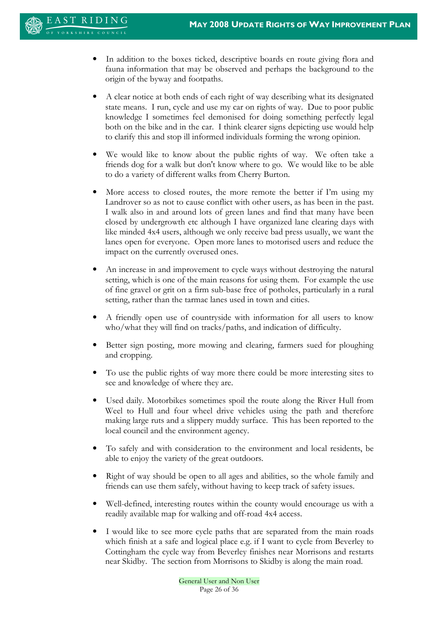

- In addition to the boxes ticked, descriptive boards en route giving flora and fauna information that may be observed and perhaps the background to the origin of the byway and footpaths.
- A clear notice at both ends of each right of way describing what its designated state means. I run, cycle and use my car on rights of way. Due to poor public knowledge I sometimes feel demonised for doing something perfectly legal both on the bike and in the car. I think clearer signs depicting use would help to clarify this and stop ill informed individuals forming the wrong opinion.
- We would like to know about the public rights of way. We often take a friends dog for a walk but don't know where to go. We would like to be able to do a variety of different walks from Cherry Burton.
- More access to closed routes, the more remote the better if I'm using my Landrover so as not to cause conflict with other users, as has been in the past. I walk also in and around lots of green lanes and find that many have been closed by undergrowth etc although I have organized lane clearing days with like minded 4x4 users, although we only receive bad press usually, we want the lanes open for everyone. Open more lanes to motorised users and reduce the impact on the currently overused ones.
- An increase in and improvement to cycle ways without destroying the natural setting, which is one of the main reasons for using them. For example the use of fine gravel or grit on a firm sub-base free of potholes, particularly in a rural setting, rather than the tarmac lanes used in town and cities.
- A friendly open use of countryside with information for all users to know who/what they will find on tracks/paths, and indication of difficulty.
- Better sign posting, more mowing and clearing, farmers sued for ploughing and cropping.
- To use the public rights of way more there could be more interesting sites to see and knowledge of where they are.
- Used daily. Motorbikes sometimes spoil the route along the River Hull from Weel to Hull and four wheel drive vehicles using the path and therefore making large ruts and a slippery muddy surface. This has been reported to the local council and the environment agency.
- To safely and with consideration to the environment and local residents, be able to enjoy the variety of the great outdoors.
- Right of way should be open to all ages and abilities, so the whole family and friends can use them safely, without having to keep track of safety issues.
- Well-defined, interesting routes within the county would encourage us with a readily available map for walking and off-road 4x4 access.
- I would like to see more cycle paths that are separated from the main roads which finish at a safe and logical place e.g. if I want to cycle from Beverley to Cottingham the cycle way from Beverley finishes near Morrisons and restarts near Skidby. The section from Morrisons to Skidby is along the main road.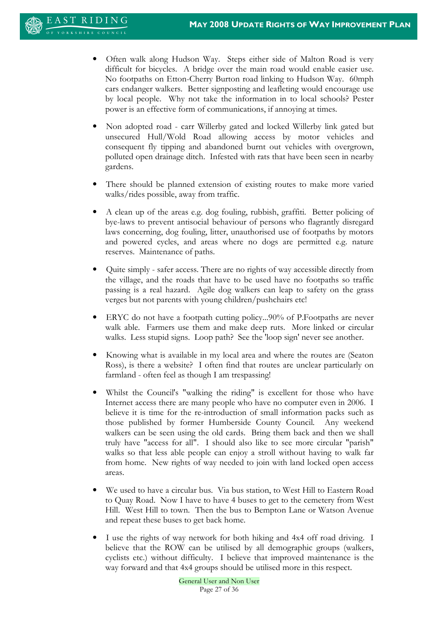

- Often walk along Hudson Way. Steps either side of Malton Road is very difficult for bicycles. A bridge over the main road would enable easier use. No footpaths on Etton-Cherry Burton road linking to Hudson Way. 60mph cars endanger walkers. Better signposting and leafleting would encourage use by local people. Why not take the information in to local schools? Pester power is an effective form of communications, if annoying at times.
- Non adopted road carr Willerby gated and locked Willerby link gated but unsecured Hull/Wold Road allowing access by motor vehicles and consequent fly tipping and abandoned burnt out vehicles with overgrown, polluted open drainage ditch. Infested with rats that have been seen in nearby gardens.
- There should be planned extension of existing routes to make more varied walks/rides possible, away from traffic.
- A clean up of the areas e.g. dog fouling, rubbish, graffiti. Better policing of bye-laws to prevent antisocial behaviour of persons who flagrantly disregard laws concerning, dog fouling, litter, unauthorised use of footpaths by motors and powered cycles, and areas where no dogs are permitted e.g. nature reserves. Maintenance of paths.
- Quite simply safer access. There are no rights of way accessible directly from the village, and the roads that have to be used have no footpaths so traffic passing is a real hazard. Agile dog walkers can leap to safety on the grass verges but not parents with young children/pushchairs etcl
- ERYC do not have a footpath cutting policy...90% of P.Footpaths are never walk able. Farmers use them and make deep ruts. More linked or circular walks. Less stupid signs. Loop path? See the 'loop sign' never see another.
- Knowing what is available in my local area and where the routes are (Seaton Ross), is there a website? I often find that routes are unclear particularly on farmland - often feel as though I am trespassing!
- Whilst the Council's "walking the riding" is excellent for those who have Internet access there are many people who have no computer even in 2006. I believe it is time for the re-introduction of small information packs such as those published by former Humberside County Council. Any weekend walkers can be seen using the old cards. Bring them back and then we shall truly have "access for all". I should also like to see more circular "parish" walks so that less able people can enjoy a stroll without having to walk far from home. New rights of way needed to join with land locked open access areas.
- We used to have a circular bus. Via bus station, to West Hill to Eastern Road to Quay Road. Now I have to have 4 buses to get to the cemetery from West Hill. West Hill to town. Then the bus to Bempton Lane or Watson Avenue and repeat these buses to get back home.
- I use the rights of way network for both hiking and 4x4 off road driving. I believe that the ROW can be utilised by all demographic groups (walkers, cyclists etc.) without difficulty. I believe that improved maintenance is the way forward and that 4x4 groups should be utilised more in this respect.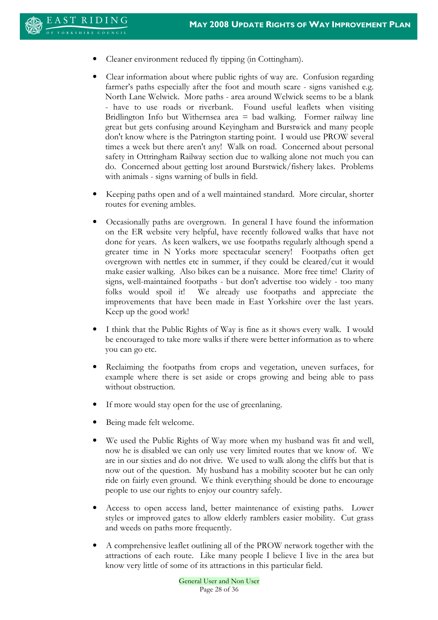

- Cleaner environment reduced fly tipping (in Cottingham).
- Clear information about where public rights of way are. Confusion regarding farmer's paths especially after the foot and mouth scare - signs vanished e.g. North Lane Welwick. More paths - area around Welwick seems to be a blank Found useful leaflets when visiting - have to use roads or riverbank. Bridlington Info but Withernsea area  $=$  bad walking. Former railway line great but gets confusing around Keyingham and Burstwick and many people don't know where is the Patrington starting point. I would use PROW several times a week but there aren't any! Walk on road. Concerned about personal safety in Ottringham Railway section due to walking alone not much you can do. Concerned about getting lost around Burstwick/fishery lakes. Problems with animals - signs warning of bulls in field.
- Keeping paths open and of a well maintained standard. More circular, shorter routes for evening ambles.
- Occasionally paths are overgrown. In general I have found the information on the ER website very helpful, have recently followed walks that have not done for years. As keen walkers, we use footpaths regularly although spend a greater time in N Yorks more spectacular scenery! Footpaths often get overgrown with nettles etc in summer, if they could be cleared/cut it would make easier walking. Also bikes can be a nuisance. More free time! Clarity of signs, well-maintained footpaths - but don't advertise too widely - too many We already use footpaths and appreciate the folks would spoil it! improvements that have been made in East Yorkshire over the last years. Keep up the good work!
- I think that the Public Rights of Way is fine as it shows every walk. I would be encouraged to take more walks if there were better information as to where you can go etc.
- Reclaiming the footpaths from crops and vegetation, uneven surfaces, for example where there is set aside or crops growing and being able to pass without obstruction.
- If more would stay open for the use of greenlaning.
- Being made felt welcome.
- We used the Public Rights of Way more when my husband was fit and well, now he is disabled we can only use very limited routes that we know of. We are in our sixties and do not drive. We used to walk along the cliffs but that is now out of the question. My husband has a mobility scooter but he can only ride on fairly even ground. We think everything should be done to encourage people to use our rights to enjoy our country safely.
- Access to open access land, better maintenance of existing paths. Lower styles or improved gates to allow elderly ramblers easier mobility. Cut grass and weeds on paths more frequently.
- A comprehensive leaflet outlining all of the PROW network together with the attractions of each route. Like many people I believe I live in the area but know very little of some of its attractions in this particular field.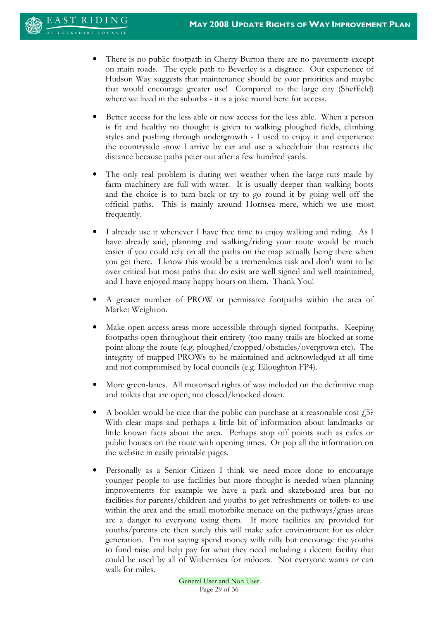

- There is no public footpath in Cherry Burton there are no pavements except on main roads. The cycle path to Beverley is a disgrace. Our experience of Hudson Way suggests that maintenance should be your priorities and maybe that would encourage greater use! Compared to the large city (Sheffield) where we lived in the suburbs - it is a joke round here for access.
- Better access for the less able or new access for the less able. When a person is fit and healthy no thought is given to walking ploughed fields, climbing styles and pushing through undergrowth - I used to enjoy it and experience the countryside -now I arrive by car and use a wheelchair that restricts the distance because paths peter out after a few hundred yards.
- The only real problem is during wet weather when the large ruts made by farm machinery are full with water. It is usually deeper than walking boots and the choice is to turn back or try to go round it by going well off the official paths. This is mainly around Hornsea mere, which we use most frequently.
- I already use it whenever I have free time to enjoy walking and riding. As I have already said, planning and walking/riding your route would be much easier if you could rely on all the paths on the map actually being there when you get there. I know this would be a tremendous task and don't want to be over critical but most paths that do exist are well signed and well maintained, and I have enjoyed many happy hours on them. Thank You!
- A greater number of PROW or permissive footpaths within the area of Market Weighton.
- Make open access areas more accessible through signed footpaths. Keeping footpaths open throughout their entirety (too many trails are blocked at some point along the route (e.g. ploughed/cropped/obstacles/overgrown etc). The integrity of mapped PROWs to be maintained and acknowledged at all time and not compromised by local councils (e.g. Elloughton FP4).
- More green-lanes. All motorised rights of way included on the definitive map and toilets that are open, not closed/knocked down.
- A booklet would be nice that the public can purchase at a reasonable cost  $\sqrt{5}$ ? With clear maps and perhaps a little bit of information about landmarks or little known facts about the area. Perhaps stop off points such as cafes or public houses on the route with opening times. Or pop all the information on the website in easily printable pages.
- Personally as a Senior Citizen I think we need more done to encourage younger people to use facilities but more thought is needed when planning improvements for example we have a park and skateboard area but no facilities for parents/children and youths to get refreshments or toilets to use within the area and the small motorbike menace on the pathways/grass areas are a danger to everyone using them. If more facilities are provided for youths/parents etc then surely this will make safer environment for us older generation. I'm not saying spend money willy nilly but encourage the youths to fund raise and help pay for what they need including a decent facility that could be used by all of Withernsea for indoors. Not everyone wants or can walk for miles.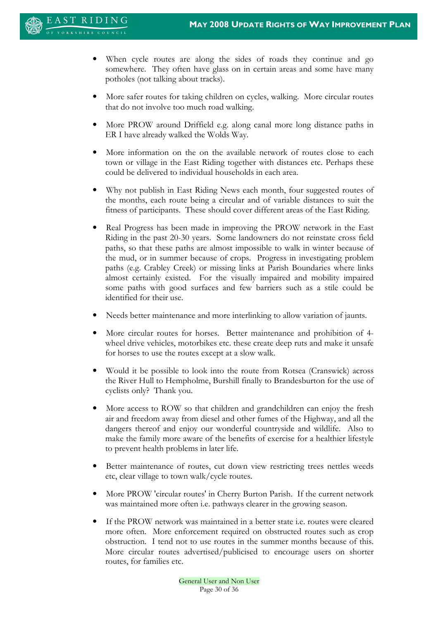- When cycle routes are along the sides of roads they continue and go somewhere. They often have glass on in certain areas and some have many potholes (not talking about tracks).
- More safer routes for taking children on cycles, walking. More circular routes that do not involve too much road walking.
- More PROW around Driffield e.g. along canal more long distance paths in ER I have already walked the Wolds Way.
- More information on the on the available network of routes close to each town or village in the East Riding together with distances etc. Perhaps these could be delivered to individual households in each area.
- Why not publish in East Riding News each month, four suggested routes of the months, each route being a circular and of variable distances to suit the fitness of participants. These should cover different areas of the East Riding.
- Real Progress has been made in improving the PROW network in the East Riding in the past 20-30 years. Some landowners do not reinstate cross field paths, so that these paths are almost impossible to walk in winter because of the mud, or in summer because of crops. Progress in investigating problem paths (e.g. Crabley Creek) or missing links at Parish Boundaries where links almost certainly existed. For the visually impaired and mobility impaired some paths with good surfaces and few barriers such as a stile could be identified for their use.
- Needs better maintenance and more interlinking to allow variation of jaunts.
- More circular routes for horses. Better maintenance and prohibition of 4wheel drive vehicles, motorbikes etc. these create deep ruts and make it unsafe for horses to use the routes except at a slow walk.
- Would it be possible to look into the route from Rotsea (Cranswick) across the River Hull to Hempholme, Burshill finally to Brandesburton for the use of cyclists only? Thank you.
- More access to ROW so that children and grandchildren can enjoy the fresh air and freedom away from diesel and other fumes of the Highway, and all the dangers thereof and enjoy our wonderful countryside and wildlife. Also to make the family more aware of the benefits of exercise for a healthier lifestyle to prevent health problems in later life.
- Better maintenance of routes, cut down view restricting trees nettles weeds etc, clear village to town walk/cycle routes.
- More PROW 'circular routes' in Cherry Burton Parish. If the current network was maintained more often i.e. pathways clearer in the growing season.
- If the PROW network was maintained in a better state i.e. routes were cleared more often. More enforcement required on obstructed routes such as crop obstruction. I tend not to use routes in the summer months because of this. More circular routes advertised/publicised to encourage users on shorter routes, for families etc.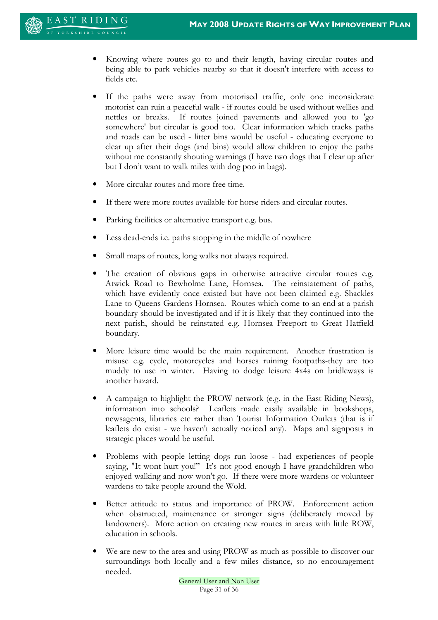

- Knowing where routes go to and their length, having circular routes and being able to park vehicles nearby so that it doesn't interfere with access to fields etc
- If the paths were away from motorised traffic, only one inconsiderate motorist can ruin a peaceful walk - if routes could be used without wellies and nettles or breaks. If routes joined pavements and allowed you to 'go somewhere' but circular is good too. Clear information which tracks paths and roads can be used - litter bins would be useful - educating everyone to clear up after their dogs (and bins) would allow children to enjoy the paths without me constantly shouting warnings (I have two dogs that I clear up after but I don't want to walk miles with dog poo in bags).
- More circular routes and more free time.
- If there were more routes available for horse riders and circular routes.
- Parking facilities or alternative transport e.g. bus.
- Less dead-ends i.e. paths stopping in the middle of nowhere
- Small maps of routes, long walks not always required.
- The creation of obvious gaps in otherwise attractive circular routes e.g. Atwick Road to Bewholme Lane, Hornsea. The reinstatement of paths, which have evidently once existed but have not been claimed e.g. Shackles Lane to Queens Gardens Hornsea. Routes which come to an end at a parish boundary should be investigated and if it is likely that they continued into the next parish, should be reinstated e.g. Hornsea Freeport to Great Hatfield boundary.
- More leisure time would be the main requirement. Another frustration is misuse e.g. cycle, motorcycles and horses ruining footpaths-they are too muddy to use in winter. Having to dodge leisure 4x4s on bridleways is another hazard.
- A campaign to highlight the PROW network (e.g. in the East Riding News), information into schools? Leaflets made easily available in bookshops, newsagents, libraries etc rather than Tourist Information Outlets (that is if leaflets do exist - we haven't actually noticed any). Maps and signposts in strategic places would be useful.
- Problems with people letting dogs run loose had experiences of people saying, "It wont hurt you!" It's not good enough I have grandchildren who enjoyed walking and now won't go. If there were more wardens or volunteer wardens to take people around the Wold.
- Better attitude to status and importance of PROW. Enforcement action when obstructed, maintenance or stronger signs (deliberately moved by landowners). More action on creating new routes in areas with little ROW, education in schools.
- We are new to the area and using PROW as much as possible to discover our surroundings both locally and a few miles distance, so no encouragement needed.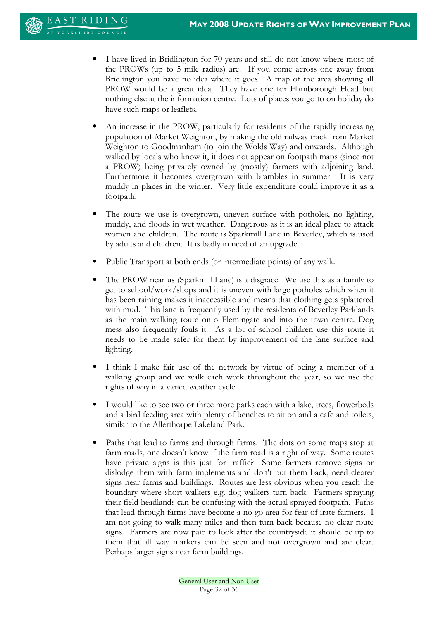- I have lived in Bridlington for 70 years and still do not know where most of the PROWs (up to 5 mile radius) are. If you come across one away from Bridlington you have no idea where it goes. A map of the area showing all PROW would be a great idea. They have one for Flamborough Head but nothing else at the information centre. Lots of places you go to on holiday do have such maps or leaflets.
- An increase in the PROW, particularly for residents of the rapidly increasing population of Market Weighton, by making the old railway track from Market Weighton to Goodmanham (to join the Wolds Way) and onwards. Although walked by locals who know it, it does not appear on footpath maps (since not a PROW) being privately owned by (mostly) farmers with adjoining land. Furthermore it becomes overgrown with brambles in summer. It is very muddy in places in the winter. Very little expenditure could improve it as a footpath.
- The route we use is overgrown, uneven surface with potholes, no lighting, muddy, and floods in wet weather. Dangerous as it is an ideal place to attack women and children. The route is Sparkmill Lane in Beverley, which is used by adults and children. It is badly in need of an upgrade.
- Public Transport at both ends (or intermediate points) of any walk.
- The PROW near us (Sparkmill Lane) is a disgrace. We use this as a family to get to school/work/shops and it is uneven with large potholes which when it has been raining makes it inaccessible and means that clothing gets splattered with mud. This lane is frequently used by the residents of Beverley Parklands as the main walking route onto Flemingate and into the town centre. Dog mess also frequently fouls it. As a lot of school children use this route it needs to be made safer for them by improvement of the lane surface and lighting.
- I think I make fair use of the network by virtue of being a member of a walking group and we walk each week throughout the year, so we use the rights of way in a varied weather cycle.
- I would like to see two or three more parks each with a lake, trees, flowerbeds and a bird feeding area with plenty of benches to sit on and a cafe and toilets, similar to the Allerthorpe Lakeland Park.
- Paths that lead to farms and through farms. The dots on some maps stop at farm roads, one doesn't know if the farm road is a right of way. Some routes have private signs is this just for traffic? Some farmers remove signs or dislodge them with farm implements and don't put them back, need clearer signs near farms and buildings. Routes are less obvious when you reach the boundary where short walkers e.g. dog walkers turn back. Farmers spraying their field headlands can be confusing with the actual sprayed footpath. Paths that lead through farms have become a no go area for fear of irate farmers. I am not going to walk many miles and then turn back because no clear route signs. Farmers are now paid to look after the countryside it should be up to them that all way markers can be seen and not overgrown and are clear. Perhaps larger signs near farm buildings.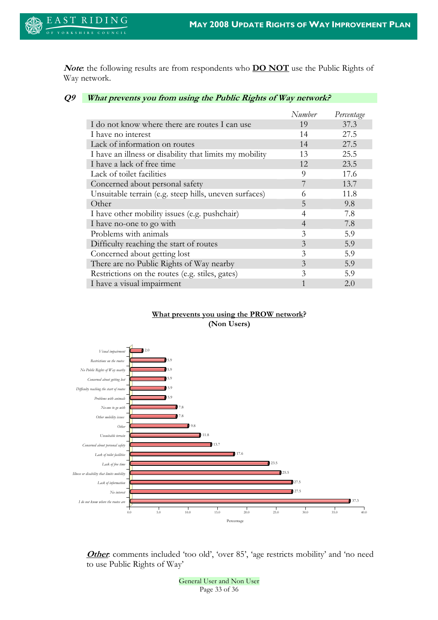

Note: the following results are from respondents who **DO NOT** use the Public Rights of Way network.

#### $Qg$ What prevents you from using the Public Rights of Way network?

|                                                         | Number   | Percentage |
|---------------------------------------------------------|----------|------------|
| I do not know where there are routes I can use          | 19       | 37.3       |
| I have no interest                                      | 14       | 27.5       |
| Lack of information on routes                           | 14       | 27.5       |
| I have an illness or disability that limits my mobility | 13       | 25.5       |
| I have a lack of free time                              | 12       | 23.5       |
| Lack of toilet facilities                               | 9        | 17.6       |
| Concerned about personal safety                         |          | 13.7       |
| Unsuitable terrain (e.g. steep hills, uneven surfaces)  | $^{(1)}$ | 11.8       |
| Other                                                   | 5        | 9.8        |
| I have other mobility issues (e.g. pushchair)           | 4        | 7.8        |
| I have no-one to go with                                | 4        | 7.8        |
| Problems with animals                                   | 3        | 5.9        |
| Difficulty reaching the start of routes                 | 3        | 5.9        |
| Concerned about getting lost                            | 3        | 5.9        |
| There are no Public Rights of Way nearby                | 3        | 5.9        |
| Restrictions on the routes (e.g. stiles, gates)         | 3        | 5.9        |
| I have a visual impairment                              |          | 2.0        |

#### What prevents you using the PROW network? (Non Users)



Other comments included 'too old', 'over 85', 'age restricts mobility' and 'no need to use Public Rights of Way'

> General User and Non User Page 33 of 36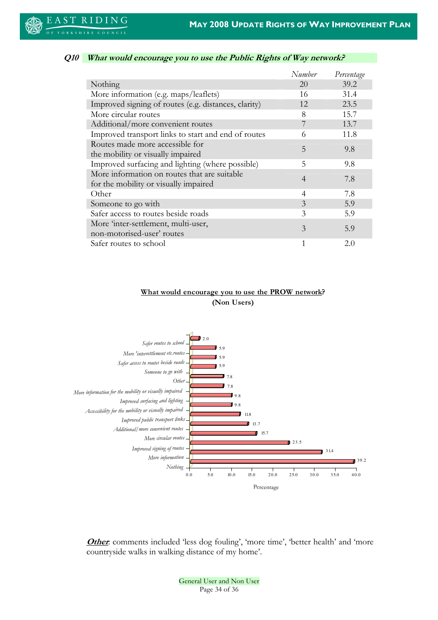|                                                      | Number         | Percentage |
|------------------------------------------------------|----------------|------------|
| Nothing                                              | 20             | 39.2       |
| More information (e.g. maps/leaflets)                | 16             | 31.4       |
| Improved signing of routes (e.g. distances, clarity) | 12             | 23.5       |
| More circular routes                                 | 8              | 15.7       |
| Additional/more convenient routes                    | 7              | 13.7       |
| Improved transport links to start and end of routes  | 6              | 11.8       |
| Routes made more accessible for                      | 5              | 9.8        |
| the mobility or visually impaired                    |                |            |
| Improved surfacing and lighting (where possible)     | 5              | 9.8        |
| More information on routes that are suitable         | $\overline{4}$ | 7.8        |
| for the mobility or visually impaired                |                |            |
| Other                                                | 4              | 7.8        |
| Someone to go with                                   | 3              | 5.9        |
| Safer access to routes beside roads                  | 3              | 5.9        |
| More 'inter-settlement, multi-user,                  | 3              | 5.9        |
| non-motorised-user' routes                           |                |            |
| Safer routes to school                               | 1              | 2.0        |

#### What would encourage you to use the Public Rights of Way network?  $Q10$

### What would encourage you to use the PROW network?

(Non Users)



Other comments included 'less dog fouling', 'more time', 'better health' and 'more countryside walks in walking distance of my home'.

> General User and Non User Page 34 of 36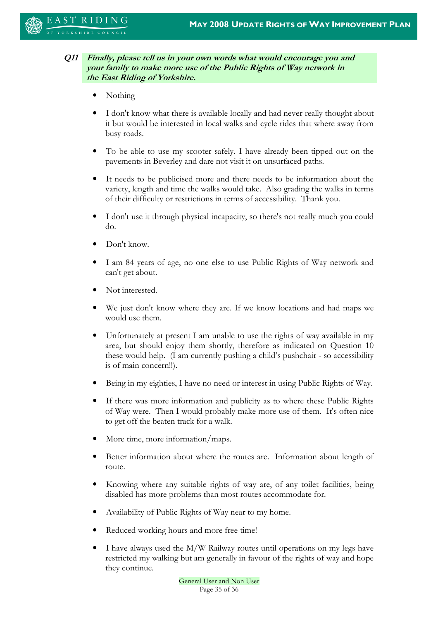## Finally, please tell us in your own words what would encourage you and 011 your family to make more use of the Public Rights of Way network in the East Riding of Yorkshire.

- Nothing
- I don't know what there is available locally and had never really thought about it but would be interested in local walks and cycle rides that where away from busy roads.
- To be able to use my scooter safely. I have already been tipped out on the pavements in Beverley and dare not visit it on unsurfaced paths.
- It needs to be publicised more and there needs to be information about the variety, length and time the walks would take. Also grading the walks in terms of their difficulty or restrictions in terms of accessibility. Thank you.
- I don't use it through physical incapacity, so there's not really much you could  $\bullet$  $d_{0}$ .
- Don't know.
- I am 84 years of age, no one else to use Public Rights of Way network and can't get about.
- Not interested.
- We just don't know where they are. If we know locations and had maps we would use them.
- Unfortunately at present I am unable to use the rights of way available in my area, but should enjoy them shortly, therefore as indicated on Question 10 these would help. (I am currently pushing a child's pushchair - so accessibility is of main concern!!).
- Being in my eighties, I have no need or interest in using Public Rights of Way.
- If there was more information and publicity as to where these Public Rights of Way were. Then I would probably make more use of them. It's often nice to get off the beaten track for a walk.
- More time, more information/maps.
- Better information about where the routes are. Information about length of route.
- Knowing where any suitable rights of way are, of any toilet facilities, being disabled has more problems than most routes accommodate for.
- Availability of Public Rights of Way near to my home.
- Reduced working hours and more free time!
- I have always used the M/W Railway routes until operations on my legs have restricted my walking but am generally in favour of the rights of way and hope they continue.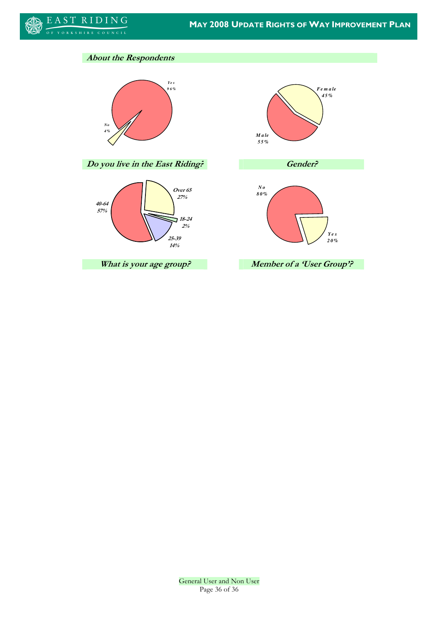

**About the Respondents** 

40-64  $57%$ 



Over 65

 $27%$ 

 $18 - 24$  $2%$ 

 $25 - 39$ 

 $14%$ 

What is your age group?

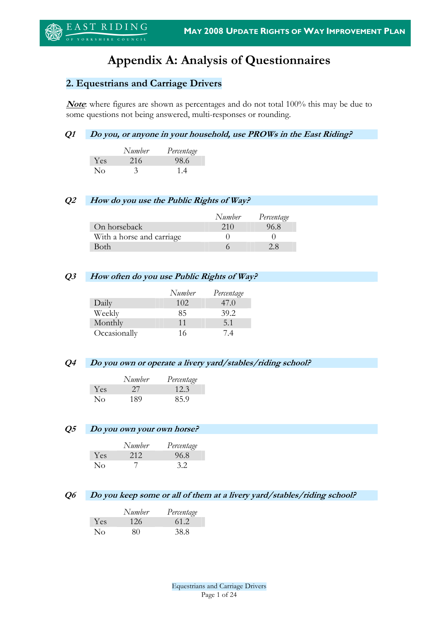# **Appendix A: Analysis of Questionnaires**

## 2. Equestrians and Carriage Drivers

R I

DING

**Note**: where figures are shown as percentages and do not total 100% this may be due to some questions not being answered, multi-responses or rounding.

### Do you, or anyone in your household, use PROWs in the East Riding? *O1*

|     | Number | Percentage |
|-----|--------|------------|
| Yes | 216    | 98.6       |
| Nο  | 3      | 1.4        |

#### How do you use the Public Rights of Way? **Q2**

|                           | Number | Percentage |
|---------------------------|--------|------------|
| On horseback              | 210    | 96.8       |
| With a horse and carriage |        |            |
| Both'                     |        | 28         |

### How often do you use Public Rights of Way?  $Q3$

|              | Number | Percentage |
|--------------|--------|------------|
| Daily        | 102    | 47.0       |
| Weekly       | 85     | 39.2       |
| Monthly      | 11     | 5.1        |
| Occasionally | 16     | 74         |

### Do you own or operate a livery yard/stables/riding school?  $Q4$

|                | Number | Percentage |
|----------------|--------|------------|
| <b>Yes</b>     | 27     | 12.3       |
| N <sub>0</sub> | 189    | 85.9       |

#### $Q<sub>5</sub>$ Do you own your own horse?

|            | Number | Percentage |
|------------|--------|------------|
| <b>Yes</b> | 212    | 96.8       |
| No.        |        | 3.2        |

#### $Q6$ Do you keep some or all of them at a livery yard/stables/riding school?

|            | Number | Percentage |
|------------|--------|------------|
| <b>Yes</b> | 126    | 61.2       |
| Nο         | 80     | 38.8       |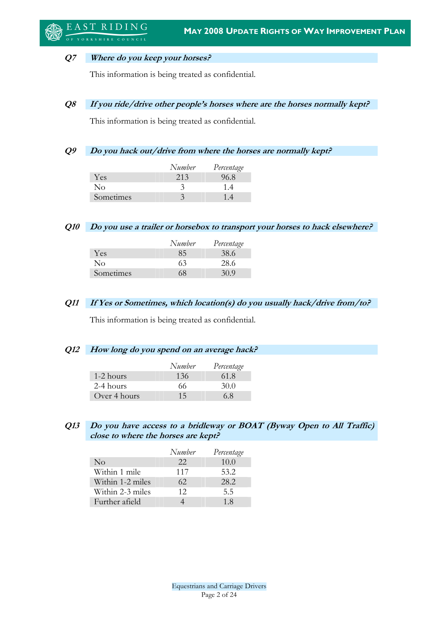### $Q$ 7 Where do you keep your horses?

This information is being treated as confidential.

### $Q8$ If you ride/drive other people's horses where are the horses normally kept?

This information is being treated as confidential.

### $Qg$ Do you hack out/drive from where the horses are normally kept?

|           | Number | Percentage |
|-----------|--------|------------|
| Yes       | 213    | 96.8       |
| Nο        |        | 14         |
| Sometimes |        |            |

## Q10 Do you use a trailer or horsebox to transport your horses to hack elsewhere?

|           | Number | Percentage |
|-----------|--------|------------|
| Yes       | 85     | 38.6       |
| No        | 63     | 28.6       |
| Sometimes | 68     | 30.9       |

## Q11 If Yes or Sometimes, which location(s) do you usually hack/drive from/to?

This information is being treated as confidential.

## Q12 How long do you spend on an average hack?

|              | Number | Percentage |
|--------------|--------|------------|
| $1-2$ hours  | 136    | 61.8       |
| 2-4 hours    | 66     | 30.0       |
| Over 4 hours | 15.    | 68         |

| Q13 Do you have access to a bridleway or BOAT (Byway Open to All Traffic) |
|---------------------------------------------------------------------------|
| close to where the horses are kept?                                       |

|                  | Number | Percentage |
|------------------|--------|------------|
| $\rm No$         | 22     | 10.0       |
| Within 1 mile    | 117    | 53.2       |
| Within 1-2 miles | 62.    | 28.2       |
| Within 2-3 miles | 12     | 5.5        |
| Further afield   |        | 18         |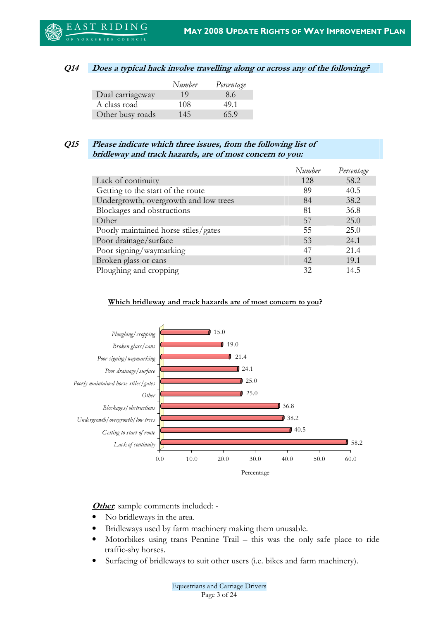### **O14** Does a typical hack involve travelling along or across any of the following?

|                  | Number | Percentage |
|------------------|--------|------------|
| Dual carriageway | 19     | 8.6        |
| A class road     | 108    | 49.1       |
| Other busy roads | 145    | 65.9       |

## Q15 Please indicate which three issues, from the following list of bridleway and track hazards, are of most concern to you:

|                                       | Number | Percentage |
|---------------------------------------|--------|------------|
| Lack of continuity                    | 128    | 58.2       |
| Getting to the start of the route     | 89     | 40.5       |
| Undergrowth, overgrowth and low trees | 84     | 38.2       |
| Blockages and obstructions            | 81     | 36.8       |
| Other                                 | 57     | 25.0       |
| Poorly maintained horse stiles/gates  | 55     | 25.0       |
| Poor drainage/surface                 | 53     | 24.1       |
| Poor signing/waymarking               | 47     | 21.4       |
| Broken glass or cans                  | 42     | 19.1       |
| Ploughing and cropping                | 32     | 14.5       |

## Which bridleway and track hazards are of most concern to you?



Other sample comments included: -

- No bridleways in the area.  $\bullet$
- Bridleways used by farm machinery making them unusable.
- Motorbikes using trans Pennine Trail this was the only safe place to ride traffic-shy horses.
- Surfacing of bridleways to suit other users (i.e. bikes and farm machinery).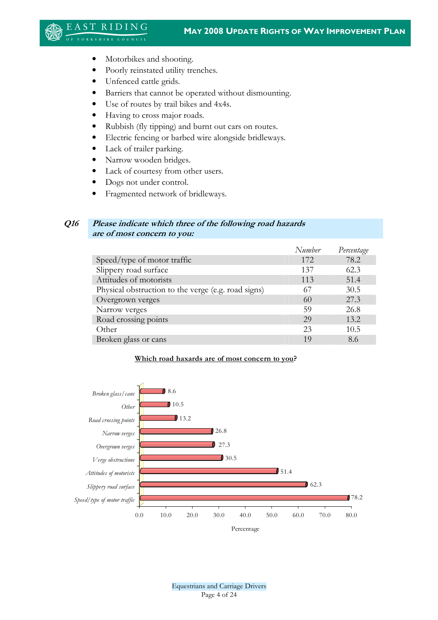- Motorbikes and shooting.  $\bullet$
- Poorly reinstated utility trenches.  $\bullet$
- Unfenced cattle grids.  $\bullet$
- Barriers that cannot be operated without dismounting.  $\bullet$
- Use of routes by trail bikes and 4x4s.  $\bullet$
- $\bullet$ Having to cross major roads.
- Rubbish (fly tipping) and burnt out cars on routes.  $\bullet$
- Electric fencing or barbed wire alongside bridleways.  $\bullet$
- $\bullet$ Lack of trailer parking.
- $\bullet$ Narrow wooden bridges.
- Lack of courtesy from other users.  $\bullet$
- $\bullet$ Dogs not under control.
- Fragmented network of bridleways.  $\bullet$

## Q16 Please indicate which three of the following road hazards are of most concern to you:

|                                                     | Number | Percentage |
|-----------------------------------------------------|--------|------------|
| Speed/type of motor traffic                         | 172    | 78.2       |
| Slippery road surface                               | 137    | 62.3       |
| Attitudes of motorists                              | 113    | 51.4       |
| Physical obstruction to the verge (e.g. road signs) | 67     | 30.5       |
| Overgrown verges                                    | 60     | 27.3       |
| Narrow verges                                       | 59     | 26.8       |
| Road crossing points                                | 29     | 13.2       |
| Other                                               | 23     | 10.5       |
| Broken glass or cans                                | 19     | 8.6        |

## Which road haxards are of most concern to you?



**Equestrians and Carriage Drivers** Page 4 of 24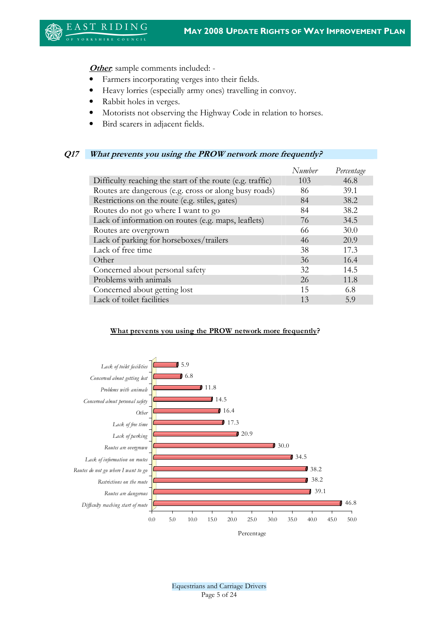

Other sample comments included: -

- Farmers incorporating verges into their fields.  $\bullet$
- $\bullet$ Heavy lorries (especially army ones) travelling in convoy.
- Rabbit holes in verges.  $\bullet$
- Motorists not observing the Highway Code in relation to horses.  $\bullet$
- $\bullet$ Bird scarers in adjacent fields.

### What prevents you using the PROW network more frequently?  $Q17$

|                                                           | Number | Percentage |
|-----------------------------------------------------------|--------|------------|
| Difficulty reaching the start of the route (e.g. traffic) | 103    | 46.8       |
| Routes are dangerous (e.g. cross or along busy roads)     | 86     | 39.1       |
| Restrictions on the route (e.g. stiles, gates)            | 84     | 38.2       |
| Routes do not go where I want to go                       | 84     | 38.2       |
| Lack of information on routes (e.g. maps, leaflets)       | 76     | 34.5       |
| Routes are overgrown                                      | 66     | 30.0       |
| Lack of parking for horseboxes/trailers                   | 46     | 20.9       |
| Lack of free time                                         | 38     | 17.3       |
| Other                                                     | 36     | 16.4       |
| Concerned about personal safety                           | 32     | 14.5       |
| Problems with animals                                     | 26     | 11.8       |
| Concerned about getting lost                              | 15     | 6.8        |
| Lack of toilet facilities                                 | 13     | 5.9        |

## What prevents you using the PROW network more frequently?

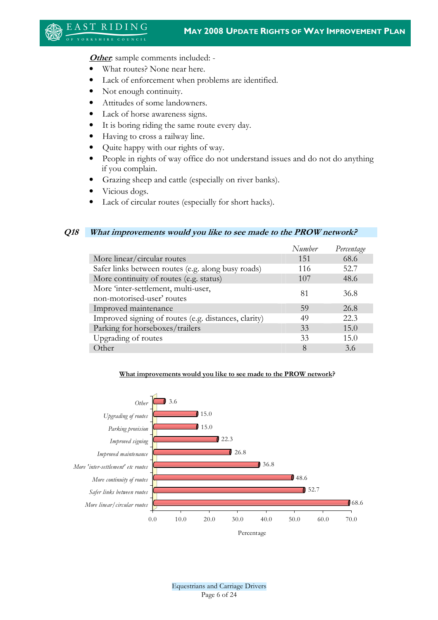**Other** sample comments included: -

- What routes? None near here.  $\bullet$
- $\bullet$ Lack of enforcement when problems are identified.
- $\bullet$ Not enough continuity.

EAST RIDING

- Attitudes of some landowners.  $\bullet$
- $\bullet$ Lack of horse awareness signs.
- It is boring riding the same route every day.  $\bullet$
- $\bullet$ Having to cross a railway line.
- Quite happy with our rights of way.  $\bullet$
- People in rights of way office do not understand issues and do not do anything  $\bullet$ if you complain.
- $\bullet$ Grazing sheep and cattle (especially on river banks).
- Vicious dogs.  $\bullet$
- Lack of circular routes (especially for short hacks).  $\bullet$

#### O18 What improvements would you like to see made to the PROW network?

|                                                                   | Number | Percentage |
|-------------------------------------------------------------------|--------|------------|
| More linear/circular routes                                       | 151    | 68.6       |
| Safer links between routes (e.g. along busy roads)                | 116    | 52.7       |
| More continuity of routes (e.g. status)                           | 107    | 48.6       |
| More 'inter-settlement, multi-user,<br>non-motorised-user' routes | 81     | 36.8       |
| Improved maintenance                                              | 59     | 26.8       |
| Improved signing of routes (e.g. distances, clarity)              | 49     | 22.3       |
| Parking for horseboxes/trailers                                   | 33     | 15.0       |
| Upgrading of routes                                               | 33     | 15.0       |
| Other                                                             | 8      | 3.6        |

## What improvements would you like to see made to the PROW network?



**Equestrians and Carriage Drivers** Page 6 of 24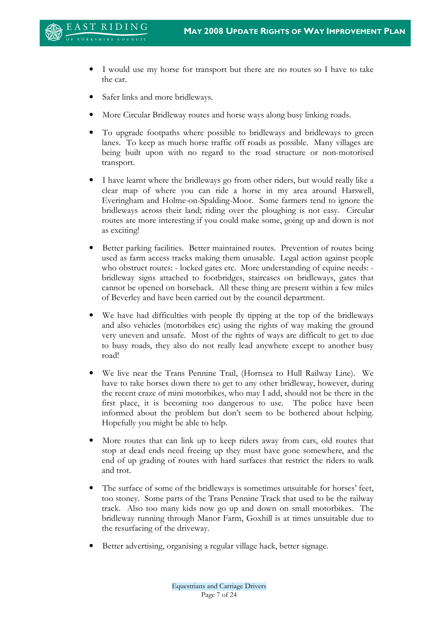

- I would use my horse for transport but there are no routes so I have to take the car.
- Safer links and more bridleways.
- More Circular Bridleway routes and horse ways along busy linking roads.
- To upgrade footpaths where possible to bridleways and bridleways to green lanes. To keep as much horse traffic off roads as possible. Many villages are being built upon with no regard to the road structure or non-motorised transport.
- I have learnt where the bridleways go from other riders, but would really like a clear map of where you can ride a horse in my area around Harswell, Everingham and Holme-on-Spalding-Moor. Some farmers tend to ignore the bridleways across their land; riding over the ploughing is not easy. Circular routes are more interesting if you could make some, going up and down is not as exciting!
- Better parking facilities. Better maintained routes. Prevention of routes being used as farm access tracks making them unusable. Legal action against people who obstruct routes: - locked gates etc. More understanding of equine needs: bridleway signs attached to footbridges, staircases on bridleways, gates that cannot be opened on horseback. All these thing are present within a few miles of Beverley and have been carried out by the council department.
- We have had difficulties with people fly tipping at the top of the bridleways and also vehicles (motorbikes etc) using the rights of way making the ground very uneven and unsafe. Most of the rights of ways are difficult to get to due to busy roads, they also do not really lead anywhere except to another busy road!
- We live near the Trans Pennine Trail, (Hornsea to Hull Railway Line). We have to take horses down there to get to any other bridleway, however, during the recent craze of mini motorbikes, who may I add, should not be there in the first place, it is becoming too dangerous to use. The police have been informed about the problem but don't seem to be bothered about helping. Hopefully you might be able to help.
- More routes that can link up to keep riders away from cars, old routes that stop at dead ends need freeing up they must have gone somewhere, and the end of up grading of routes with hard surfaces that restrict the riders to walk and trot.
- The surface of some of the bridleways is sometimes unsuitable for horses' feet, too stoney. Some parts of the Trans Pennine Track that used to be the railway track. Also too many kids now go up and down on small motorbikes. The bridleway running through Manor Farm, Goxhill is at times unsuitable due to the resurfacing of the driveway.
- $\bullet$ Better advertising, organising a regular village hack, better signage.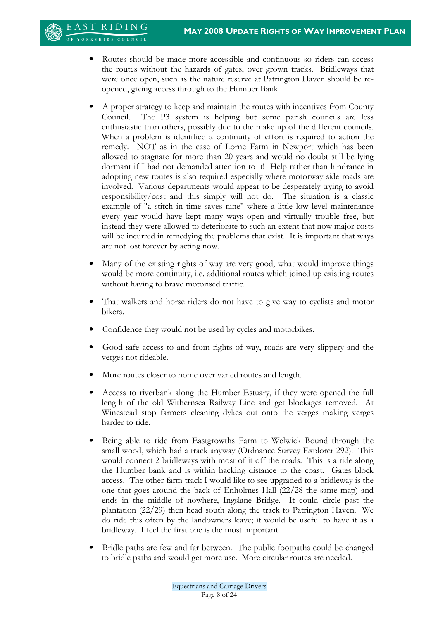- Routes should be made more accessible and continuous so riders can access the routes without the hazards of gates, over grown tracks. Bridleways that were once open, such as the nature reserve at Patrington Haven should be reopened, giving access through to the Humber Bank.
- A proper strategy to keep and maintain the routes with incentives from County The P3 system is helping but some parish councils are less Council. enthusiastic than others, possibly due to the make up of the different councils. When a problem is identified a continuity of effort is required to action the remedy. NOT as in the case of Lorne Farm in Newport which has been allowed to stagnate for more than 20 years and would no doubt still be lying dormant if I had not demanded attention to it! Help rather than hindrance in adopting new routes is also required especially where motorway side roads are involved. Various departments would appear to be desperately trying to avoid responsibility/cost and this simply will not do. The situation is a classic example of "a stitch in time saves nine" where a little low level maintenance every year would have kept many ways open and virtually trouble free, but instead they were allowed to deteriorate to such an extent that now major costs will be incurred in remedying the problems that exist. It is important that ways are not lost forever by acting now.
- Many of the existing rights of way are very good, what would improve things would be more continuity, i.e. additional routes which joined up existing routes without having to brave motorised traffic.
- That walkers and horse riders do not have to give way to cyclists and motor  $\bullet$ bikers.
- Confidence they would not be used by cycles and motorbikes.
- Good safe access to and from rights of way, roads are very slippery and the verges not rideable.
- More routes closer to home over varied routes and length.
- Access to riverbank along the Humber Estuary, if they were opened the full length of the old Withernsea Railway Line and get blockages removed. At Winestead stop farmers cleaning dykes out onto the verges making verges harder to ride.
- Being able to ride from Eastgrowths Farm to Welwick Bound through the small wood, which had a track anyway (Ordnance Survey Explorer 292). This would connect 2 bridleways with most of it off the roads. This is a ride along the Humber bank and is within hacking distance to the coast. Gates block access. The other farm track I would like to see upgraded to a bridleway is the one that goes around the back of Enholmes Hall (22/28 the same map) and ends in the middle of nowhere, Ingslane Bridge. It could circle past the plantation (22/29) then head south along the track to Patrington Haven. We do ride this often by the landowners leave; it would be useful to have it as a bridleway. I feel the first one is the most important.
- Bridle paths are few and far between. The public footpaths could be changed to bridle paths and would get more use. More circular routes are needed.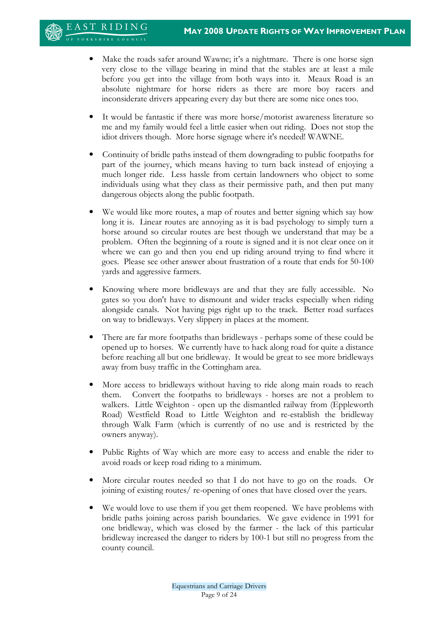- Make the roads safer around Wawne; it's a nightmare. There is one horse sign very close to the village bearing in mind that the stables are at least a mile before you get into the village from both ways into it. Meaux Road is an absolute nightmare for horse riders as there are more boy racers and inconsiderate drivers appearing every day but there are some nice ones too.
- $\bullet$ It would be fantastic if there was more horse/motorist awareness literature so me and my family would feel a little easier when out riding. Does not stop the idiot drivers though. More horse signage where it's needed! WAWNE.
- Continuity of bridle paths instead of them downgrading to public footpaths for  $\bullet$ part of the journey, which means having to turn back instead of enjoying a much longer ride. Less hassle from certain landowners who object to some individuals using what they class as their permissive path, and then put many dangerous objects along the public footpath.
- We would like more routes, a map of routes and better signing which say how long it is. Linear routes are annoying as it is bad psychology to simply turn a horse around so circular routes are best though we understand that may be a problem. Often the beginning of a route is signed and it is not clear once on it where we can go and then you end up riding around trying to find where it goes. Please see other answer about frustration of a route that ends for 50-100 vards and aggressive farmers.
- Knowing where more bridleways are and that they are fully accessible. No gates so you don't have to dismount and wider tracks especially when riding alongside canals. Not having pigs right up to the track. Better road surfaces on way to bridleways. Very slippery in places at the moment.
- There are far more footpaths than bridleways perhaps some of these could be opened up to horses. We currently have to hack along road for quite a distance before reaching all but one bridleway. It would be great to see more bridleways away from busy traffic in the Cottingham area.
- More access to bridleways without having to ride along main roads to reach  $\bullet$ them. Convert the footpaths to bridleways - horses are not a problem to walkers. Little Weighton - open up the dismantled railway from (Eppleworth Road) Westfield Road to Little Weighton and re-establish the bridleway through Walk Farm (which is currently of no use and is restricted by the owners anyway).
- Public Rights of Way which are more easy to access and enable the rider to avoid roads or keep road riding to a minimum.
- More circular routes needed so that I do not have to go on the roads. Or joining of existing routes/re-opening of ones that have closed over the years.
- $\bullet$ We would love to use them if you get them reopened. We have problems with bridle paths joining across parish boundaries. We gave evidence in 1991 for one bridleway, which was closed by the farmer - the lack of this particular bridleway increased the danger to riders by 100-1 but still no progress from the county council.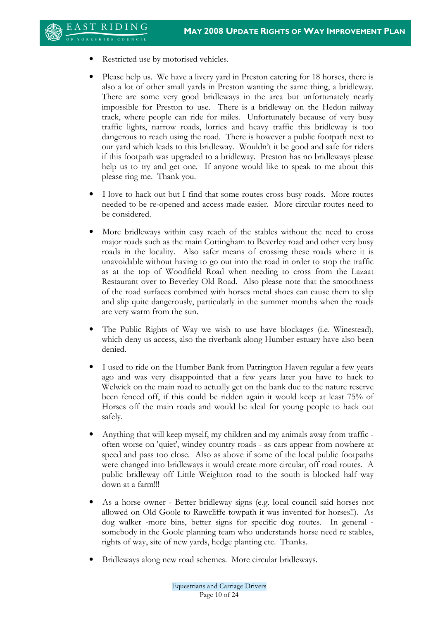

- Restricted use by motorised vehicles.
- Please help us. We have a livery vard in Preston catering for 18 horses, there is also a lot of other small vards in Preston wanting the same thing, a bridleway. There are some very good bridleways in the area but unfortunately nearly impossible for Preston to use. There is a bridleway on the Hedon railway track, where people can ride for miles. Unfortunately because of very busy traffic lights, narrow roads, lorries and heavy traffic this bridleway is too dangerous to reach using the road. There is however a public footpath next to our yard which leads to this bridleway. Wouldn't it be good and safe for riders if this footpath was upgraded to a bridleway. Preston has no bridleways please help us to try and get one. If anyone would like to speak to me about this please ring me. Thank you.
- I love to hack out but I find that some routes cross busy roads. More routes needed to be re-opened and access made easier. More circular routes need to be considered.
- More bridleways within easy reach of the stables without the need to cross major roads such as the main Cottingham to Beverley road and other very busy roads in the locality. Also safer means of crossing these roads where it is unavoidable without having to go out into the road in order to stop the traffic as at the top of Woodfield Road when needing to cross from the Lazaat Restaurant over to Beverley Old Road. Also please note that the smoothness of the road surfaces combined with horses metal shoes can cause them to slip and slip quite dangerously, particularly in the summer months when the roads are very warm from the sun.
- The Public Rights of Way we wish to use have blockages (i.e. Winestead), which deny us access, also the riverbank along Humber estuary have also been denied.
- I used to ride on the Humber Bank from Patrington Haven regular a few years ago and was very disappointed that a few years later you have to hack to Welwick on the main road to actually get on the bank due to the nature reserve been fenced off, if this could be ridden again it would keep at least 75% of Horses off the main roads and would be ideal for young people to hack out safely.
- Anything that will keep myself, my children and my animals away from traffic often worse on 'quiet', windey country roads - as cars appear from nowhere at speed and pass too close. Also as above if some of the local public footpaths were changed into bridleways it would create more circular, off road routes. A public bridleway off Little Weighton road to the south is blocked half way down at a farm!!!
- As a horse owner Better bridleway signs (e.g. local council said horses not allowed on Old Goole to Rawcliffe towpath it was invented for horses!!). As dog walker -more bins, better signs for specific dog routes. In general somebody in the Goole planning team who understands horse need re stables, rights of way, site of new yards, hedge planting etc. Thanks.
- Bridleways along new road schemes. More circular bridleways.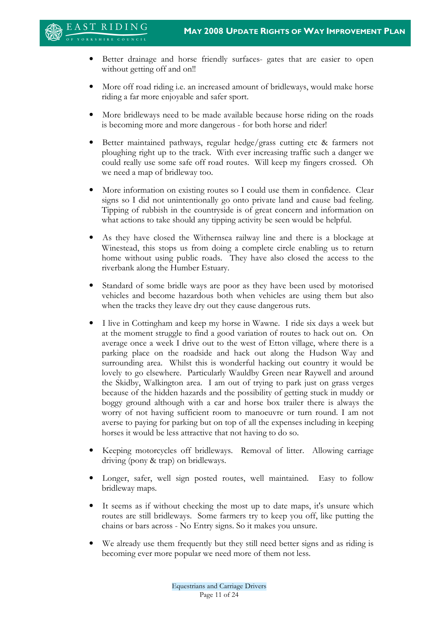

- $\bullet$ Better drainage and horse friendly surfaces- gates that are easier to open without getting off and on!!
- More off road riding i.e. an increased amount of bridleways, would make horse  $\bullet$ riding a far more enjoyable and safer sport.
- More bridleways need to be made available because horse riding on the roads is becoming more and more dangerous - for both horse and rider!
- Better maintained pathways, regular hedge/grass cutting etc & farmers not  $\bullet$ ploughing right up to the track. With ever increasing traffic such a danger we could really use some safe off road routes. Will keep my fingers crossed. Oh we need a map of bridleway too.
- More information on existing routes so I could use them in confidence. Clear signs so I did not unintentionally go onto private land and cause bad feeling. Tipping of rubbish in the countryside is of great concern and information on what actions to take should any tipping activity be seen would be helpful.
- As they have closed the Withernsea railway line and there is a blockage at Winestead, this stops us from doing a complete circle enabling us to return home without using public roads. They have also closed the access to the riverbank along the Humber Estuary.
- $\bullet$ Standard of some bridle ways are poor as they have been used by motorised vehicles and become hazardous both when vehicles are using them but also when the tracks they leave dry out they cause dangerous ruts.
- I live in Cottingham and keep my horse in Wawne. I ride six days a week but  $\bullet$ at the moment struggle to find a good variation of routes to hack out on. On average once a week I drive out to the west of Etton village, where there is a parking place on the roadside and hack out along the Hudson Way and surrounding area. Whilst this is wonderful hacking out country it would be lovely to go elsewhere. Particularly Wauldby Green near Raywell and around the Skidby, Walkington area. I am out of trying to park just on grass verges because of the hidden hazards and the possibility of getting stuck in muddy or boggy ground although with a car and horse box trailer there is always the worry of not having sufficient room to manoeuvre or turn round. I am not averse to paying for parking but on top of all the expenses including in keeping horses it would be less attractive that not having to do so.
- Keeping motorcycles off bridleways. Removal of litter. Allowing carriage driving (pony & trap) on bridleways.
- Longer, safer, well sign posted routes, well maintained. Easy to follow bridleway maps.
- It seems as if without checking the most up to date maps, it's unsure which  $\bullet$ routes are still bridleways. Some farmers try to keep you off, like putting the chains or bars across - No Entry signs. So it makes you unsure.
- We already use them frequently but they still need better signs and as riding is becoming ever more popular we need more of them not less.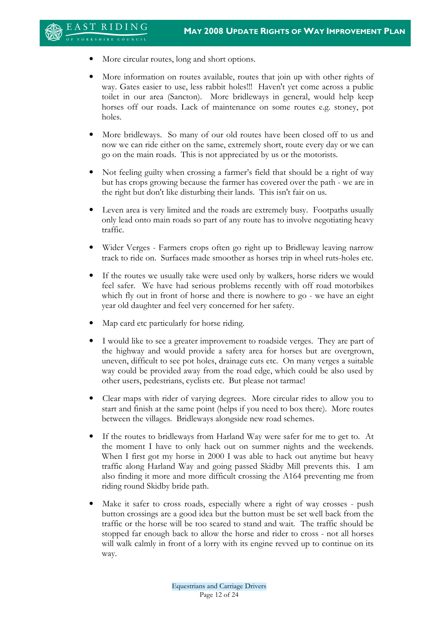

- More circular routes, long and short options.
- More information on routes available, routes that join up with other rights of way. Gates easier to use, less rabbit holes!!! Haven't yet come across a public toilet in our area (Sancton). More bridleways in general, would help keep horses off our roads. Lack of maintenance on some routes e.g. stoney, pot holes.
- $\bullet$ More bridleways. So many of our old routes have been closed off to us and now we can ride either on the same, extremely short, route every day or we can go on the main roads. This is not appreciated by us or the motorists.
- Not feeling guilty when crossing a farmer's field that should be a right of way but has crops growing because the farmer has covered over the path - we are in the right but don't like disturbing their lands. This isn't fair on us.
- Leven area is very limited and the roads are extremely busy. Footpaths usually only lead onto main roads so part of any route has to involve negotiating heavy traffic.
- Wider Verges Farmers crops often go right up to Bridleway leaving narrow track to ride on. Surfaces made smoother as horses trip in wheel ruts-holes etc.
- $\bullet$ If the routes we usually take were used only by walkers, horse riders we would feel safer. We have had serious problems recently with off road motorbikes which fly out in front of horse and there is nowhere to go - we have an eight year old daughter and feel very concerned for her safety.
- Map card etc particularly for horse riding.
- I would like to see a greater improvement to roadside verges. They are part of the highway and would provide a safety area for horses but are overgrown, uneven, difficult to see pot holes, drainage cuts etc. On many verges a suitable way could be provided away from the road edge, which could be also used by other users, pedestrians, cyclists etc. But please not tarmac!
- Clear maps with rider of varying degrees. More circular rides to allow you to  $\bullet$ start and finish at the same point (helps if you need to box there). More routes between the villages. Bridleways alongside new road schemes.
- If the routes to bridleways from Harland Way were safer for me to get to. At the moment I have to only hack out on summer nights and the weekends. When I first got my horse in 2000 I was able to hack out anytime but heavy traffic along Harland Way and going passed Skidby Mill prevents this. I am also finding it more and more difficult crossing the A164 preventing me from riding round Skidby bride path.
- Make it safer to cross roads, especially where a right of way crosses push button crossings are a good idea but the button must be set well back from the traffic or the horse will be too scared to stand and wait. The traffic should be stopped far enough back to allow the horse and rider to cross - not all horses will walk calmly in front of a lorry with its engine revved up to continue on its way.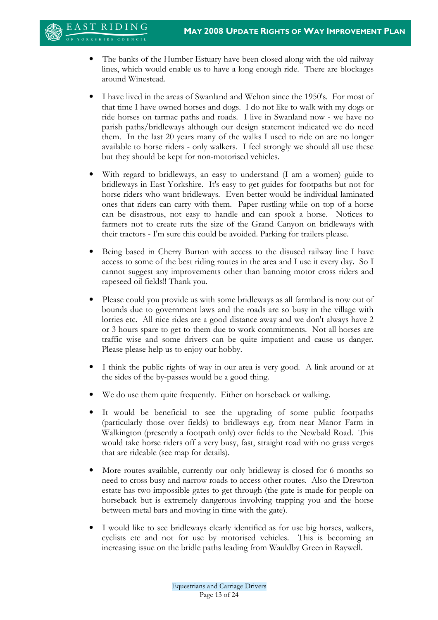

- $\bullet$ The banks of the Humber Estuary have been closed along with the old railway lines, which would enable us to have a long enough ride. There are blockages around Winestead.
- I have lived in the areas of Swanland and Welton since the 1950's. For most of that time I have owned horses and dogs. I do not like to walk with my dogs or ride horses on tarmac paths and roads. I live in Swanland now - we have no parish paths/bridleways although our design statement indicated we do need them. In the last 20 years many of the walks I used to ride on are no longer available to horse riders - only walkers. I feel strongly we should all use these but they should be kept for non-motorised vehicles.
- With regard to bridleways, an easy to understand (I am a women) guide to bridleways in East Yorkshire. It's easy to get guides for footpaths but not for horse riders who want bridleways. Even better would be individual laminated ones that riders can carry with them. Paper rustling while on top of a horse can be disastrous, not easy to handle and can spook a horse. Notices to farmers not to create ruts the size of the Grand Canyon on bridleways with their tractors - I'm sure this could be avoided. Parking for trailers please.
- Being based in Cherry Burton with access to the disused railway line I have access to some of the best riding routes in the area and I use it every day. So I cannot suggest any improvements other than banning motor cross riders and rapeseed oil fields!! Thank you.
- Please could you provide us with some bridleways as all farmland is now out of bounds due to government laws and the roads are so busy in the village with lorries etc. All nice rides are a good distance away and we don't always have 2 or 3 hours spare to get to them due to work commitments. Not all horses are traffic wise and some drivers can be quite impatient and cause us danger. Please please help us to enjoy our hobby.
- I think the public rights of way in our area is very good. A link around or at the sides of the by-passes would be a good thing.
- We do use them quite frequently. Either on horseback or walking.
- · It would be beneficial to see the upgrading of some public footpaths (particularly those over fields) to bridleways e.g. from near Manor Farm in Walkington (presently a footpath only) over fields to the Newbald Road. This would take horse riders off a very busy, fast, straight road with no grass verges that are rideable (see map for details).
- More routes available, currently our only bridleway is closed for 6 months so need to cross busy and narrow roads to access other routes. Also the Drewton estate has two impossible gates to get through (the gate is made for people on horseback but is extremely dangerous involving trapping you and the horse between metal bars and moving in time with the gate).
- I would like to see bridleways clearly identified as for use big horses, walkers, cyclists etc and not for use by motorised vehicles. This is becoming an increasing issue on the bridle paths leading from Wauldby Green in Raywell.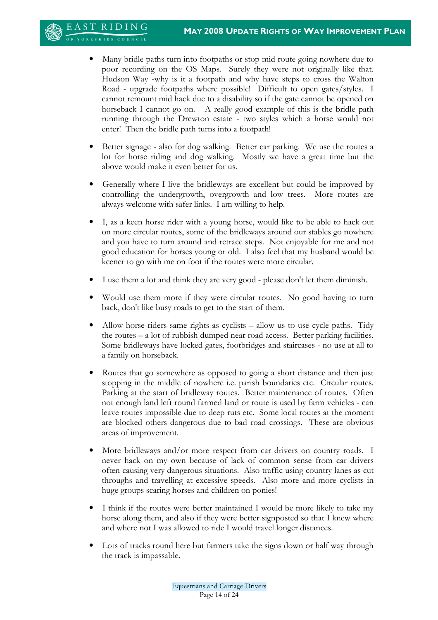Many bridle paths turn into footpaths or stop mid route going nowhere due to poor recording on the OS Maps. Surely they were not originally like that. Hudson Way -why is it a footpath and why have steps to cross the Walton Road - upgrade footpaths where possible! Difficult to open gates/styles. I cannot remount mid hack due to a disability so if the gate cannot be opened on horseback I cannot go on. A really good example of this is the bridle path running through the Drewton estate - two styles which a horse would not enter! Then the bridle path turns into a footpath!

- Better signage also for dog walking. Better car parking. We use the routes a lot for horse riding and dog walking. Mostly we have a great time but the above would make it even better for us.
- $\bullet$ Generally where I live the bridleways are excellent but could be improved by controlling the undergrowth, overgrowth and low trees. More routes are always welcome with safer links. I am willing to help.
- I, as a keen horse rider with a young horse, would like to be able to hack out on more circular routes, some of the bridleways around our stables go nowhere and you have to turn around and retrace steps. Not enjoyable for me and not good education for horses young or old. I also feel that my husband would be keener to go with me on foot if the routes were more circular.
- I use them a lot and think they are very good please don't let them diminish.
- Would use them more if they were circular routes. No good having to turn back, don't like busy roads to get to the start of them.
- $\bullet$ Allow horse riders same rights as cyclists – allow us to use cycle paths. Tidy the routes  $-$  a lot of rubbish dumped near road access. Better parking facilities. Some bridleways have locked gates, footbridges and staircases - no use at all to a family on horseback.
- Routes that go somewhere as opposed to going a short distance and then just stopping in the middle of nowhere i.e. parish boundaries etc. Circular routes. Parking at the start of bridleway routes. Better maintenance of routes. Often not enough land left round farmed land or route is used by farm vehicles - can leave routes impossible due to deep ruts etc. Some local routes at the moment are blocked others dangerous due to bad road crossings. These are obvious areas of improvement.
- More bridleways and/or more respect from car drivers on country roads. I never hack on my own because of lack of common sense from car drivers often causing very dangerous situations. Also traffic using country lanes as cut throughs and travelling at excessive speeds. Also more and more cyclists in huge groups scaring horses and children on ponies!
- I think if the routes were better maintained I would be more likely to take my horse along them, and also if they were better signposted so that I knew where and where not I was allowed to ride I would travel longer distances.
- Lots of tracks round here but farmers take the signs down or half way through the track is impassable.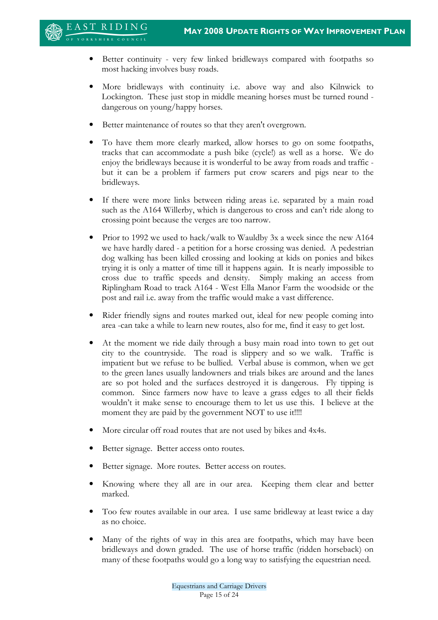

- $\bullet$ Better continuity - very few linked bridleways compared with footpaths so most hacking involves busy roads.
- More bridleways with continuity i.e. above way and also Kilnwick to  $\bullet$ Lockington. These just stop in middle meaning horses must be turned round dangerous on young/happy horses.
- Better maintenance of routes so that they aren't overgrown.
- To have them more clearly marked, allow horses to go on some footpaths, tracks that can accommodate a push bike (cycle!) as well as a horse. We do enjoy the bridleways because it is wonderful to be away from roads and traffic but it can be a problem if farmers put crow scarers and pigs near to the bridleways.
- If there were more links between riding areas i.e. separated by a main road  $\bullet$ such as the A164 Willerby, which is dangerous to cross and can't ride along to crossing point because the verges are too narrow.
- Prior to 1992 we used to hack/walk to Wauldby 3x a week since the new A164 we have hardly dared - a petition for a horse crossing was denied. A pedestrian dog walking has been killed crossing and looking at kids on ponies and bikes trying it is only a matter of time till it happens again. It is nearly impossible to cross due to traffic speeds and density. Simply making an access from Riplingham Road to track A164 - West Ella Manor Farm the woodside or the post and rail i.e. away from the traffic would make a vast difference.
- Rider friendly signs and routes marked out, ideal for new people coming into area -can take a while to learn new routes, also for me, find it easy to get lost.
- At the moment we ride daily through a busy main road into town to get out city to the countryside. The road is slippery and so we walk. Traffic is impatient but we refuse to be bullied. Verbal abuse is common, when we get to the green lanes usually landowners and trials bikes are around and the lanes are so pot holed and the surfaces destroyed it is dangerous. Fly tipping is common. Since farmers now have to leave a grass edges to all their fields wouldn't it make sense to encourage them to let us use this. I believe at the moment they are paid by the government NOT to use it!!!!
- More circular off road routes that are not used by bikes and 4x4s.  $\bullet$
- Better signage. Better access onto routes.  $\bullet$
- Better signage. More routes. Better access on routes.
- Knowing where they all are in our area. Keeping them clear and better marked.
- Too few routes available in our area. I use same bridleway at least twice a day as no choice.
- Many of the rights of way in this area are footpaths, which may have been bridleways and down graded. The use of horse traffic (ridden horseback) on many of these footpaths would go a long way to satisfying the equestrian need.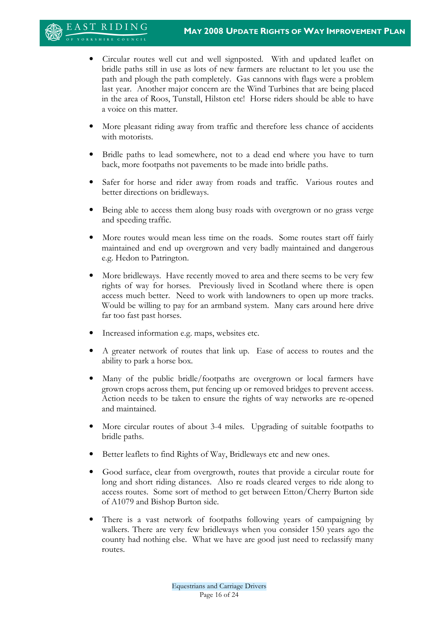- $\bullet$ Circular routes well cut and well signposted. With and updated leaflet on bridle paths still in use as lots of new farmers are reluctant to let you use the path and plough the path completely. Gas cannons with flags were a problem last year. Another major concern are the Wind Turbines that are being placed in the area of Roos, Tunstall, Hilston etc! Horse riders should be able to have a voice on this matter.
- More pleasant riding away from traffic and therefore less chance of accidents with motorists.
- Bridle paths to lead somewhere, not to a dead end where you have to turn back, more footpaths not pavements to be made into bridle paths.
- Safer for horse and rider away from roads and traffic. Various routes and better directions on bridleways.
- Being able to access them along busy roads with overgrown or no grass verge and speeding traffic.
- More routes would mean less time on the roads. Some routes start off fairly maintained and end up overgrown and very badly maintained and dangerous e.g. Hedon to Patrington.
- More bridleways. Have recently moved to area and there seems to be very few rights of way for horses. Previously lived in Scotland where there is open access much better. Need to work with landowners to open up more tracks. Would be willing to pay for an armband system. Many cars around here drive far too fast past horses.
- Increased information e.g. maps, websites etc.  $\bullet$
- A greater network of routes that link up. Ease of access to routes and the ability to park a horse box.
- Many of the public bridle/footpaths are overgrown or local farmers have grown crops across them, put fencing up or removed bridges to prevent access. Action needs to be taken to ensure the rights of way networks are re-opened and maintained.
- More circular routes of about 3-4 miles. Upgrading of suitable footpaths to bridle paths.
- Better leaflets to find Rights of Way, Bridleways etc and new ones.
- Good surface, clear from overgrowth, routes that provide a circular route for long and short riding distances. Also re roads cleared verges to ride along to access routes. Some sort of method to get between Etton/Cherry Burton side of A1079 and Bishop Burton side.
- There is a vast network of footpaths following years of campaigning by walkers. There are very few bridleways when you consider 150 years ago the county had nothing else. What we have are good just need to reclassify many routes.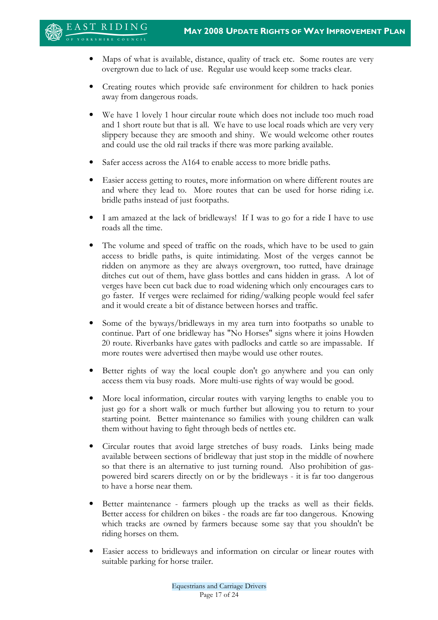

- Creating routes which provide safe environment for children to hack ponies away from dangerous roads.
- We have 1 lovely 1 hour circular route which does not include too much road and 1 short route but that is all. We have to use local roads which are very very slippery because they are smooth and shiny. We would welcome other routes and could use the old rail tracks if there was more parking available.
- Safer access across the A164 to enable access to more bridle paths.

- Easier access getting to routes, more information on where different routes are and where they lead to. More routes that can be used for horse riding *i.e.* bridle paths instead of just footpaths.
- I am amazed at the lack of bridleways! If I was to go for a ride I have to use roads all the time.
- The volume and speed of traffic on the roads, which have to be used to gain access to bridle paths, is quite intimidating. Most of the verges cannot be ridden on anymore as they are always overgrown, too rutted, have drainage ditches cut out of them, have glass bottles and cans hidden in grass. A lot of verges have been cut back due to road widening which only encourages cars to go faster. If verges were reclaimed for riding/walking people would feel safer and it would create a bit of distance between horses and traffic.
- Some of the byways/bridleways in my area turn into footpaths so unable to  $\bullet$ continue. Part of one bridleway has "No Horses" signs where it joins Howden 20 route. Riverbanks have gates with padlocks and cattle so are impassable. If more routes were advertised then maybe would use other routes.
- Better rights of way the local couple don't go anywhere and you can only access them via busy roads. More multi-use rights of way would be good.
- More local information, circular routes with varying lengths to enable you to  $\bullet$ just go for a short walk or much further but allowing you to return to your starting point. Better maintenance so families with young children can walk them without having to fight through beds of nettles etc.
- Circular routes that avoid large stretches of busy roads. Links being made  $\bullet$ available between sections of bridleway that just stop in the middle of nowhere so that there is an alternative to just turning round. Also prohibition of gaspowered bird scarers directly on or by the bridleways - it is far too dangerous to have a horse near them.
- Better maintenance farmers plough up the tracks as well as their fields. Better access for children on bikes - the roads are far too dangerous. Knowing which tracks are owned by farmers because some say that you shouldn't be riding horses on them.
- Easier access to bridleways and information on circular or linear routes with suitable parking for horse trailer.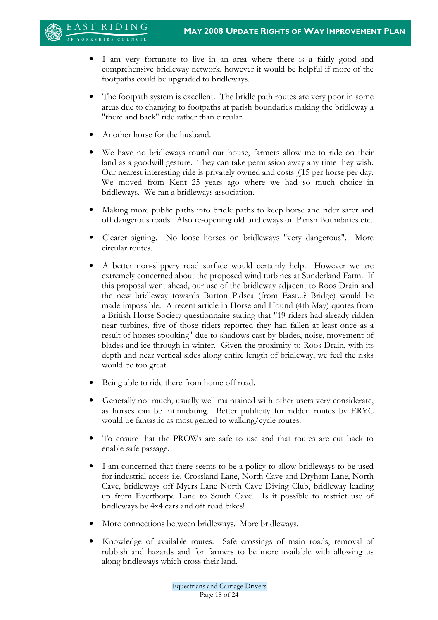

- $\bullet$ I am very fortunate to live in an area where there is a fairly good and comprehensive bridleway network, however it would be helpful if more of the footpaths could be upgraded to bridleways.
- The footpath system is excellent. The bridle path routes are very poor in some areas due to changing to footpaths at parish boundaries making the bridleway a "there and back" ride rather than circular.
- Another horse for the husband.
- $\bullet$ We have no bridleways round our house, farmers allow me to ride on their land as a goodwill gesture. They can take permission away any time they wish. Our nearest interesting ride is privately owned and costs  $f<sub>1</sub>15$  per horse per day. We moved from Kent 25 years ago where we had so much choice in bridleways. We ran a bridleways association.
- Making more public paths into bridle paths to keep horse and rider safer and off dangerous roads. Also re-opening old bridleways on Parish Boundaries etc.
- Clearer signing. No loose horses on bridleways "very dangerous". More circular routes.
- A better non-slippery road surface would certainly help. However we are extremely concerned about the proposed wind turbines at Sunderland Farm. If this proposal went ahead, our use of the bridleway adjacent to Roos Drain and the new bridleway towards Burton Pidsea (from East...? Bridge) would be made impossible. A recent article in Horse and Hound (4th May) quotes from a British Horse Society questionnaire stating that "19 riders had already ridden near turbines, five of those riders reported they had fallen at least once as a result of horses spooking" due to shadows cast by blades, noise, movement of blades and ice through in winter. Given the proximity to Roos Drain, with its depth and near vertical sides along entire length of bridleway, we feel the risks would be too great.
- Being able to ride there from home off road.
- Generally not much, usually well maintained with other users very considerate, as horses can be intimidating. Better publicity for ridden routes by ERYC would be fantastic as most geared to walking/cycle routes.
- To ensure that the PROWs are safe to use and that routes are cut back to enable safe passage.
- I am concerned that there seems to be a policy to allow bridleways to be used for industrial access i.e. Crossland Lane, North Cave and Dryham Lane, North Cave, bridleways off Myers Lane North Cave Diving Club, bridleway leading up from Everthorpe Lane to South Cave. Is it possible to restrict use of bridleways by 4x4 cars and off road bikes!
- More connections between bridleways. More bridleways.
- Knowledge of available routes. Safe crossings of main roads, removal of rubbish and hazards and for farmers to be more available with allowing us along bridleways which cross their land.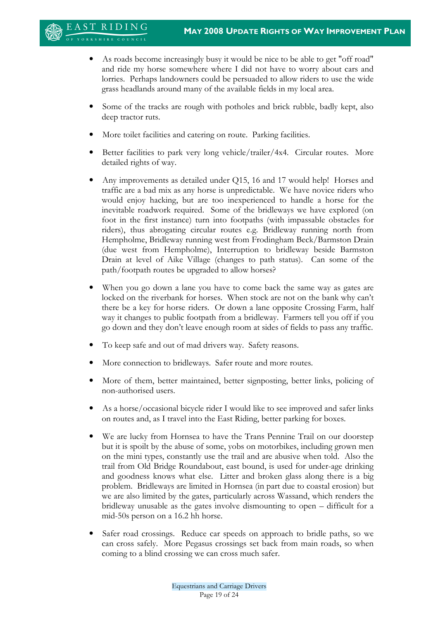- $\bullet$ As roads become increasingly busy it would be nice to be able to get "off road" and ride my horse somewhere where I did not have to worry about cars and lorries. Perhaps landowners could be persuaded to allow riders to use the wide grass headlands around many of the available fields in my local area.
- Some of the tracks are rough with potholes and brick rubble, badly kept, also deep tractor ruts.
- More toilet facilities and catering on route. Parking facilities.
- Better facilities to park very long vehicle/trailer/4x4. Circular routes. More  $\bullet$ detailed rights of way.
- Any improvements as detailed under Q15, 16 and 17 would help! Horses and traffic are a bad mix as any horse is unpredictable. We have novice riders who would enjoy hacking, but are too inexperienced to handle a horse for the inevitable roadwork required. Some of the bridleways we have explored (on foot in the first instance) turn into footpaths (with impassable obstacles for riders), thus abrogating circular routes e.g. Bridleway running north from Hempholme, Bridleway running west from Frodingham Beck/Barmston Drain (due west from Hempholme), Interruption to bridleway beside Barmston Drain at level of Aike Village (changes to path status). Can some of the path/footpath routes be upgraded to allow horses?
- When you go down a lane you have to come back the same way as gates are locked on the riverbank for horses. When stock are not on the bank why can't there be a key for horse riders. Or down a lane opposite Crossing Farm, half way it changes to public footpath from a bridleway. Farmers tell you off if you go down and they don't leave enough room at sides of fields to pass any traffic.
- To keep safe and out of mad drivers way. Safety reasons.
- More connection to bridleways. Safer route and more routes.
- More of them, better maintained, better signposting, better links, policing of non-authorised users.
- As a horse/occasional bicycle rider I would like to see improved and safer links on routes and, as I travel into the East Riding, better parking for boxes.
- We are lucky from Hornsea to have the Trans Pennine Trail on our doorstep but it is spoilt by the abuse of some, yobs on motorbikes, including grown men on the mini types, constantly use the trail and are abusive when told. Also the trail from Old Bridge Roundabout, east bound, is used for under-age drinking and goodness knows what else. Litter and broken glass along there is a big problem. Bridleways are limited in Hornsea (in part due to coastal erosion) but we are also limited by the gates, particularly across Wassand, which renders the bridleway unusable as the gates involve dismounting to open – difficult for a mid-50s person on a 16.2 hh horse.
- Safer road crossings. Reduce car speeds on approach to bridle paths, so we can cross safely. More Pegasus crossings set back from main roads, so when coming to a blind crossing we can cross much safer.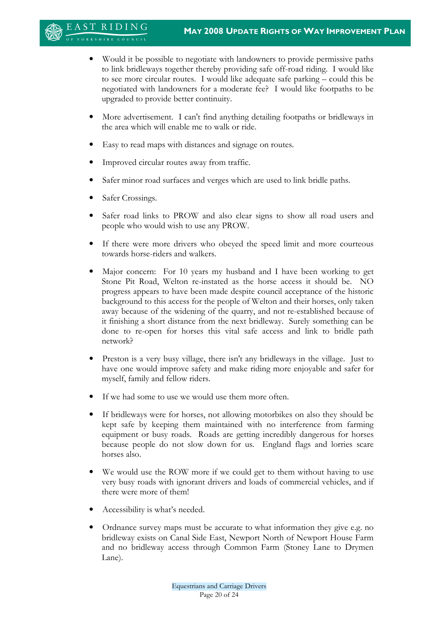- More advertisement. I can't find anything detailing footpaths or bridleways in  $\bullet$ the area which will enable me to walk or ride.
- Easy to read maps with distances and signage on routes.
- Improved circular routes away from traffic.
- Safer minor road surfaces and verges which are used to link bridle paths.
- Safer Crossings.

- Safer road links to PROW and also clear signs to show all road users and people who would wish to use any PROW.
- If there were more drivers who obeyed the speed limit and more courteous towards horse-riders and walkers.
- Major concern: For 10 years my husband and I have been working to get Stone Pit Road, Welton re-instated as the horse access it should be. NO progress appears to have been made despite council acceptance of the historic background to this access for the people of Welton and their horses, only taken away because of the widening of the quarry, and not re-established because of it finishing a short distance from the next bridleway. Surely something can be done to re-open for horses this vital safe access and link to bridle path network?
- Preston is a very busy village, there isn't any bridleways in the village. Just to have one would improve safety and make riding more enjoyable and safer for myself, family and fellow riders.
- If we had some to use we would use them more often.
- If bridleways were for horses, not allowing motorbikes on also they should be kept safe by keeping them maintained with no interference from farming equipment or busy roads. Roads are getting incredibly dangerous for horses because people do not slow down for us. England flags and lorries scare horses also.
- We would use the ROW more if we could get to them without having to use very busy roads with ignorant drivers and loads of commercial vehicles, and if there were more of them!
- Accessibility is what's needed.
- Ordnance survey maps must be accurate to what information they give e.g. no bridleway exists on Canal Side East, Newport North of Newport House Farm and no bridleway access through Common Farm (Stoney Lane to Drymen Lane).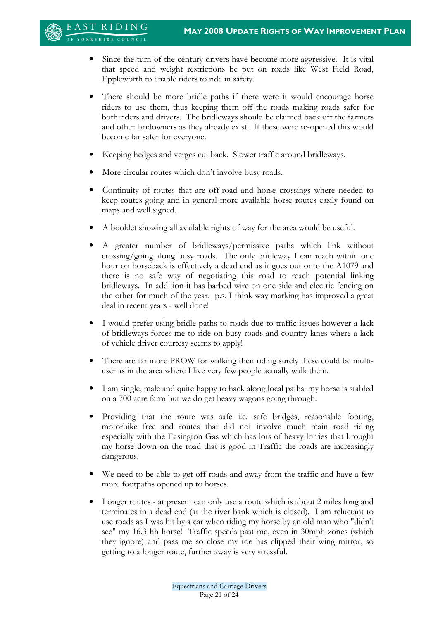

- Since the turn of the century drivers have become more aggressive. It is vital  $\bullet$ that speed and weight restrictions be put on roads like West Field Road, Eppleworth to enable riders to ride in safety.
- There should be more bridle paths if there were it would encourage horse riders to use them, thus keeping them off the roads making roads safer for both riders and drivers. The bridleways should be claimed back off the farmers and other landowners as they already exist. If these were re-opened this would become far safer for everyone.
- Keeping hedges and verges cut back. Slower traffic around bridleways.
- More circular routes which don't involve busy roads.
- Continuity of routes that are off-road and horse crossings where needed to keep routes going and in general more available horse routes easily found on maps and well signed.
- A booklet showing all available rights of way for the area would be useful.
- A greater number of bridleways/permissive paths which link without crossing/going along busy roads. The only bridleway I can reach within one hour on horseback is effectively a dead end as it goes out onto the A1079 and there is no safe way of negotiating this road to reach potential linking bridleways. In addition it has barbed wire on one side and electric fencing on the other for much of the year. p.s. I think way marking has improved a great deal in recent years - well done!
- I would prefer using bridle paths to roads due to traffic issues however a lack of bridleways forces me to ride on busy roads and country lanes where a lack of vehicle driver courtesy seems to apply!
- There are far more PROW for walking then riding surely these could be multi- $\bullet$ user as in the area where I live very few people actually walk them.
- I am single, male and quite happy to hack along local paths: my horse is stabled on a 700 acre farm but we do get heavy wagons going through.
- Providing that the route was safe i.e. safe bridges, reasonable footing, motorbike free and routes that did not involve much main road riding especially with the Easington Gas which has lots of heavy lorries that brought my horse down on the road that is good in Traffic the roads are increasingly dangerous.
- We need to be able to get off roads and away from the traffic and have a few more footpaths opened up to horses.
- Longer routes at present can only use a route which is about 2 miles long and terminates in a dead end (at the river bank which is closed). I am reluctant to use roads as I was hit by a car when riding my horse by an old man who "didn't see" my 16.3 hh horse! Traffic speeds past me, even in 30mph zones (which they ignore) and pass me so close my toe has clipped their wing mirror, so getting to a longer route, further away is very stressful.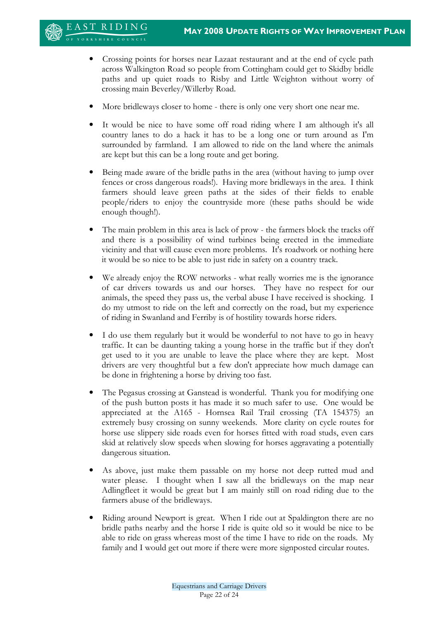- $\bullet$ Crossing points for horses near Lazaat restaurant and at the end of cycle path across Walkington Road so people from Cottingham could get to Skidby bridle paths and up quiet roads to Risby and Little Weighton without worry of crossing main Beverley/Willerby Road.
- More bridleways closer to home there is only one very short one near me.
- $\bullet$ It would be nice to have some off road riding where I am although it's all country lanes to do a hack it has to be a long one or turn around as I'm surrounded by farmland. I am allowed to ride on the land where the animals are kept but this can be a long route and get boring.
- Being made aware of the bridle paths in the area (without having to jump over fences or cross dangerous roads!). Having more bridleways in the area. I think farmers should leave green paths at the sides of their fields to enable people/riders to enjoy the countryside more (these paths should be wide enough though!).
- The main problem in this area is lack of prow the farmers block the tracks off and there is a possibility of wind turbines being erected in the immediate vicinity and that will cause even more problems. It's roadwork or nothing here it would be so nice to be able to just ride in safety on a country track.
- We already enjoy the ROW networks what really worries me is the ignorance  $\bullet$ of car drivers towards us and our horses. They have no respect for our animals, the speed they pass us, the verbal abuse I have received is shocking. I do my utmost to ride on the left and correctly on the road, but my experience of riding in Swanland and Ferriby is of hostility towards horse riders.
- I do use them regularly but it would be wonderful to not have to go in heavy  $\bullet$ traffic. It can be daunting taking a young horse in the traffic but if they don't get used to it you are unable to leave the place where they are kept. Most drivers are very thoughtful but a few don't appreciate how much damage can be done in frightening a horse by driving too fast.
- The Pegasus crossing at Ganstead is wonderful. Thank you for modifying one of the push button posts it has made it so much safer to use. One would be appreciated at the A165 - Hornsea Rail Trail crossing (TA 154375) an extremely busy crossing on sunny weekends. More clarity on cycle routes for horse use slippery side roads even for horses fitted with road studs, even cars skid at relatively slow speeds when slowing for horses aggravating a potentially dangerous situation.
- As above, just make them passable on my horse not deep rutted mud and water please. I thought when I saw all the bridleways on the map near Adlingfleet it would be great but I am mainly still on road riding due to the farmers abuse of the bridleways.
- Riding around Newport is great. When I ride out at Spaldington there are no bridle paths nearby and the horse I ride is quite old so it would be nice to be able to ride on grass whereas most of the time I have to ride on the roads. My family and I would get out more if there were more signposted circular routes.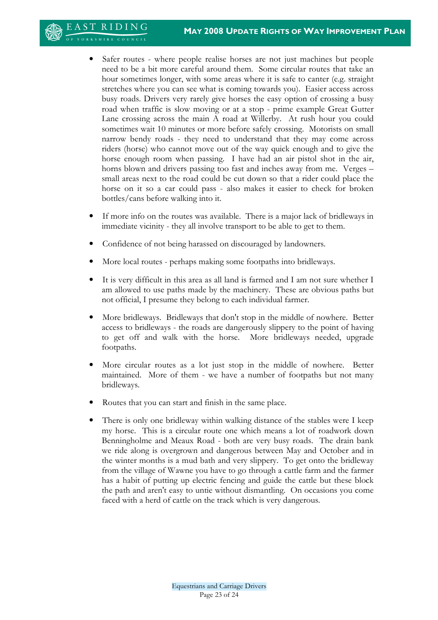- $\bullet$ Safer routes - where people realise horses are not just machines but people need to be a bit more careful around them. Some circular routes that take an hour sometimes longer, with some areas where it is safe to canter (e.g. straight stretches where you can see what is coming towards you). Easier access across busy roads. Drivers very rarely give horses the easy option of crossing a busy road when traffic is slow moving or at a stop - prime example Great Gutter Lane crossing across the main A road at Willerby. At rush hour you could sometimes wait 10 minutes or more before safely crossing. Motorists on small narrow bendy roads - they need to understand that they may come across riders (horse) who cannot move out of the way quick enough and to give the horse enough room when passing. I have had an air pistol shot in the air, horns blown and drivers passing too fast and inches away from me. Verges small areas next to the road could be cut down so that a rider could place the horse on it so a car could pass - also makes it easier to check for broken bottles/cans before walking into it.
- $\bullet$ If more info on the routes was available. There is a major lack of bridleways in immediate vicinity - they all involve transport to be able to get to them.
- $\bullet$ Confidence of not being harassed on discouraged by landowners.
- More local routes perhaps making some footpaths into bridleways.
- It is very difficult in this area as all land is farmed and I am not sure whether I  $\bullet$ am allowed to use paths made by the machinery. These are obvious paths but not official, I presume they belong to each individual farmer.
- More bridleways. Bridleways that don't stop in the middle of nowhere. Better  $\bullet$ access to bridleways - the roads are dangerously slippery to the point of having to get off and walk with the horse. More bridleways needed, upgrade footpaths.
- $\bullet$ More circular routes as a lot just stop in the middle of nowhere. Better maintained. More of them - we have a number of footpaths but not many bridleways.
- Routes that you can start and finish in the same place.
- There is only one bridleway within walking distance of the stables were I keep my horse. This is a circular route one which means a lot of roadwork down Benningholme and Meaux Road - both are very busy roads. The drain bank we ride along is overgrown and dangerous between May and October and in the winter months is a mud bath and very slippery. To get onto the bridleway from the village of Wawne you have to go through a cattle farm and the farmer has a habit of putting up electric fencing and guide the cattle but these block the path and aren't easy to untie without dismantling. On occasions you come faced with a herd of cattle on the track which is very dangerous.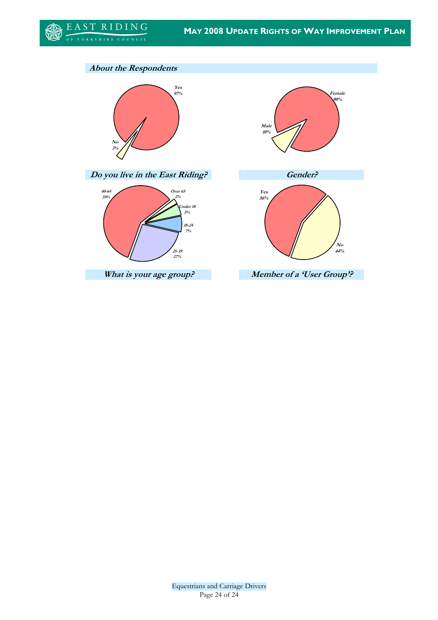**About the Respondents** 

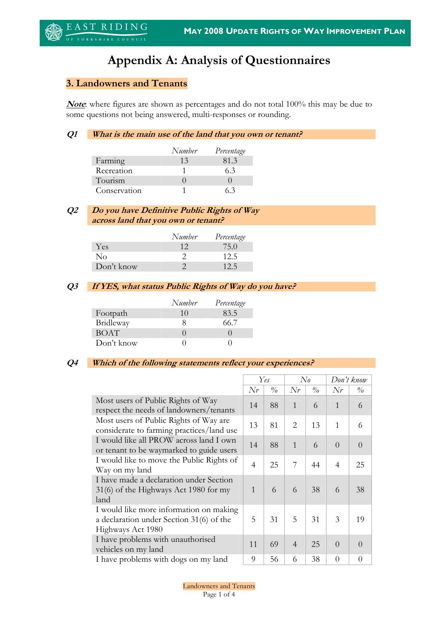# **Appendix A: Analysis of Questionnaires**

## **3. Landowners and Tenants**

EAST RIDING

**Note**: where figures are shown as percentages and do not total 100% this may be due to some questions not being answered, multi-responses or rounding.

#### 01 What is the main use of the land that you own or tenant?

|              | Number | Percentage |
|--------------|--------|------------|
| Farming      | 13     | 81.3       |
| Recreation   |        | 6.3        |
| Tourism      |        |            |
| Conservation |        |            |

### $Q2$ Do you have Definitive Public Rights of Way across land that you own or tenant?

|            | Number | Percentage |
|------------|--------|------------|
| Yes        |        | 75.0       |
| No         |        | 12.5       |
| Don't know |        |            |

### If YES, what status Public Rights of Way do you have? *O3*

|             | Number | Percentage |
|-------------|--------|------------|
| Footpath    | 10     | 83.5       |
| Bridleway   | x      | 66.7       |
| <b>BOAT</b> |        |            |
| Don't know  |        |            |

### $Q4$ Which of the following statements reflect your experiences?

|                                                                                                          | Yes          |                                    |                | $N_{\theta}$                     |                | Don't know                         |
|----------------------------------------------------------------------------------------------------------|--------------|------------------------------------|----------------|----------------------------------|----------------|------------------------------------|
|                                                                                                          | Nr           | $\frac{\partial}{\partial \theta}$ | Nr             | $\frac{\partial}{\partial \rho}$ | Nr             | $\frac{\partial}{\partial \theta}$ |
| Most users of Public Rights of Way<br>respect the needs of landowners/tenants                            | 14           | 88                                 | $\mathbf{1}$   | 6                                | $\mathbf{1}$   | 6                                  |
| Most users of Public Rights of Way are<br>considerate to farming practices/land use                      | 13           | 81                                 | $\overline{2}$ | 13                               | 1              | 6                                  |
| I would like all PROW across land I own<br>or tenant to be waymarked to guide users                      | 14           | 88                                 | $\mathbf{1}$   | 6                                | $\overline{0}$ | $\Omega$                           |
| I would like to move the Public Rights of<br>Way on my land                                              | 4            | 25                                 | 7              | 44                               | 4              | 25                                 |
| I have made a declaration under Section<br>31(6) of the Highways Act 1980 for my<br>land                 | $\mathbf{1}$ | 6                                  | 6              | 38                               | 6              | 38                                 |
| I would like more information on making<br>a declaration under Section 31(6) of the<br>Highways Act 1980 | 5            | 31                                 | 5              | 31                               | 3              | 19                                 |
| I have problems with unauthorised<br>vehicles on my land                                                 | 11           | 69                                 | $\overline{4}$ | 25                               | $\Omega$       | $\Omega$                           |
| I have problems with dogs on my land                                                                     | 9            | 56                                 | 6              | 38                               | $\theta$       | $\theta$                           |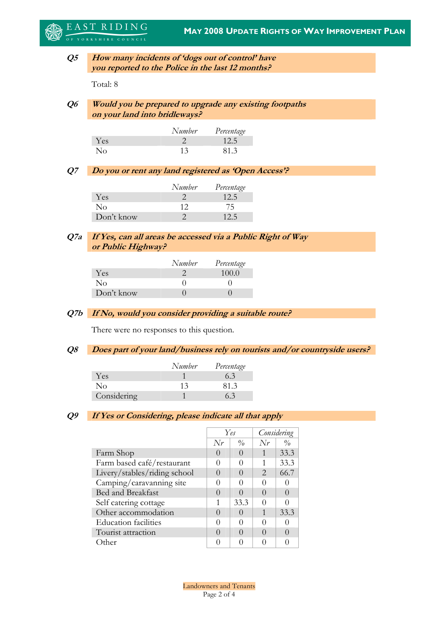## How many incidents of 'dogs out of control' have  $Q<sub>5</sub>$ you reported to the Police in the last 12 months?

Total: 8

 $Q6$ Would you be prepared to upgrade any existing footpaths on your land into bridleways?

|     | Number | Percentage |
|-----|--------|------------|
| Yes |        | 12.5       |
| No. | 13     | 81.3       |

#### Do you or rent any land registered as 'Open Access'?  $Q7$

|            | Number | Percentage |
|------------|--------|------------|
| Yes        |        | 12.5       |
| No         | 1 フ    | 75         |
| Don't know |        | 12.5       |

## Q7a If Yes, can all areas be accessed via a Public Right of Way or Public Highway?

|            | Number | Percentage |
|------------|--------|------------|
| Yes        |        | 100.0      |
| No         |        |            |
| Don't know |        |            |

## Q7b If No, would you consider providing a suitable route?

There were no responses to this question.

#### $Q8$ Does part of your land/business rely on tourists and/or countryside users?

|             | Number | Percentage |
|-------------|--------|------------|
| Yes         |        | 6.3        |
| No          | 13     | 81.3       |
| Considering |        | 6.3        |

### $Q<sub>9</sub>$ If Yes or Considering, please indicate all that apply

|                              | Yes |               |                       | Considering   |
|------------------------------|-----|---------------|-----------------------|---------------|
|                              | Nr  | $\frac{0}{0}$ | Nr                    | $\frac{0}{a}$ |
| Farm Shop                    |     |               |                       | 33.3          |
| Farm based café/restaurant   |     |               |                       | 33.3          |
| Livery/stables/riding school |     |               | $\mathcal{D}_{\cdot}$ | 66.7          |
| Camping/caravanning site     |     |               |                       |               |
| Bed and Breakfast            |     |               |                       |               |
| Self catering cottage        | 1   | 33.3          |                       |               |
| Other accommodation          |     |               |                       | 33.3          |
| <b>Education facilities</b>  |     |               |                       |               |
| Tourist attraction           |     |               |                       |               |
| )ther                        |     |               |                       |               |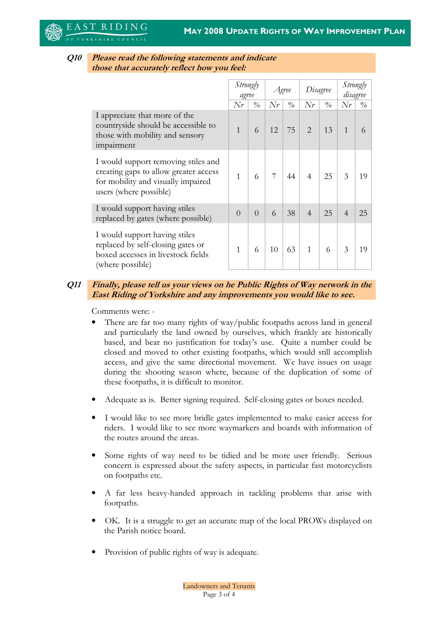## $O10$ Please read the following statements and indicate those that accurately reflect how you feel:

|                                                                                                                                              | Strongly<br>agree |               | Agree |                                    | Disagree       |                                    | Strongly<br>disagree |                                  |
|----------------------------------------------------------------------------------------------------------------------------------------------|-------------------|---------------|-------|------------------------------------|----------------|------------------------------------|----------------------|----------------------------------|
|                                                                                                                                              | Nr                | $\frac{0}{0}$ | Nr    | $\frac{\partial}{\partial \theta}$ | Nr             | $\frac{\partial}{\partial \theta}$ | Nr                   | $\frac{\partial}{\partial \rho}$ |
| I appreciate that more of the<br>countryside should be accessible to<br>those with mobility and sensory<br>impairment                        | $\mathbf{1}$      | 6             | 12    | 75                                 | $\overline{2}$ | 13                                 | $\mathbf{1}$         | 6                                |
| I would support removing stiles and<br>creating gaps to allow greater access<br>for mobility and visually impaired<br>users (where possible) | 1                 | 6             |       | 44                                 | 4              | 25                                 | 3                    | 19                               |
| I would support having stiles<br>replaced by gates (where possible)                                                                          | $\Omega$          | $\Omega$      | 6     | 38                                 | $\overline{4}$ | 25                                 | $\overline{4}$       | 25                               |
| I would support having stiles<br>replaced by self-closing gates or<br>boxed accesses in livestock fields<br>(where possible)                 | 1                 | 6             | 10    | 63                                 | $\mathbf{1}$   | 6                                  | 3                    | 19                               |

## $Q11$ Finally, please tell us your views on he Public Rights of Way network in the East Riding of Yorkshire and any improvements you would like to see.

Comments were: -

- There are far too many rights of way/public footpaths across land in general and particularly the land owned by ourselves, which frankly are historically based, and bear no justification for today's use. Quite a number could be closed and moved to other existing footpaths, which would still accomplish access, and give the same directional movement. We have issues on usage during the shooting season where, because of the duplication of some of these footpaths, it is difficult to monitor.
- Adequate as is. Better signing required. Self-closing gates or boxes needed.
- I would like to see more bridle gates implemented to make easier access for riders. I would like to see more waymarkers and boards with information of the routes around the areas.
- Some rights of way need to be tidied and be more user friendly. Serious concern is expressed about the safety aspects, in particular fast motorcyclists on footpaths etc.
- A far less heavy-handed approach in tackling problems that arise with footpaths.
- OK. It is a struggle to get an accurate map of the local PROWs displayed on the Parish notice board.
- Provision of public rights of way is adequate.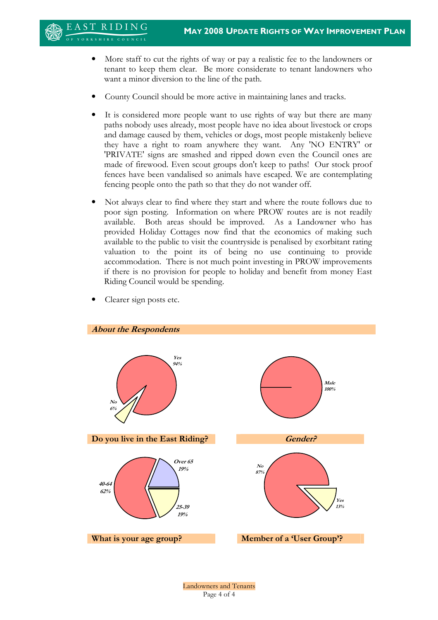

- $\bullet$ More staff to cut the rights of way or pay a realistic fee to the landowners or tenant to keep them clear. Be more considerate to tenant landowners who want a minor diversion to the line of the path.
- County Council should be more active in maintaining lanes and tracks.
- It is considered more people want to use rights of way but there are many paths nobody uses already, most people have no idea about livestock or crops and damage caused by them, vehicles or dogs, most people mistakenly believe they have a right to roam anywhere they want. Any 'NO ENTRY' or 'PRIVATE' signs are smashed and ripped down even the Council ones are made of firewood. Even scout groups don't keep to paths! Our stock proof fences have been vandalised so animals have escaped. We are contemplating fencing people onto the path so that they do not wander off.
- Not always clear to find where they start and where the route follows due to  $\bullet$ poor sign posting. Information on where PROW routes are is not readily available. Both areas should be improved. As a Landowner who has provided Holiday Cottages now find that the economics of making such available to the public to visit the countryside is penalised by exorbitant rating valuation to the point its of being no use continuing to provide accommodation. There is not much point investing in PROW improvements if there is no provision for people to holiday and benefit from money East Riding Council would be spending.



Clearer sign posts etc.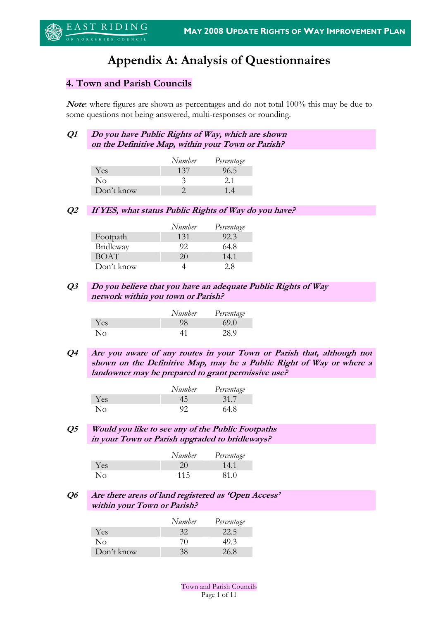# **Appendix A: Analysis of Questionnaires**

## 4. Town and Parish Councils

EAST RIDING

**Note**: where figures are shown as percentages and do not total 100% this may be due to some questions not being answered, multi-responses or rounding.

| Q1 | Do you have Public Rights of Way, which are shown  |
|----|----------------------------------------------------|
|    | on the Definitive Map, within your Town or Parish? |

|            | Number | Percentage |
|------------|--------|------------|
| Yes        | 137    | 96.5       |
| No         |        | 2.1        |
| Don't know |        |            |

## Q2 If YES, what status Public Rights of Way do you have?

|             | Number | Percentage |
|-------------|--------|------------|
| Footpath    | 131    | 92.3       |
| Bridleway   | 92     | 64.8       |
| <b>BOAT</b> | 20     | 14.1       |
| Don't know  |        | 2.8        |

### **O3** Do you believe that you have an adequate Public Rights of Way network within you town or Parish?

|     | Number | Percentage |
|-----|--------|------------|
| Yes | 98     | 69.0       |
| No  |        | 28.9       |

**Q4** Are you aware of any routes in your Town or Parish that, although not shown on the Definitive Map, may be a Public Right of Way or where a landowner may be prepared to grant permissive use?

|                  | Number | Percentage |
|------------------|--------|------------|
| Yes <sup>-</sup> |        | 31.7       |
| $\rm No$         | 92     | 64.8       |

 $Q<sub>5</sub>$ Would you like to see any of the Public Footpaths in your Town or Parish upgraded to bridleways?

|     | Number | Percentage |
|-----|--------|------------|
| Yes | 20     | 14.1       |
| Nο  | 115    | 81.0       |

### $Q6$ Are there areas of land registered as 'Open Access' within your Town or Parish?

|            | Number | Percentage |
|------------|--------|------------|
| Yes.       | 32     | 22.5       |
| No         | 70     | 49.3       |
| Don't know | 38     | 26.8       |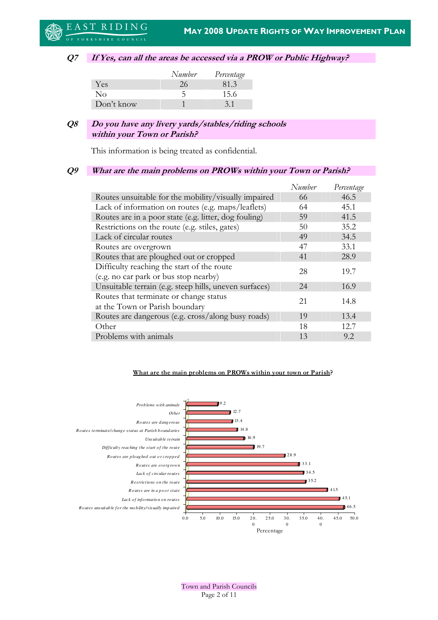#### $Q7$ If Yes, can all the areas be accessed via a PROW or Public Highway?

|            | Number | Percentage |
|------------|--------|------------|
| Yes        |        | 81.3       |
| No         |        | 15.6       |
| Don't know |        | 3.1        |

### $Q8$ Do you have any livery yards/stables/riding schools within your Town or Parish?

This information is being treated as confidential.

#### $Q<sub>9</sub>$ What are the main problems on PROWs within your Town or Parish?

|                                                        | Number | Percentage |
|--------------------------------------------------------|--------|------------|
| Routes unsuitable for the mobility/visually impaired   | 66     | 46.5       |
| Lack of information on routes (e.g. maps/leaflets)     | 64     | 45.1       |
| Routes are in a poor state (e.g. litter, dog fouling)  | 59     | 41.5       |
| Restrictions on the route (e.g. stiles, gates)         | 50     | 35.2       |
| Lack of circular routes                                | 49     | 34.5       |
| Routes are overgrown                                   | 47     | 33.1       |
| Routes that are ploughed out or cropped                | 41     | 28.9       |
| Difficulty reaching the start of the route             | 28     | 19.7       |
| (e.g. no car park or bus stop nearby)                  |        |            |
| Unsuitable terrain (e.g. steep hills, uneven surfaces) | 24     | 16.9       |
| Routes that terminate or change status                 | 21     | 14.8       |
| at the Town or Parish boundary                         |        |            |
| Routes are dangerous (e.g. cross/along busy roads)     | 19     | 13.4       |
| Other                                                  | 18     | 12.7       |
| Problems with animals                                  | 13     | 9.2        |

## What are the main problems on PROWs within your town or Parish?



Town and Parish Councils Page 2 of 11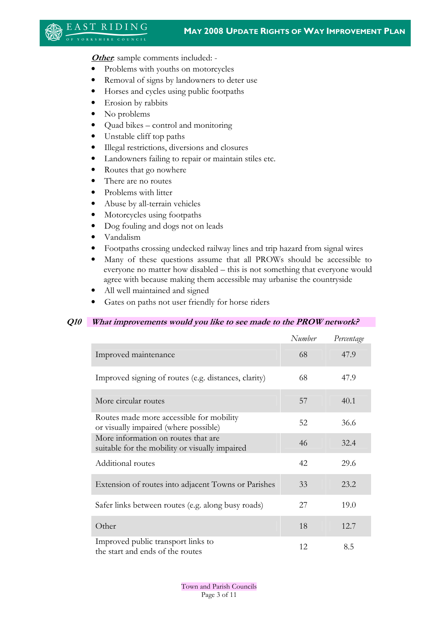**Other** sample comments included: -

- $\bullet$ Problems with youths on motorcycles
- Removal of signs by landowners to deter use
- Horses and cycles using public footpaths
- Erosion by rabbits
- No problems

EAST RIDING

- Quad bikes control and monitoring
- Unstable cliff top paths  $\bullet$
- Illegal restrictions, diversions and closures  $\bullet$
- Landowners failing to repair or maintain stiles etc.
- Routes that go nowhere  $\bullet$
- There are no routes
- Problems with litter  $\bullet$
- $\bullet$ Abuse by all-terrain vehicles
- Motorcycles using footpaths  $\bullet$
- Dog fouling and dogs not on leads
- Vandalism  $\bullet$
- Footpaths crossing undecked railway lines and trip hazard from signal wires
- Many of these questions assume that all PROWs should be accessible to  $\bullet$ everyone no matter how disabled – this is not something that everyone would agree with because making them accessible may urbanise the countryside
- All well maintained and signed
- Gates on paths not user friendly for horse riders

#### $O10$ What improvements would you like to see made to the PROW network?

|                                                                                       | Number | Percentage |
|---------------------------------------------------------------------------------------|--------|------------|
| Improved maintenance                                                                  | 68     | 47.9       |
| Improved signing of routes (e.g. distances, clarity)                                  | 68     | 47.9       |
| More circular routes                                                                  | 57     | 40.1       |
| Routes made more accessible for mobility<br>or visually impaired (where possible)     | 52     | 36.6       |
| More information on routes that are<br>suitable for the mobility or visually impaired | 46     | 32.4       |
| Additional routes                                                                     | 42     | 29.6       |
| Extension of routes into adjacent Towns or Parishes                                   | 33     | 23.2       |
| Safer links between routes (e.g. along busy roads)                                    | 27     | 19.0       |
| Other                                                                                 | 18     | 12.7       |
| Improved public transport links to<br>the start and ends of the routes                | 12     | 8.5        |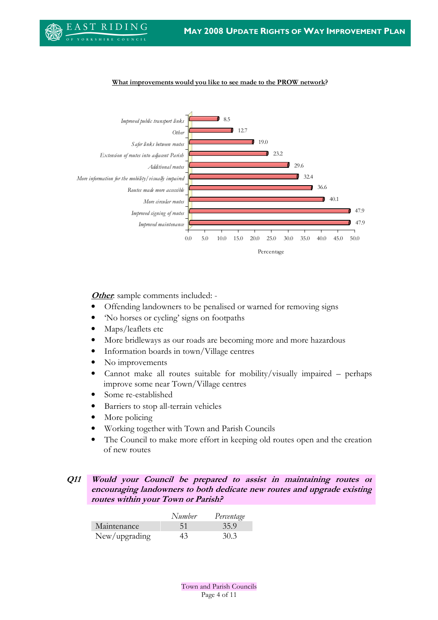



## What improvements would you like to see made to the PROW network?

**Other**: sample comments included: -

- Offending landowners to be penalised or warned for removing signs
- 'No horses or cycling' signs on footpaths
- Maps/leaflets etc
- More bridleways as our roads are becoming more and more hazardous
- Information boards in town/Village centres  $\bullet$
- No improvements
- Cannot make all routes suitable for mobility/visually impaired perhaps improve some near Town/Village centres
- Some re-established
- Barriers to stop all-terrain vehicles
- More policing
- Working together with Town and Parish Councils
- The Council to make more effort in keeping old routes open and the creation of new routes

## $Q11$ Would your Council be prepared to assist in maintaining routes or encouraging landowners to both dedicate new routes and upgrade existing routes within your Town or Parish?

|               | Number | Percentage |
|---------------|--------|------------|
| Maintenance   | 51     | 35.9       |
| New/upgrading | 43     | 30.3       |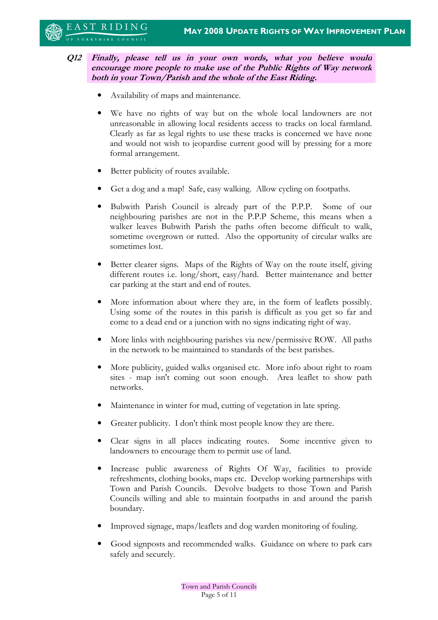

Q12 Finally, please tell us in your own words, what you believe would encourage more people to make use of the Public Rights of Way network both in your Town/Parish and the whole of the East Riding.

- Availability of maps and maintenance.
- We have no rights of way but on the whole local landowners are not unreasonable in allowing local residents access to tracks on local farmland. Clearly as far as legal rights to use these tracks is concerned we have none and would not wish to jeopardise current good will by pressing for a more formal arrangement.
- Better publicity of routes available.
- Get a dog and a map! Safe, easy walking. Allow cycling on footpaths.
- Bubwith Parish Council is already part of the P.P.P. Some of our neighbouring parishes are not in the P.P.P Scheme, this means when a walker leaves Bubwith Parish the paths often become difficult to walk, sometime overgrown or rutted. Also the opportunity of circular walks are sometimes lost.
- $\bullet$ Better clearer signs. Maps of the Rights of Way on the route itself, giving different routes i.e. long/short, easy/hard. Better maintenance and better car parking at the start and end of routes.
- More information about where they are, in the form of leaflets possibly. Using some of the routes in this parish is difficult as you get so far and come to a dead end or a junction with no signs indicating right of way.
- More links with neighbouring parishes via new/permissive ROW. All paths in the network to be maintained to standards of the best parishes.
- More publicity, guided walks organised etc. More info about right to roam sites - map isn't coming out soon enough. Area leaflet to show path networks.
- Maintenance in winter for mud, cutting of vegetation in late spring.
- Greater publicity. I don't think most people know they are there.
- Clear signs in all places indicating routes. Some incentive given to landowners to encourage them to permit use of land.
- Increase public awareness of Rights Of Way, facilities to provide refreshments, clothing books, maps etc. Develop working partnerships with Town and Parish Councils. Devolve budgets to those Town and Parish Councils willing and able to maintain footpaths in and around the parish boundary.
- Improved signage, maps/leaflets and dog warden monitoring of fouling.
- Good signposts and recommended walks. Guidance on where to park cars safely and securely.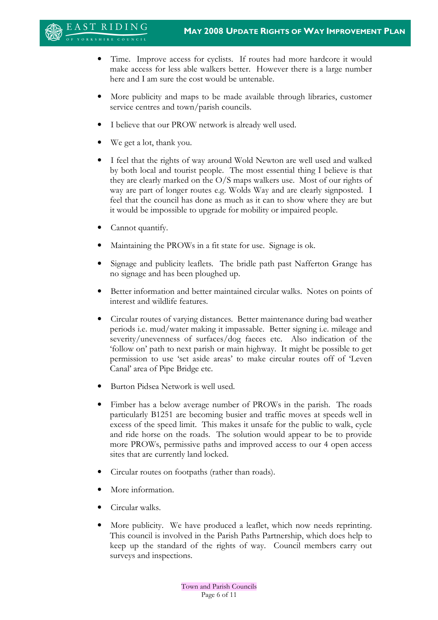- Time. Improve access for cyclists. If routes had more hardcore it would make access for less able walkers better. However there is a large number here and I am sure the cost would be untenable
- More publicity and maps to be made available through libraries, customer service centres and town/parish councils.
- I believe that our PROW network is already well used.
- We get a lot, thank you.
- I feel that the rights of way around Wold Newton are well used and walked by both local and tourist people. The most essential thing I believe is that they are clearly marked on the O/S maps walkers use. Most of our rights of way are part of longer routes e.g. Wolds Way and are clearly signposted. I feel that the council has done as much as it can to show where they are but it would be impossible to upgrade for mobility or impaired people.
- Cannot quantify.
- Maintaining the PROWs in a fit state for use. Signage is ok.
- Signage and publicity leaflets. The bridle path past Nafferton Grange has no signage and has been ploughed up.
- Better information and better maintained circular walks. Notes on points of interest and wildlife features.
- Circular routes of varying distances. Better maintenance during bad weather periods i.e. mud/water making it impassable. Better signing i.e. mileage and severity/unevenness of surfaces/dog faeces etc. Also indication of the 'follow on' path to next parish or main highway. It might be possible to get permission to use 'set aside areas' to make circular routes off of 'Leven Canal' area of Pipe Bridge etc.
- Burton Pidsea Network is well used.
- Fimber has a below average number of PROWs in the parish. The roads particularly B1251 are becoming busier and traffic moves at speeds well in excess of the speed limit. This makes it unsafe for the public to walk, cycle and ride horse on the roads. The solution would appear to be to provide more PROWs, permissive paths and improved access to our 4 open access sites that are currently land locked.
- Circular routes on footpaths (rather than roads).
- More information.
- Circular walks.
- More publicity. We have produced a leaflet, which now needs reprinting. This council is involved in the Parish Paths Partnership, which does help to keep up the standard of the rights of way. Council members carry out surveys and inspections.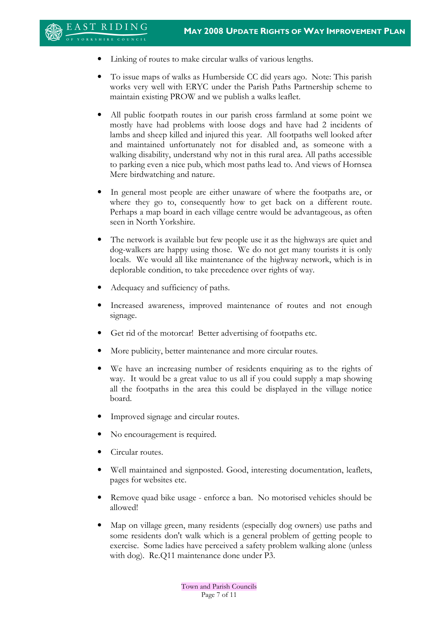

- Linking of routes to make circular walks of various lengths.
- To issue maps of walks as Humberside CC did years ago. Note: This parish works very well with ERYC under the Parish Paths Partnership scheme to maintain existing PROW and we publish a walks leaflet.
- All public footpath routes in our parish cross farmland at some point we mostly have had problems with loose dogs and have had 2 incidents of lambs and sheep killed and injured this year. All footpaths well looked after and maintained unfortunately not for disabled and, as someone with a walking disability, understand why not in this rural area. All paths accessible to parking even a nice pub, which most paths lead to. And views of Hornsea Mere birdwatching and nature.
- In general most people are either unaware of where the footpaths are, or where they go to, consequently how to get back on a different route. Perhaps a map board in each village centre would be advantageous, as often seen in North Yorkshire.
- The network is available but few people use it as the highways are quiet and dog-walkers are happy using those. We do not get many tourists it is only locals. We would all like maintenance of the highway network, which is in deplorable condition, to take precedence over rights of way.
- Adequacy and sufficiency of paths.
- Increased awareness, improved maintenance of routes and not enough signage.
- Get rid of the motorcar! Better advertising of footpaths etc.
- More publicity, better maintenance and more circular routes.
- We have an increasing number of residents enquiring as to the rights of way. It would be a great value to us all if you could supply a map showing all the footpaths in the area this could be displayed in the village notice board.
- Improved signage and circular routes.
- No encouragement is required.
- Circular routes.
- Well maintained and signposted. Good, interesting documentation, leaflets, pages for websites etc.
- Remove quad bike usage enforce a ban. No motorised vehicles should be allowed!
- Map on village green, many residents (especially dog owners) use paths and some residents don't walk which is a general problem of getting people to exercise. Some ladies have perceived a safety problem walking alone (unless with dog). Re. Q11 maintenance done under P3.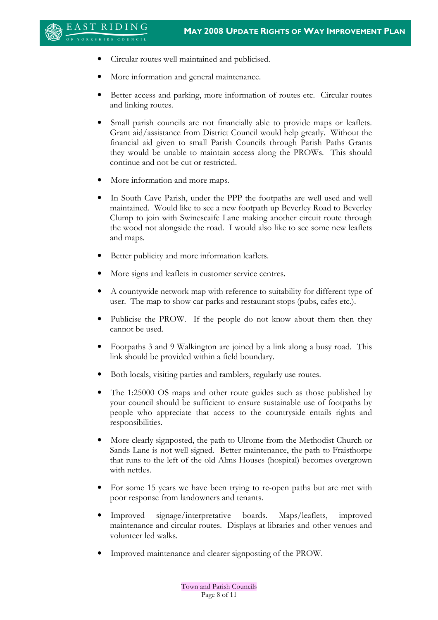

EAST RIDING

- More information and general maintenance.
- Better access and parking, more information of routes etc. Circular routes and linking routes.
- Small parish councils are not financially able to provide maps or leaflets. Grant aid/assistance from District Council would help greatly. Without the financial aid given to small Parish Councils through Parish Paths Grants they would be unable to maintain access along the PROWs. This should continue and not be cut or restricted.
- More information and more maps.
- In South Cave Parish, under the PPP the footpaths are well used and well maintained. Would like to see a new footpath up Beverley Road to Beverley Clump to join with Swinescaife Lane making another circuit route through the wood not alongside the road. I would also like to see some new leaflets and maps.
- Better publicity and more information leaflets.
- More signs and leaflets in customer service centres.
- A countywide network map with reference to suitability for different type of user. The map to show car parks and restaurant stops (pubs, cafes etc.).
- Publicise the PROW. If the people do not know about them then they cannot be used.
- Footpaths 3 and 9 Walkington are joined by a link along a busy road. This link should be provided within a field boundary.
- Both locals, visiting parties and ramblers, regularly use routes.
- The 1:25000 OS maps and other route guides such as those published by your council should be sufficient to ensure sustainable use of footpaths by people who appreciate that access to the countryside entails rights and responsibilities.
- More clearly signposted, the path to Ulrome from the Methodist Church or Sands Lane is not well signed. Better maintenance, the path to Fraisthorpe that runs to the left of the old Alms Houses (hospital) becomes overgrown with nettles.
- For some 15 years we have been trying to re-open paths but are met with poor response from landowners and tenants.
- Improved signage/interpretative boards. Maps/leaflets, improved maintenance and circular routes. Displays at libraries and other venues and volunteer led walks.
- Improved maintenance and clearer signposting of the PROW.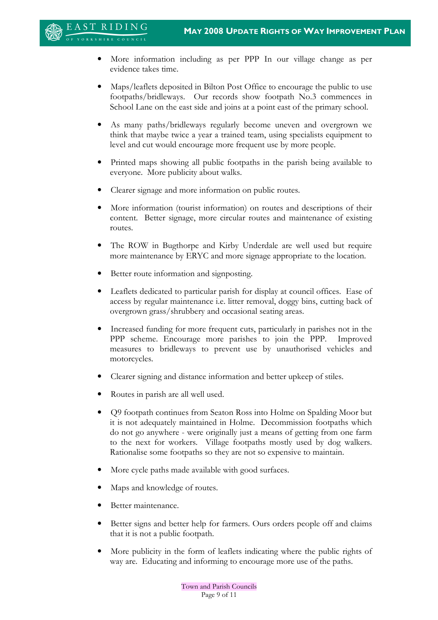

- Maps/leaflets deposited in Bilton Post Office to encourage the public to use footpaths/bridleways. Our records show footpath No.3 commences in School Lane on the east side and joins at a point east of the primary school.
- As many paths/bridleways regularly become uneven and overgrown we think that maybe twice a year a trained team, using specialists equipment to level and cut would encourage more frequent use by more people.
- Printed maps showing all public footpaths in the parish being available to everyone. More publicity about walks.
- Clearer signage and more information on public routes.
- More information (tourist information) on routes and descriptions of their content. Better signage, more circular routes and maintenance of existing routes.
- The ROW in Bugthorpe and Kirby Underdale are well used but require more maintenance by ERYC and more signage appropriate to the location.
- Better route information and signposting.

EAST RIDING

- Leaflets dedicated to particular parish for display at council offices. Ease of access by regular maintenance i.e. litter removal, doggy bins, cutting back of overgrown grass/shrubbery and occasional seating areas.
- Increased funding for more frequent cuts, particularly in parishes not in the PPP scheme. Encourage more parishes to join the PPP. Improved measures to bridleways to prevent use by unauthorised vehicles and motorcycles.
- Clearer signing and distance information and better upkeep of stiles.
- Routes in parish are all well used.
- Q9 footpath continues from Seaton Ross into Holme on Spalding Moor but it is not adequately maintained in Holme. Decommission footpaths which do not go anywhere - were originally just a means of getting from one farm to the next for workers. Village footpaths mostly used by dog walkers. Rationalise some footpaths so they are not so expensive to maintain.
- More cycle paths made available with good surfaces.
- Maps and knowledge of routes.
- Better maintenance.
- Better signs and better help for farmers. Ours orders people off and claims that it is not a public footpath.
- More publicity in the form of leaflets indicating where the public rights of way are. Educating and informing to encourage more use of the paths.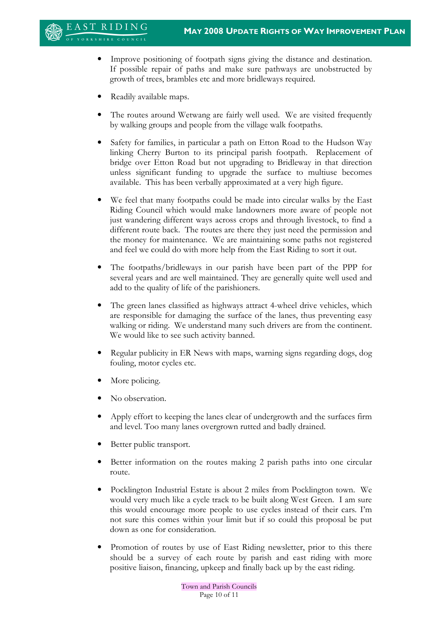- Improve positioning of footpath signs giving the distance and destination. If possible repair of paths and make sure pathways are unobstructed by growth of trees, brambles etc and more bridleways required.
- Readily available maps.
- The routes around Wetwang are fairly well used. We are visited frequently by walking groups and people from the village walk footpaths.
- Safety for families, in particular a path on Etton Road to the Hudson Way linking Cherry Burton to its principal parish footpath. Replacement of bridge over Etton Road but not upgrading to Bridleway in that direction unless significant funding to upgrade the surface to multiuse becomes available. This has been verbally approximated at a very high figure.
- We feel that many footpaths could be made into circular walks by the East Riding Council which would make landowners more aware of people not just wandering different ways across crops and through livestock, to find a different route back. The routes are there they just need the permission and the money for maintenance. We are maintaining some paths not registered and feel we could do with more help from the East Riding to sort it out.
- The footpaths/bridleways in our parish have been part of the PPP for several years and are well maintained. They are generally quite well used and add to the quality of life of the parishioners.
- The green lanes classified as highways attract 4-wheel drive vehicles, which are responsible for damaging the surface of the lanes, thus preventing easy walking or riding. We understand many such drivers are from the continent. We would like to see such activity banned.
- Regular publicity in ER News with maps, warning signs regarding dogs, dog fouling, motor cycles etc.
- More policing.
- No observation.
- Apply effort to keeping the lanes clear of undergrowth and the surfaces firm and level. Too many lanes overgrown rutted and badly drained.
- Better public transport.
- Better information on the routes making 2 parish paths into one circular route.
- Pocklington Industrial Estate is about 2 miles from Pocklington town. We would very much like a cycle track to be built along West Green. I am sure this would encourage more people to use cycles instead of their cars. I'm not sure this comes within your limit but if so could this proposal be put down as one for consideration.
- Promotion of routes by use of East Riding newsletter, prior to this there should be a survey of each route by parish and east riding with more positive liaison, financing, upkeep and finally back up by the east riding.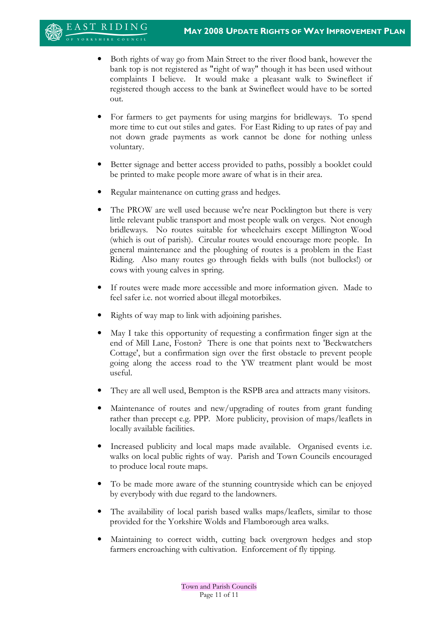- AST RIDING
	- Both rights of way go from Main Street to the river flood bank, however the bank top is not registered as "right of way" though it has been used without complaints I believe. It would make a pleasant walk to Swinefleet if registered though access to the bank at Swinefleet would have to be sorted out.
	- For farmers to get payments for using margins for bridleways. To spend more time to cut out stiles and gates. For East Riding to up rates of pay and not down grade payments as work cannot be done for nothing unless voluntary.
	- Better signage and better access provided to paths, possibly a booklet could be printed to make people more aware of what is in their area.
	- Regular maintenance on cutting grass and hedges.
	- The PROW are well used because we're near Pocklington but there is very little relevant public transport and most people walk on verges. Not enough bridleways. No routes suitable for wheelchairs except Millington Wood (which is out of parish). Circular routes would encourage more people. In general maintenance and the ploughing of routes is a problem in the East Riding. Also many routes go through fields with bulls (not bullocks!) or cows with young calves in spring.
	- If routes were made more accessible and more information given. Made to feel safer i.e. not worried about illegal motorbikes.
	- Rights of way map to link with adjoining parishes.
	- May I take this opportunity of requesting a confirmation finger sign at the end of Mill Lane, Foston? There is one that points next to 'Beckwatchers' Cottage', but a confirmation sign over the first obstacle to prevent people going along the access road to the YW treatment plant would be most useful.
	- They are all well used, Bempton is the RSPB area and attracts many visitors.
	- Maintenance of routes and new/upgrading of routes from grant funding rather than precept e.g. PPP. More publicity, provision of maps/leaflets in locally available facilities.
	- Increased publicity and local maps made available. Organised events i.e. walks on local public rights of way. Parish and Town Councils encouraged to produce local route maps.
	- To be made more aware of the stunning countryside which can be enjoyed by everybody with due regard to the landowners.
	- The availability of local parish based walks maps/leaflets, similar to those provided for the Yorkshire Wolds and Flamborough area walks.
	- Maintaining to correct width, cutting back overgrown hedges and stop farmers encroaching with cultivation. Enforcement of fly tipping.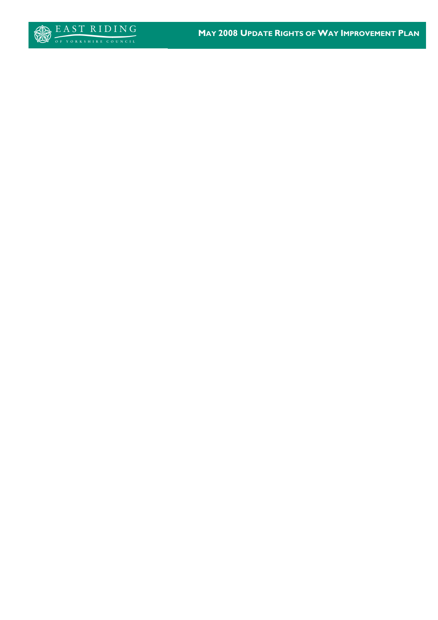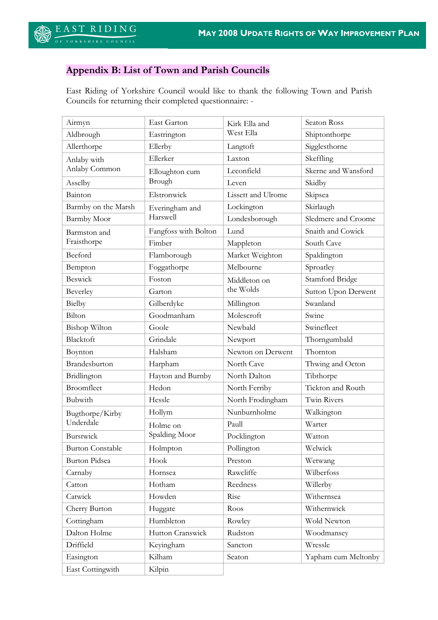

# Appendix B: List of Town and Parish Councils

East Riding of Yorkshire Council would like to thank the following Town and Parish Councils for returning their completed questionnaire: -

| Airmyn                       | East Garton                | Kirk Ella and<br>West Ella | Seaton Ross         |
|------------------------------|----------------------------|----------------------------|---------------------|
| Aldbrough                    | Eastrington                |                            | Shiptonthorpe       |
| Allerthorpe                  | Ellerby                    | Langtoft                   | Sigglesthorne       |
| Anlaby with<br>Anlaby Common | Ellerker                   | Laxton                     | Skeffling           |
|                              | Elloughton cum<br>Brough   | Leconfield                 | Skerne and Wansford |
| Asselby                      |                            | Leven                      | Skidby              |
| Bainton                      | Elstronwick                | Lissett and Ulrome         | Skipsea             |
| Barmby on the Marsh          | Everingham and<br>Harswell | Lockington                 | Skirlaugh           |
| <b>Barmby</b> Moor           |                            | Londesborough              | Sledmere and Croome |
| Barmston and<br>Fraisthorpe  | Fangfoss with Bolton       | Lund                       | Snaith and Cowick   |
|                              | Fimber                     | Mappleton                  | South Cave          |
| Beeford                      | Flamborough                | Market Weighton            | Spaldington         |
| Bempton                      | Foggathorpe                | Melbourne                  | Sproatley           |
| <b>Beswick</b>               | Foston                     | Middleton on<br>the Wolds  | Stamford Bridge     |
| Beverley                     | Garton                     |                            | Sutton Upon Derwent |
| Bielby                       | Gilberdyke                 | Millington                 | Swanland            |
| Bilton                       | Goodmanham                 | Molescroft                 | Swine               |
| <b>Bishop Wilton</b>         | Goole                      | Newbald                    | Swinefleet          |
| Blacktoft                    | Grindale                   | Newport                    | Thorngumbald        |
| Boynton                      | Halsham                    | Newton on Derwent          | Thornton            |
| Brandesburton                | Harpham                    | North Cave                 | Thwing and Octon    |
| Bridlington                  | Hayton and Burnby          | North Dalton               | Tibthorpe           |
| <b>Broomfleet</b>            | Hedon                      | North Ferriby              | Tickton and Routh   |
| Bubwith                      | Hessle                     | North Frodingham           | Twin Rivers         |
| Bugthorpe/Kirby<br>Underdale | Hollym                     | Nunburnholme               | Walkington          |
|                              | Holme on                   | Paull                      | Warter              |
| Burstwick                    | Spalding Moor              | Pocklington                | Watton              |
| <b>Burton Constable</b>      | Holmpton                   | Pollington                 | Welwick             |
| Burton Pidsea                | Hook                       | Preston                    | Wetwang             |
| Carnaby                      | Hornsea                    | Rawcliffe                  | Wilberfoss          |
| Catton                       | Hotham                     | Reedness                   | Willerby            |
| Catwick                      | Howden                     | Rise                       | Withernsea          |
| Cherry Burton                | Huggate                    | Roos                       | Withernwick         |
| Cottingham                   | Humbleton                  | Rowley                     | Wold Newton         |
| Dalton Holme                 | Hutton Cranswick           | Rudston                    | Woodmansey          |
| Driffield                    | Keyingham                  | Sancton                    | Wressle             |
| Easington                    | Kilham                     | Seaton                     | Yapham cum Meltonby |
| East Cottingwith             | Kilpin                     |                            |                     |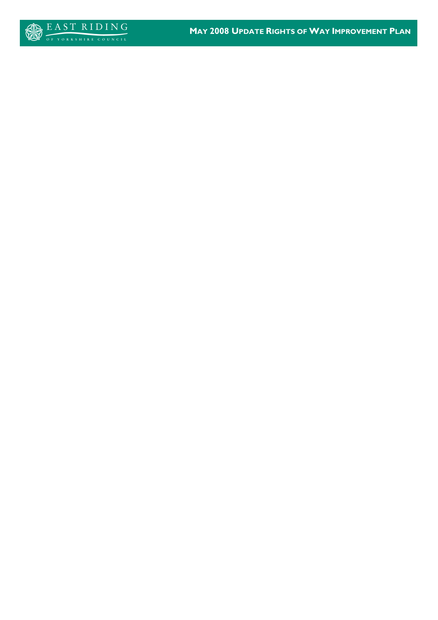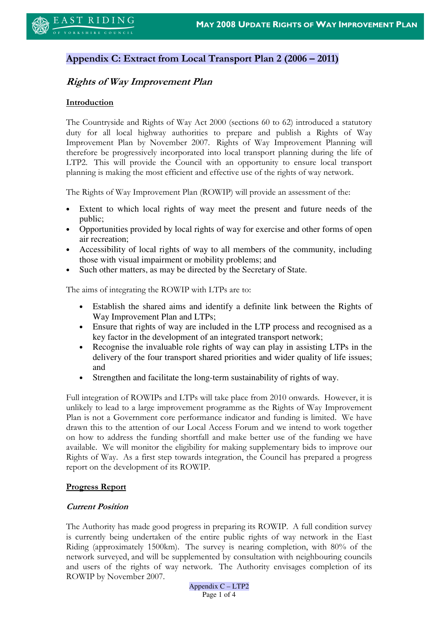

# Appendix C: Extract from Local Transport Plan 2 (2006 – 2011)

# Rights of Way Improvement Plan

## **Introduction**

The Countryside and Rights of Way Act 2000 (sections 60 to 62) introduced a statutory duty for all local highway authorities to prepare and publish a Rights of Way Improvement Plan by November 2007. Rights of Way Improvement Planning will therefore be progressively incorporated into local transport planning during the life of LTP2. This will provide the Council with an opportunity to ensure local transport planning is making the most efficient and effective use of the rights of way network.

The Rights of Way Improvement Plan (ROWIP) will provide an assessment of the:

- Extent to which local rights of way meet the present and future needs of the public;
- Opportunities provided by local rights of way for exercise and other forms of open air recreation;
- Accessibility of local rights of way to all members of the community, including those with visual impairment or mobility problems; and
- Such other matters, as may be directed by the Secretary of State.

The aims of integrating the ROWIP with LTPs are to:

- Establish the shared aims and identify a definite link between the Rights of Way Improvement Plan and LTPs;
- Ensure that rights of way are included in the LTP process and recognised as a key factor in the development of an integrated transport network;
- Recognise the invaluable role rights of way can play in assisting LTPs in the delivery of the four transport shared priorities and wider quality of life issues; and
- Strengthen and facilitate the long-term sustainability of rights of way.

Full integration of ROWIPs and LTPs will take place from 2010 onwards. However, it is unlikely to lead to a large improvement programme as the Rights of Way Improvement Plan is not a Government core performance indicator and funding is limited. We have drawn this to the attention of our Local Access Forum and we intend to work together on how to address the funding shortfall and make better use of the funding we have available. We will monitor the eligibility for making supplementary bids to improve our Rights of Way. As a first step towards integration, the Council has prepared a progress report on the development of its ROWIP.

#### **Progress Report**

#### **Current Position**

The Authority has made good progress in preparing its ROWIP. A full condition survey is currently being undertaken of the entire public rights of way network in the East Riding (approximately 1500km). The survey is nearing completion, with 80% of the network surveyed, and will be supplemented by consultation with neighbouring councils and users of the rights of way network. The Authority envisages completion of its ROWIP by November 2007.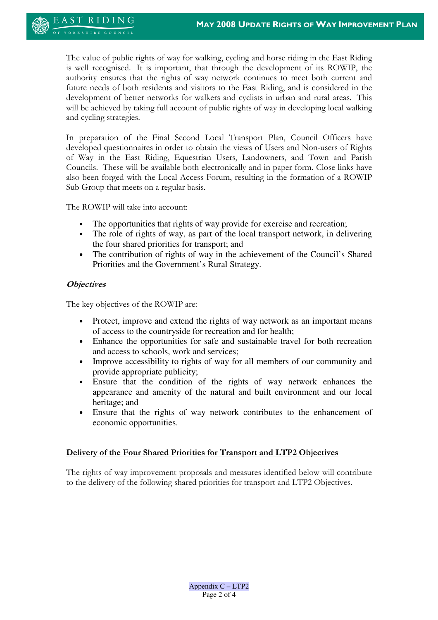

The value of public rights of way for walking, cycling and horse riding in the East Riding is well recognised. It is important, that through the development of its ROWIP, the authority ensures that the rights of way network continues to meet both current and future needs of both residents and visitors to the East Riding, and is considered in the development of better networks for walkers and cyclists in urban and rural areas. This will be achieved by taking full account of public rights of way in developing local walking and cycling strategies.

In preparation of the Final Second Local Transport Plan, Council Officers have developed questionnaires in order to obtain the views of Users and Non-users of Rights of Way in the East Riding, Equestrian Users, Landowners, and Town and Parish Councils. These will be available both electronically and in paper form. Close links have also been forged with the Local Access Forum, resulting in the formation of a ROWIP Sub Group that meets on a regular basis.

The ROWIP will take into account:

- The opportunities that rights of way provide for exercise and recreation;
- The role of rights of way, as part of the local transport network, in delivering the four shared priorities for transport; and
- The contribution of rights of way in the achievement of the Council's Shared Priorities and the Government's Rural Strategy.

# **Objectives**

The key objectives of the ROWIP are:

- Protect, improve and extend the rights of way network as an important means of access to the countryside for recreation and for health;
- Enhance the opportunities for safe and sustainable travel for both recreation and access to schools, work and services;
- Improve accessibility to rights of way for all members of our community and provide appropriate publicity;
- Ensure that the condition of the rights of way network enhances the appearance and amenity of the natural and built environment and our local heritage; and
- Ensure that the rights of way network contributes to the enhancement of economic opportunities.

# Delivery of the Four Shared Priorities for Transport and LTP2 Objectives

The rights of way improvement proposals and measures identified below will contribute to the delivery of the following shared priorities for transport and LTP2 Objectives.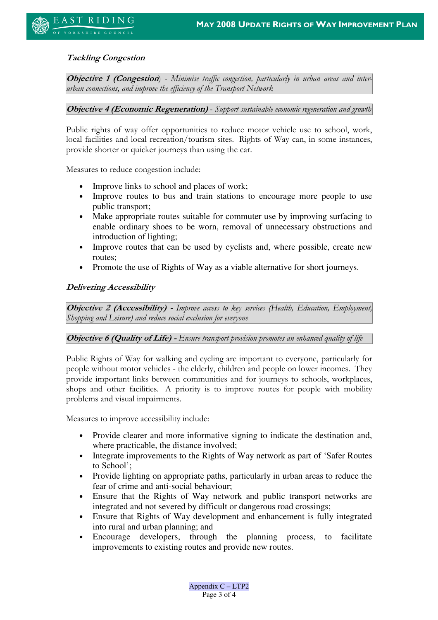

# **Tackling Congestion**

Objective 1 (Congestion) - Minimise traffic congestion, particularly in urban areas and interurban connections, and improve the efficiency of the Transport Network

# **Objective 4 (Economic Regeneration)** - Support sustainable economic regeneration and growth

Public rights of way offer opportunities to reduce motor vehicle use to school, work, local facilities and local recreation/tourism sites. Rights of Way can, in some instances, provide shorter or quicker journeys than using the car.

Measures to reduce congestion include:

- Improve links to school and places of work;
- Improve routes to bus and train stations to encourage more people to use public transport;
- Make appropriate routes suitable for commuter use by improving surfacing to enable ordinary shoes to be worn, removal of unnecessary obstructions and introduction of lighting;
- Improve routes that can be used by cyclists and, where possible, create new routes;
- Promote the use of Rights of Way as a viable alternative for short journeys.

## Delivering Accessibility

**Objective 2 (Accessibility)** - Improve access to key services (Health, Education, Employment, Shopping and Leisure) and reduce social exclusion for everyone

#### **Objective 6 (Quality of Life) -** Ensure transport provision promotes an enhanced quality of life

Public Rights of Way for walking and cycling are important to everyone, particularly for people without motor vehicles - the elderly, children and people on lower incomes. They provide important links between communities and for journeys to schools, workplaces, shops and other facilities. A priority is to improve routes for people with mobility problems and visual impairments.

Measures to improve accessibility include:

- Provide clearer and more informative signing to indicate the destination and, where practicable, the distance involved;
- Integrate improvements to the Rights of Way network as part of 'Safer Routes to School';
- Provide lighting on appropriate paths, particularly in urban areas to reduce the fear of crime and anti-social behaviour;
- Ensure that the Rights of Way network and public transport networks are integrated and not severed by difficult or dangerous road crossings;
- Ensure that Rights of Way development and enhancement is fully integrated into rural and urban planning; and
- Encourage developers, through the planning process, to facilitate improvements to existing routes and provide new routes.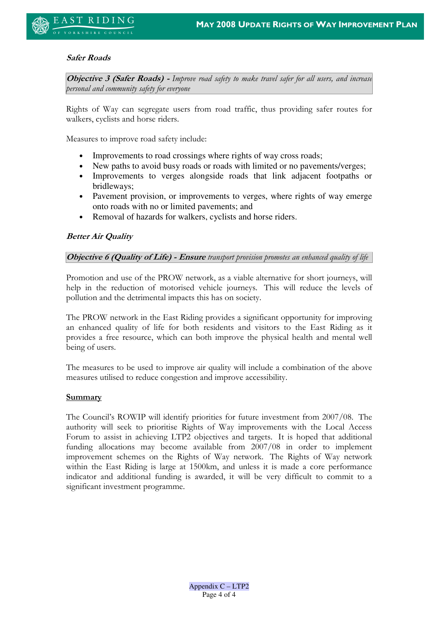

#### **Safer Roads**

**Objective 3 (Safer Roads)** - Improve road safety to make travel safer for all users, and increase personal and community safety for everyone

Rights of Way can segregate users from road traffic, thus providing safer routes for walkers, cyclists and horse riders.

Measures to improve road safety include:

- Improvements to road crossings where rights of way cross roads;
- New paths to avoid busy roads or roads with limited or no pavements/verges;
- Improvements to verges alongside roads that link adjacent footpaths or bridleways;
- $\bullet$ Pavement provision, or improvements to verges, where rights of way emerge onto roads with no or limited pavements; and
- Removal of hazards for walkers, cyclists and horse riders.  $\bullet$

#### **Better Air Quality**

**Objective 6 (Quality of Life) - Ensure** transport provision promotes an enhanced quality of life

Promotion and use of the PROW network, as a viable alternative for short journeys, will help in the reduction of motorised vehicle journeys. This will reduce the levels of pollution and the detrimental impacts this has on society.

The PROW network in the East Riding provides a significant opportunity for improving an enhanced quality of life for both residents and visitors to the East Riding as it provides a free resource, which can both improve the physical health and mental well being of users.

The measures to be used to improve air quality will include a combination of the above measures utilised to reduce congestion and improve accessibility.

#### **Summary**

The Council's ROWIP will identify priorities for future investment from 2007/08. The authority will seek to prioritise Rights of Way improvements with the Local Access Forum to assist in achieving LTP2 objectives and targets. It is hoped that additional funding allocations may become available from 2007/08 in order to implement improvement schemes on the Rights of Way network. The Rights of Way network within the East Riding is large at 1500km, and unless it is made a core performance indicator and additional funding is awarded, it will be very difficult to commit to a significant investment programme.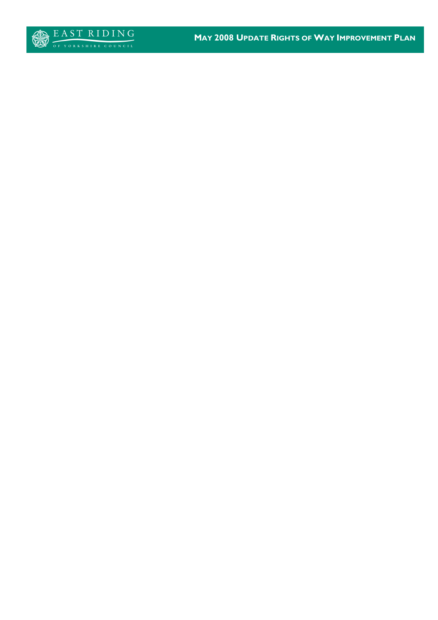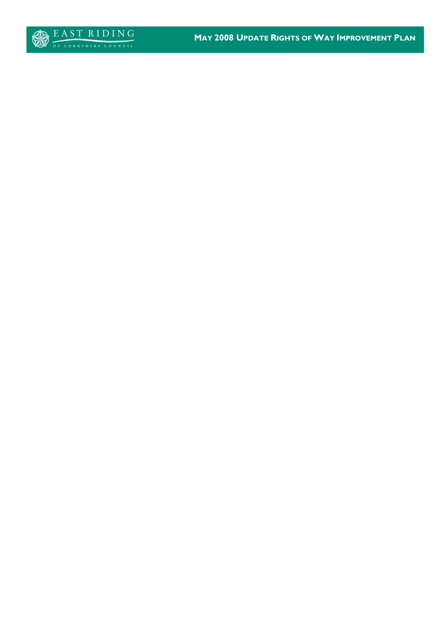